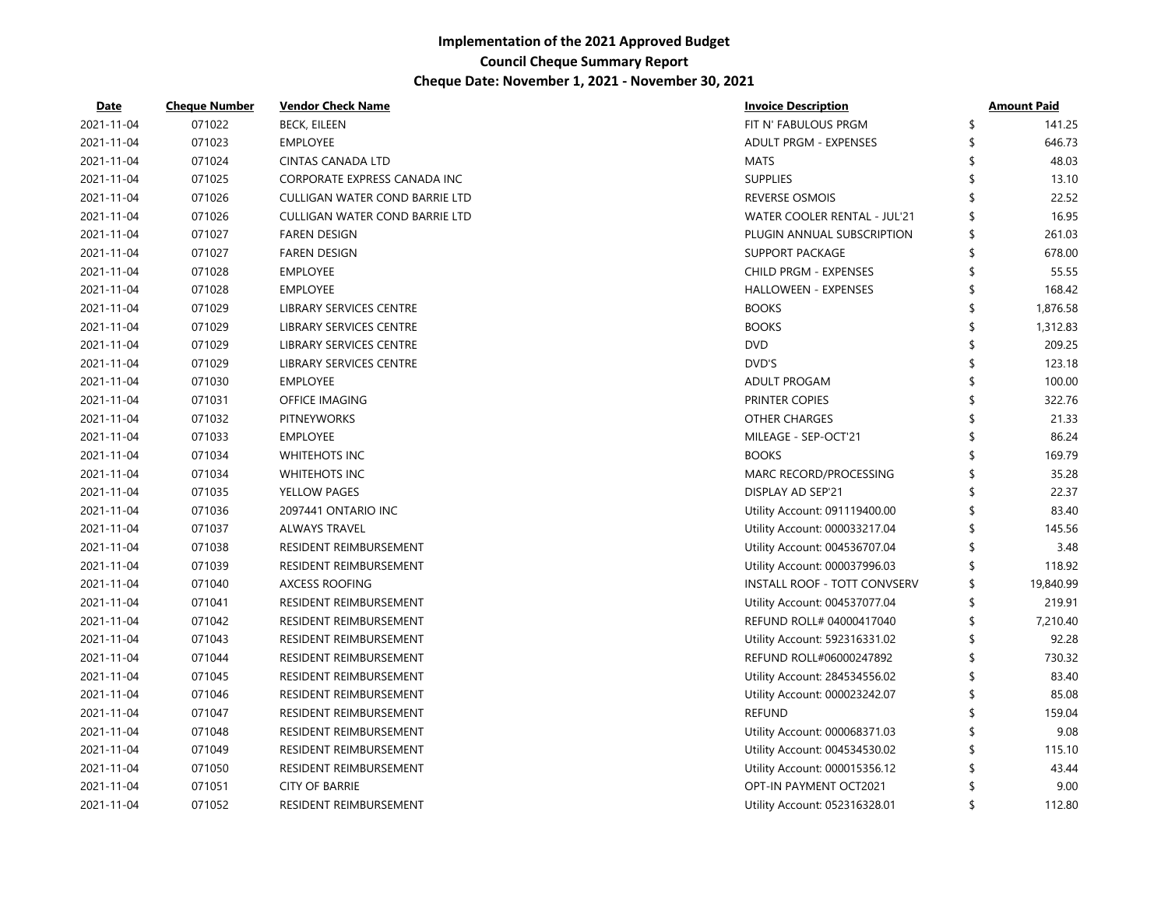| Date       | <b>Cheque Number</b> | <b>Vendor Check Name</b>       | <b>Invoice Description</b>    | <b>Amount Paid</b> |
|------------|----------------------|--------------------------------|-------------------------------|--------------------|
| 2021-11-04 | 071022               | <b>BECK, EILEEN</b>            | FIT N' FABULOUS PRGM          | \$<br>141.25       |
| 2021-11-04 | 071023               | <b>EMPLOYEE</b>                | <b>ADULT PRGM - EXPENSES</b>  | 646.73             |
| 2021-11-04 | 071024               | <b>CINTAS CANADA LTD</b>       | <b>MATS</b>                   | 48.03              |
| 2021-11-04 | 071025               | CORPORATE EXPRESS CANADA INC   | <b>SUPPLIES</b>               | 13.10              |
| 2021-11-04 | 071026               | CULLIGAN WATER COND BARRIE LTD | <b>REVERSE OSMOIS</b>         | 22.52              |
| 2021-11-04 | 071026               | CULLIGAN WATER COND BARRIE LTD | WATER COOLER RENTAL - JUL'21  | 16.95              |
| 2021-11-04 | 071027               | <b>FAREN DESIGN</b>            | PLUGIN ANNUAL SUBSCRIPTION    | 261.03             |
| 2021-11-04 | 071027               | <b>FAREN DESIGN</b>            | <b>SUPPORT PACKAGE</b>        | 678.00             |
| 2021-11-04 | 071028               | <b>EMPLOYEE</b>                | CHILD PRGM - EXPENSES         | 55.55              |
| 2021-11-04 | 071028               | <b>EMPLOYEE</b>                | <b>HALLOWEEN - EXPENSES</b>   | 168.42             |
| 2021-11-04 | 071029               | LIBRARY SERVICES CENTRE        | <b>BOOKS</b>                  | 1,876.58           |
| 2021-11-04 | 071029               | LIBRARY SERVICES CENTRE        | <b>BOOKS</b>                  | 1,312.83           |
| 2021-11-04 | 071029               | LIBRARY SERVICES CENTRE        | <b>DVD</b>                    | 209.25             |
| 2021-11-04 | 071029               | LIBRARY SERVICES CENTRE        | DVD'S                         | 123.18             |
| 2021-11-04 | 071030               | <b>EMPLOYEE</b>                | ADULT PROGAM                  | 100.00             |
| 2021-11-04 | 071031               | OFFICE IMAGING                 | PRINTER COPIES                | 322.76             |
| 2021-11-04 | 071032               | <b>PITNEYWORKS</b>             | <b>OTHER CHARGES</b>          | 21.33              |
| 2021-11-04 | 071033               | <b>EMPLOYEE</b>                | MILEAGE - SEP-OCT'21          | 86.24              |
| 2021-11-04 | 071034               | <b>WHITEHOTS INC</b>           | <b>BOOKS</b>                  | 169.79             |
| 2021-11-04 | 071034               | <b>WHITEHOTS INC</b>           | MARC RECORD/PROCESSING        | 35.28              |
| 2021-11-04 | 071035               | YELLOW PAGES                   | DISPLAY AD SEP'21             | 22.37              |
| 2021-11-04 | 071036               | 2097441 ONTARIO INC            | Utility Account: 091119400.00 | 83.40              |
| 2021-11-04 | 071037               | ALWAYS TRAVEL                  | Utility Account: 000033217.04 | 145.56             |
| 2021-11-04 | 071038               | RESIDENT REIMBURSEMENT         | Utility Account: 004536707.04 | 3.48               |
| 2021-11-04 | 071039               | RESIDENT REIMBURSEMENT         | Utility Account: 000037996.03 | 118.92             |
| 2021-11-04 | 071040               | <b>AXCESS ROOFING</b>          | INSTALL ROOF - TOTT CONVSERV  | 19,840.99          |
| 2021-11-04 | 071041               | RESIDENT REIMBURSEMENT         | Utility Account: 004537077.04 | 219.91             |
| 2021-11-04 | 071042               | RESIDENT REIMBURSEMENT         | REFUND ROLL# 04000417040      | 7,210.40           |
| 2021-11-04 | 071043               | RESIDENT REIMBURSEMENT         | Utility Account: 592316331.02 | 92.28              |
| 2021-11-04 | 071044               | RESIDENT REIMBURSEMENT         | REFUND ROLL#06000247892       | 730.32             |
| 2021-11-04 | 071045               | RESIDENT REIMBURSEMENT         | Utility Account: 284534556.02 | 83.40              |
| 2021-11-04 | 071046               | RESIDENT REIMBURSEMENT         | Utility Account: 000023242.07 | 85.08              |
| 2021-11-04 | 071047               | RESIDENT REIMBURSEMENT         | <b>REFUND</b>                 | 159.04             |
| 2021-11-04 | 071048               | RESIDENT REIMBURSEMENT         | Utility Account: 000068371.03 | 9.08               |
| 2021-11-04 | 071049               | RESIDENT REIMBURSEMENT         | Utility Account: 004534530.02 | 115.10             |
| 2021-11-04 | 071050               | RESIDENT REIMBURSEMENT         | Utility Account: 000015356.12 | 43.44              |
| 2021-11-04 | 071051               | <b>CITY OF BARRIE</b>          | OPT-IN PAYMENT OCT2021        | 9.00               |
| 2021-11-04 | 071052               | RESIDENT REIMBURSEMENT         | Utility Account: 052316328.01 | \$<br>112.80       |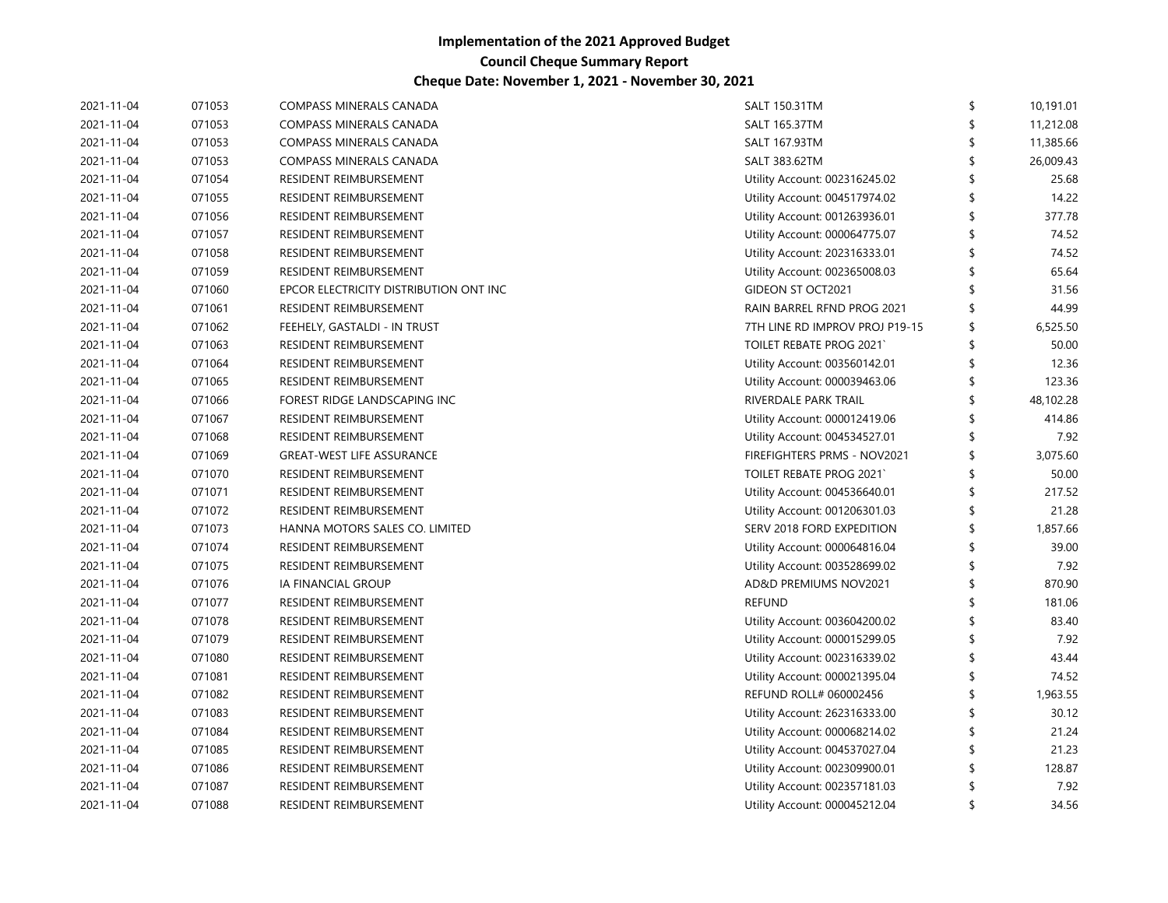| 2021-11-04 | 071053 | COMPASS MINERALS CANADA                | <b>SALT 150.31TM</b>           | \$  | 10,191.01 |
|------------|--------|----------------------------------------|--------------------------------|-----|-----------|
| 2021-11-04 | 071053 | COMPASS MINERALS CANADA                | <b>SALT 165.37TM</b>           |     | 11,212.08 |
| 2021-11-04 | 071053 | COMPASS MINERALS CANADA                | <b>SALT 167.93TM</b>           |     | 11,385.66 |
| 2021-11-04 | 071053 | COMPASS MINERALS CANADA                | SALT 383.62TM                  |     | 26,009.43 |
| 2021-11-04 | 071054 | RESIDENT REIMBURSEMENT                 | Utility Account: 002316245.02  |     | 25.68     |
| 2021-11-04 | 071055 | RESIDENT REIMBURSEMENT                 | Utility Account: 004517974.02  |     | 14.22     |
| 2021-11-04 | 071056 | RESIDENT REIMBURSEMENT                 | Utility Account: 001263936.01  |     | 377.78    |
| 2021-11-04 | 071057 | RESIDENT REIMBURSEMENT                 | Utility Account: 000064775.07  |     | 74.52     |
| 2021-11-04 | 071058 | RESIDENT REIMBURSEMENT                 | Utility Account: 202316333.01  |     | 74.52     |
| 2021-11-04 | 071059 | RESIDENT REIMBURSEMENT                 | Utility Account: 002365008.03  |     | 65.64     |
| 2021-11-04 | 071060 | EPCOR ELECTRICITY DISTRIBUTION ONT INC | GIDEON ST OCT2021              |     | 31.56     |
| 2021-11-04 | 071061 | RESIDENT REIMBURSEMENT                 | RAIN BARREL RFND PROG 2021     |     | 44.99     |
| 2021-11-04 | 071062 | FEEHELY, GASTALDI - IN TRUST           | 7TH LINE RD IMPROV PROJ P19-15 | \$  | 6,525.50  |
| 2021-11-04 | 071063 | RESIDENT REIMBURSEMENT                 | <b>TOILET REBATE PROG 2021</b> |     | 50.00     |
| 2021-11-04 | 071064 | RESIDENT REIMBURSEMENT                 | Utility Account: 003560142.01  |     | 12.36     |
| 2021-11-04 | 071065 | RESIDENT REIMBURSEMENT                 | Utility Account: 000039463.06  |     | 123.36    |
| 2021-11-04 | 071066 | FOREST RIDGE LANDSCAPING INC           | RIVERDALE PARK TRAIL           |     | 48,102.28 |
| 2021-11-04 | 071067 | RESIDENT REIMBURSEMENT                 | Utility Account: 000012419.06  |     | 414.86    |
| 2021-11-04 | 071068 | RESIDENT REIMBURSEMENT                 | Utility Account: 004534527.01  |     | 7.92      |
| 2021-11-04 | 071069 | <b>GREAT-WEST LIFE ASSURANCE</b>       | FIREFIGHTERS PRMS - NOV2021    |     | 3,075.60  |
| 2021-11-04 | 071070 | RESIDENT REIMBURSEMENT                 | <b>TOILET REBATE PROG 2021</b> |     | 50.00     |
| 2021-11-04 | 071071 | RESIDENT REIMBURSEMENT                 | Utility Account: 004536640.01  |     | 217.52    |
| 2021-11-04 | 071072 | RESIDENT REIMBURSEMENT                 | Utility Account: 001206301.03  |     | 21.28     |
| 2021-11-04 | 071073 | HANNA MOTORS SALES CO. LIMITED         | SERV 2018 FORD EXPEDITION      |     | 1,857.66  |
| 2021-11-04 | 071074 | RESIDENT REIMBURSEMENT                 | Utility Account: 000064816.04  |     | 39.00     |
| 2021-11-04 | 071075 | RESIDENT REIMBURSEMENT                 | Utility Account: 003528699.02  |     | 7.92      |
| 2021-11-04 | 071076 | IA FINANCIAL GROUP                     | AD&D PREMIUMS NOV2021          |     | 870.90    |
| 2021-11-04 | 071077 | RESIDENT REIMBURSEMENT                 | <b>REFUND</b>                  |     | 181.06    |
| 2021-11-04 | 071078 | RESIDENT REIMBURSEMENT                 | Utility Account: 003604200.02  |     | 83.40     |
| 2021-11-04 | 071079 | RESIDENT REIMBURSEMENT                 | Utility Account: 000015299.05  |     | 7.92      |
| 2021-11-04 | 071080 | RESIDENT REIMBURSEMENT                 | Utility Account: 002316339.02  |     | 43.44     |
| 2021-11-04 | 071081 | RESIDENT REIMBURSEMENT                 | Utility Account: 000021395.04  |     | 74.52     |
| 2021-11-04 | 071082 | RESIDENT REIMBURSEMENT                 | REFUND ROLL# 060002456         |     | 1,963.55  |
| 2021-11-04 | 071083 | RESIDENT REIMBURSEMENT                 | Utility Account: 262316333.00  |     | 30.12     |
| 2021-11-04 | 071084 | RESIDENT REIMBURSEMENT                 | Utility Account: 000068214.02  |     | 21.24     |
| 2021-11-04 | 071085 | RESIDENT REIMBURSEMENT                 | Utility Account: 004537027.04  |     | 21.23     |
| 2021-11-04 | 071086 | RESIDENT REIMBURSEMENT                 | Utility Account: 002309900.01  |     | 128.87    |
| 2021-11-04 | 071087 | RESIDENT REIMBURSEMENT                 | Utility Account: 002357181.03  |     | 7.92      |
| 2021-11-04 | 071088 | RESIDENT REIMBURSEMENT                 | Utility Account: 000045212.04  | \$. | 34.56     |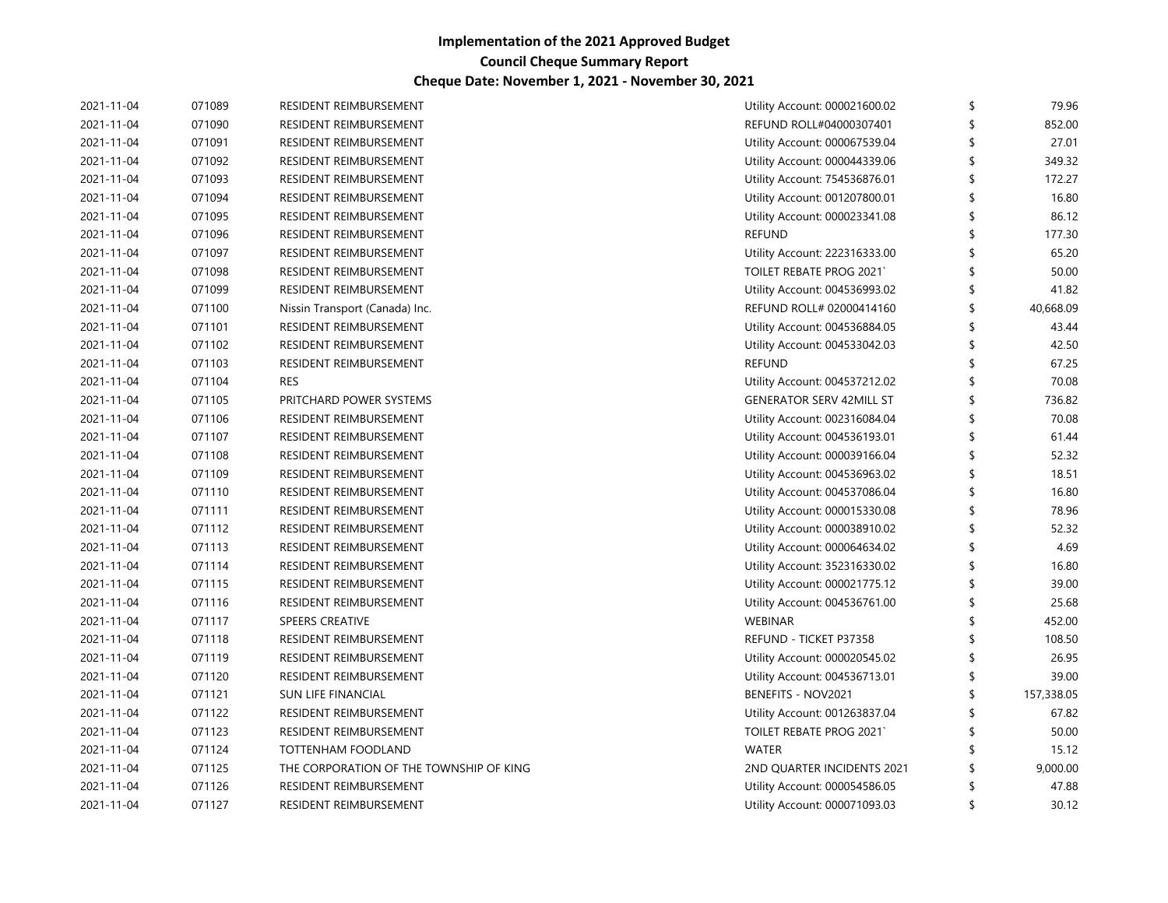| 2021-11-04 | 071089 | RESIDENT REIMBURSEMENT                  | Utility Account: 000021600.02   | \$<br>79.96 |
|------------|--------|-----------------------------------------|---------------------------------|-------------|
| 2021-11-04 | 071090 | RESIDENT REIMBURSEMENT                  | REFUND ROLL#04000307401         | 852.00      |
| 2021-11-04 | 071091 | RESIDENT REIMBURSEMENT                  | Utility Account: 000067539.04   | 27.01       |
| 2021-11-04 | 071092 | RESIDENT REIMBURSEMENT                  | Utility Account: 000044339.06   | 349.32      |
| 2021-11-04 | 071093 | RESIDENT REIMBURSEMENT                  | Utility Account: 754536876.01   | 172.27      |
| 2021-11-04 | 071094 | RESIDENT REIMBURSEMENT                  | Utility Account: 001207800.01   | 16.80       |
| 2021-11-04 | 071095 | RESIDENT REIMBURSEMENT                  | Utility Account: 000023341.08   | 86.12       |
| 2021-11-04 | 071096 | RESIDENT REIMBURSEMENT                  | <b>REFUND</b>                   | 177.30      |
| 2021-11-04 | 071097 | RESIDENT REIMBURSEMENT                  | Utility Account: 222316333.00   | 65.20       |
| 2021-11-04 | 071098 | RESIDENT REIMBURSEMENT                  | <b>TOILET REBATE PROG 2021</b>  | 50.00       |
| 2021-11-04 | 071099 | RESIDENT REIMBURSEMENT                  | Utility Account: 004536993.02   | 41.82       |
| 2021-11-04 | 071100 | Nissin Transport (Canada) Inc.          | REFUND ROLL# 02000414160        | 40,668.09   |
| 2021-11-04 | 071101 | RESIDENT REIMBURSEMENT                  | Utility Account: 004536884.05   | 43.44       |
| 2021-11-04 | 071102 | RESIDENT REIMBURSEMENT                  | Utility Account: 004533042.03   | 42.50       |
| 2021-11-04 | 071103 | RESIDENT REIMBURSEMENT                  | <b>REFUND</b>                   | 67.25       |
| 2021-11-04 | 071104 | <b>RES</b>                              | Utility Account: 004537212.02   | 70.08       |
| 2021-11-04 | 071105 | PRITCHARD POWER SYSTEMS                 | <b>GENERATOR SERV 42MILL ST</b> | 736.82      |
| 2021-11-04 | 071106 | RESIDENT REIMBURSEMENT                  | Utility Account: 002316084.04   | 70.08       |
| 2021-11-04 | 071107 | RESIDENT REIMBURSEMENT                  | Utility Account: 004536193.01   | 61.44       |
| 2021-11-04 | 071108 | RESIDENT REIMBURSEMENT                  | Utility Account: 000039166.04   | 52.32       |
| 2021-11-04 | 071109 | RESIDENT REIMBURSEMENT                  | Utility Account: 004536963.02   | 18.51       |
| 2021-11-04 | 071110 | RESIDENT REIMBURSEMENT                  | Utility Account: 004537086.04   | 16.80       |
| 2021-11-04 | 071111 | RESIDENT REIMBURSEMENT                  | Utility Account: 000015330.08   | 78.96       |
| 2021-11-04 | 071112 | RESIDENT REIMBURSEMENT                  | Utility Account: 000038910.02   | 52.32       |
| 2021-11-04 | 071113 | RESIDENT REIMBURSEMENT                  | Utility Account: 000064634.02   | 4.69        |
| 2021-11-04 | 071114 | RESIDENT REIMBURSEMENT                  | Utility Account: 352316330.02   | 16.80       |
| 2021-11-04 | 071115 | RESIDENT REIMBURSEMENT                  | Utility Account: 000021775.12   | 39.00       |
| 2021-11-04 | 071116 | RESIDENT REIMBURSEMENT                  | Utility Account: 004536761.00   | 25.68       |
| 2021-11-04 | 071117 | SPEERS CREATIVE                         | <b>WEBINAR</b>                  | 452.00      |
| 2021-11-04 | 071118 | RESIDENT REIMBURSEMENT                  | REFUND - TICKET P37358          | 108.50      |
| 2021-11-04 | 071119 | RESIDENT REIMBURSEMENT                  | Utility Account: 000020545.02   | 26.95       |
| 2021-11-04 | 071120 | RESIDENT REIMBURSEMENT                  | Utility Account: 004536713.01   | 39.00       |
| 2021-11-04 | 071121 | <b>SUN LIFE FINANCIAL</b>               | BENEFITS - NOV2021              | 157,338.05  |
| 2021-11-04 | 071122 | RESIDENT REIMBURSEMENT                  | Utility Account: 001263837.04   | 67.82       |
| 2021-11-04 | 071123 | RESIDENT REIMBURSEMENT                  | <b>TOILET REBATE PROG 2021</b>  | 50.00       |
| 2021-11-04 | 071124 | TOTTENHAM FOODLAND                      | <b>WATER</b>                    | 15.12       |
| 2021-11-04 | 071125 | THE CORPORATION OF THE TOWNSHIP OF KING | 2ND QUARTER INCIDENTS 2021      | 9,000.00    |
| 2021-11-04 | 071126 | RESIDENT REIMBURSEMENT                  | Utility Account: 000054586.05   | 47.88       |
| 2021-11-04 | 071127 | RESIDENT REIMBURSEMENT                  | Utility Account: 000071093.03   | \$<br>30.12 |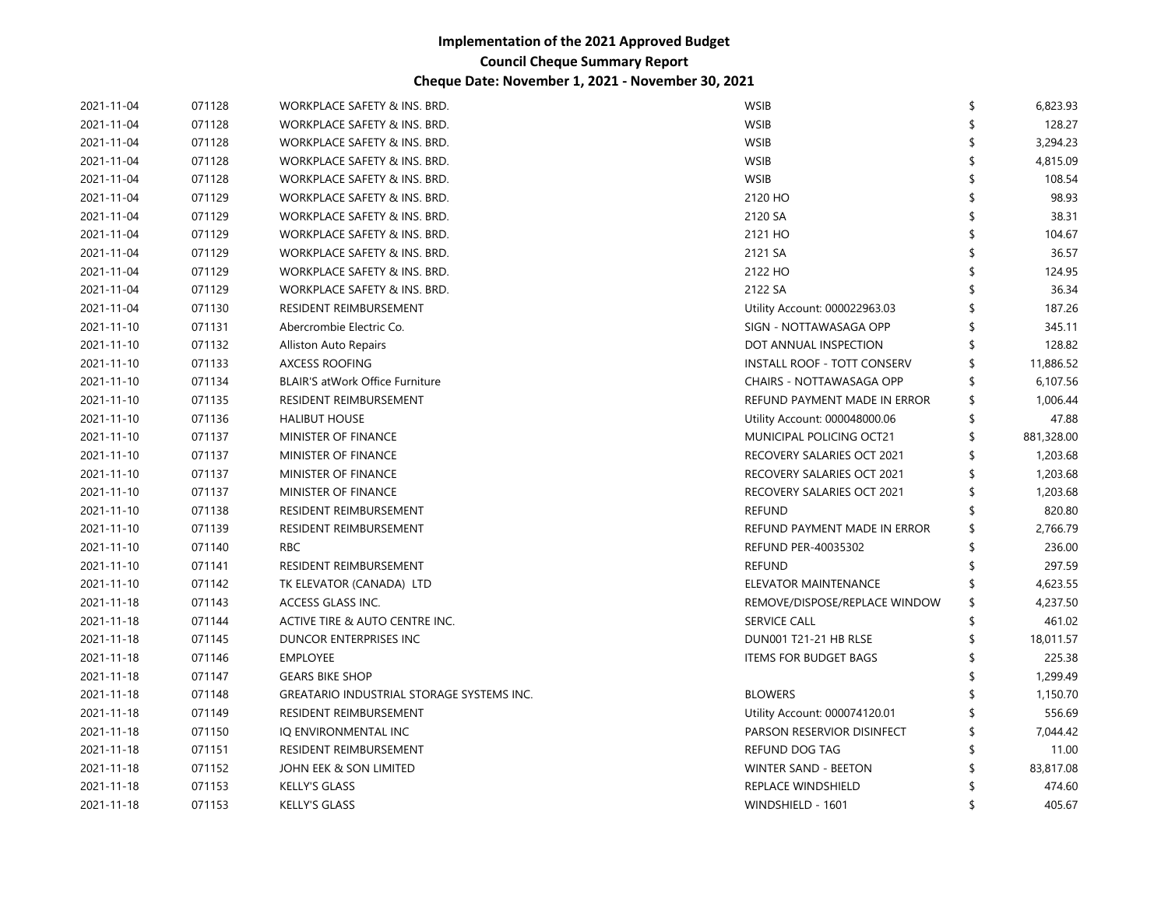| 2021-11-04 | 071128 | WORKPLACE SAFETY & INS. BRD.                     | <b>WSIB</b>                        | \$<br>6,823.93 |
|------------|--------|--------------------------------------------------|------------------------------------|----------------|
| 2021-11-04 | 071128 | WORKPLACE SAFETY & INS. BRD.                     | <b>WSIB</b>                        | 128.27         |
| 2021-11-04 | 071128 | WORKPLACE SAFETY & INS. BRD.                     | <b>WSIB</b>                        | 3,294.23       |
| 2021-11-04 | 071128 | WORKPLACE SAFETY & INS. BRD.                     | <b>WSIB</b>                        | 4,815.09       |
| 2021-11-04 | 071128 | WORKPLACE SAFETY & INS. BRD.                     | <b>WSIB</b>                        | 108.54         |
| 2021-11-04 | 071129 | WORKPLACE SAFETY & INS. BRD.                     | 2120 HO                            | 98.93          |
| 2021-11-04 | 071129 | WORKPLACE SAFETY & INS. BRD.                     | 2120 SA                            | 38.31          |
| 2021-11-04 | 071129 | WORKPLACE SAFETY & INS. BRD.                     | 2121 HO                            | 104.67         |
| 2021-11-04 | 071129 | WORKPLACE SAFETY & INS. BRD.                     | 2121 SA                            | 36.57          |
| 2021-11-04 | 071129 | WORKPLACE SAFETY & INS. BRD.                     | 2122 HO                            | 124.95         |
| 2021-11-04 | 071129 | WORKPLACE SAFETY & INS. BRD.                     | 2122 SA                            | 36.34          |
| 2021-11-04 | 071130 | RESIDENT REIMBURSEMENT                           | Utility Account: 000022963.03      | 187.26         |
| 2021-11-10 | 071131 | Abercrombie Electric Co.                         | SIGN - NOTTAWASAGA OPP             | 345.11         |
| 2021-11-10 | 071132 | Alliston Auto Repairs                            | DOT ANNUAL INSPECTION              | 128.82         |
| 2021-11-10 | 071133 | <b>AXCESS ROOFING</b>                            | <b>INSTALL ROOF - TOTT CONSERV</b> | 11,886.52      |
| 2021-11-10 | 071134 | <b>BLAIR'S atWork Office Furniture</b>           | CHAIRS - NOTTAWASAGA OPP           | 6,107.56       |
| 2021-11-10 | 071135 | RESIDENT REIMBURSEMENT                           | REFUND PAYMENT MADE IN ERROR       | 1,006.44       |
| 2021-11-10 | 071136 | <b>HALIBUT HOUSE</b>                             | Utility Account: 000048000.06      | 47.88          |
| 2021-11-10 | 071137 | MINISTER OF FINANCE                              | MUNICIPAL POLICING OCT21           | 881,328.00     |
| 2021-11-10 | 071137 | MINISTER OF FINANCE                              | RECOVERY SALARIES OCT 2021         | 1,203.68       |
| 2021-11-10 | 071137 | MINISTER OF FINANCE                              | RECOVERY SALARIES OCT 2021         | 1,203.68       |
| 2021-11-10 | 071137 | MINISTER OF FINANCE                              | RECOVERY SALARIES OCT 2021         | 1,203.68       |
| 2021-11-10 | 071138 | RESIDENT REIMBURSEMENT                           | <b>REFUND</b>                      | 820.80         |
| 2021-11-10 | 071139 | RESIDENT REIMBURSEMENT                           | REFUND PAYMENT MADE IN ERROR       | 2,766.79       |
| 2021-11-10 | 071140 | <b>RBC</b>                                       | <b>REFUND PER-40035302</b>         | 236.00         |
| 2021-11-10 | 071141 | RESIDENT REIMBURSEMENT                           | <b>REFUND</b>                      | 297.59         |
| 2021-11-10 | 071142 | TK ELEVATOR (CANADA) LTD                         | ELEVATOR MAINTENANCE               | 4,623.55       |
| 2021-11-18 | 071143 | ACCESS GLASS INC.                                | REMOVE/DISPOSE/REPLACE WINDOW      | 4,237.50       |
| 2021-11-18 | 071144 | ACTIVE TIRE & AUTO CENTRE INC.                   | <b>SERVICE CALL</b>                | 461.02         |
| 2021-11-18 | 071145 | DUNCOR ENTERPRISES INC                           | DUN001 T21-21 HB RLSE              | 18,011.57      |
| 2021-11-18 | 071146 | <b>EMPLOYEE</b>                                  | <b>ITEMS FOR BUDGET BAGS</b>       | 225.38         |
| 2021-11-18 | 071147 | <b>GEARS BIKE SHOP</b>                           |                                    | 1,299.49       |
| 2021-11-18 | 071148 | <b>GREATARIO INDUSTRIAL STORAGE SYSTEMS INC.</b> | <b>BLOWERS</b>                     | 1,150.70       |
| 2021-11-18 | 071149 | RESIDENT REIMBURSEMENT                           | Utility Account: 000074120.01      | 556.69         |
| 2021-11-18 | 071150 | IQ ENVIRONMENTAL INC                             | PARSON RESERVIOR DISINFECT         | 7,044.42       |
| 2021-11-18 | 071151 | RESIDENT REIMBURSEMENT                           | <b>REFUND DOG TAG</b>              | 11.00          |
| 2021-11-18 | 071152 | JOHN EEK & SON LIMITED                           | <b>WINTER SAND - BEETON</b>        | 83,817.08      |
| 2021-11-18 | 071153 | <b>KELLY'S GLASS</b>                             | REPLACE WINDSHIELD                 | 474.60         |
| 2021-11-18 | 071153 | <b>KELLY'S GLASS</b>                             | WINDSHIELD - 1601                  | 405.67         |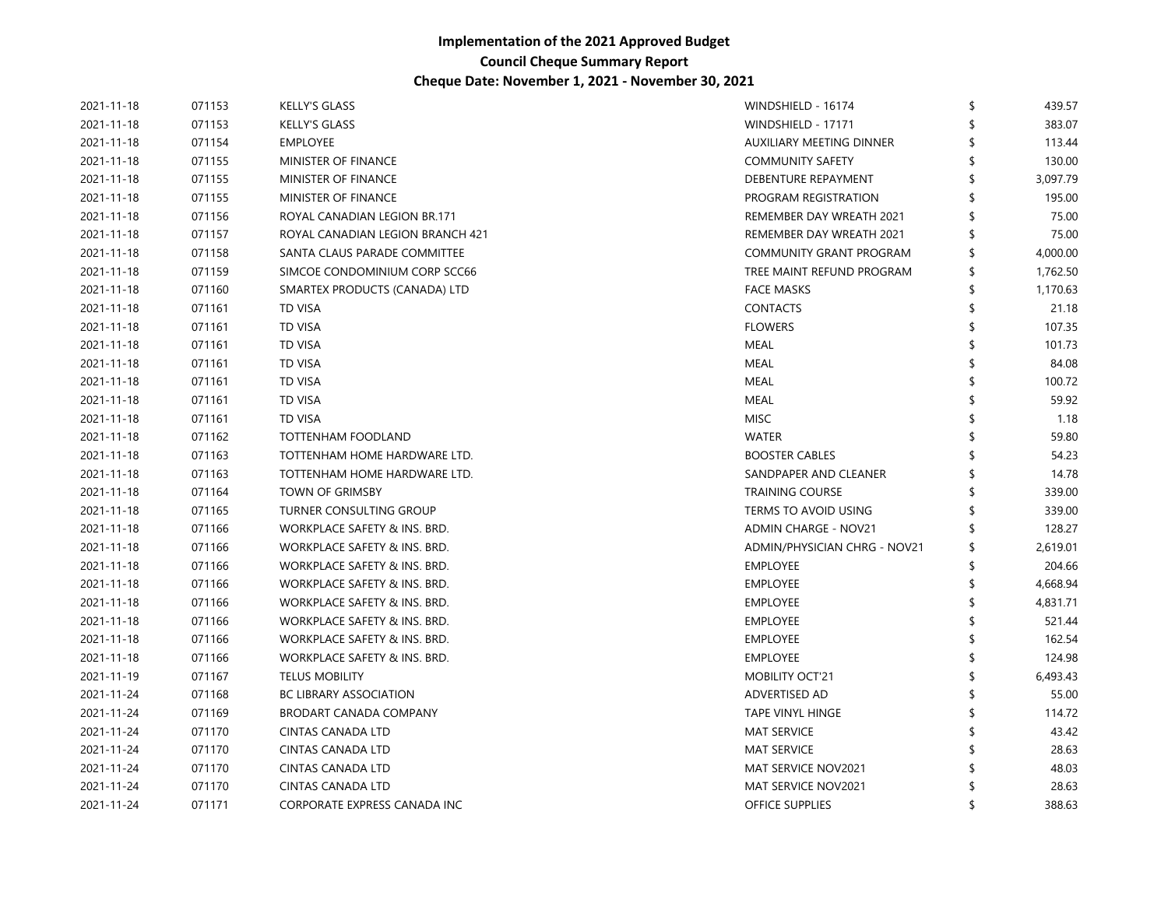#### Implementation of the 2021 Approved Budget

Council Cheque Summary Report

Cheque Date: November 1, 2021 - November 30, 2021

| 2021-11-18 | 071153 | <b>KELLY'S GLASS</b>             | WINDSHIELD - 16174           | \$<br>439.57 |
|------------|--------|----------------------------------|------------------------------|--------------|
| 2021-11-18 | 071153 | <b>KELLY'S GLASS</b>             | WINDSHIELD - 17171           | 383.07       |
| 2021-11-18 | 071154 | <b>EMPLOYEE</b>                  | AUXILIARY MEETING DINNER     | 113.44       |
| 2021-11-18 | 071155 | MINISTER OF FINANCE              | <b>COMMUNITY SAFETY</b>      | 130.00       |
| 2021-11-18 | 071155 | MINISTER OF FINANCE              | DEBENTURE REPAYMENT          | 3,097.79     |
| 2021-11-18 | 071155 | MINISTER OF FINANCE              | PROGRAM REGISTRATION         | 195.00       |
| 2021-11-18 | 071156 | ROYAL CANADIAN LEGION BR.171     | REMEMBER DAY WREATH 2021     | 75.00        |
| 2021-11-18 | 071157 | ROYAL CANADIAN LEGION BRANCH 421 | REMEMBER DAY WREATH 2021     | 75.00        |
| 2021-11-18 | 071158 | SANTA CLAUS PARADE COMMITTEE     | COMMUNITY GRANT PROGRAM      | 4,000.00     |
| 2021-11-18 | 071159 | SIMCOE CONDOMINIUM CORP SCC66    | TREE MAINT REFUND PROGRAM    | 1,762.50     |
| 2021-11-18 | 071160 | SMARTEX PRODUCTS (CANADA) LTD    | <b>FACE MASKS</b>            | 1,170.63     |
| 2021-11-18 | 071161 | <b>TD VISA</b>                   | <b>CONTACTS</b>              | 21.18        |
| 2021-11-18 | 071161 | <b>TD VISA</b>                   | <b>FLOWERS</b>               | 107.35       |
| 2021-11-18 | 071161 | <b>TD VISA</b>                   | MEAL                         | 101.73       |
| 2021-11-18 | 071161 | <b>TD VISA</b>                   | MEAL                         | 84.08        |
| 2021-11-18 | 071161 | <b>TD VISA</b>                   | MEAL                         | 100.72       |
| 2021-11-18 | 071161 | <b>TD VISA</b>                   | MEAL                         | 59.92        |
| 2021-11-18 | 071161 | <b>TD VISA</b>                   | <b>MISC</b>                  | 1.18         |
| 2021-11-18 | 071162 | <b>TOTTENHAM FOODLAND</b>        | <b>WATER</b>                 | 59.80        |
| 2021-11-18 | 071163 | TOTTENHAM HOME HARDWARE LTD.     | <b>BOOSTER CABLES</b>        | 54.23        |
| 2021-11-18 | 071163 | TOTTENHAM HOME HARDWARE LTD.     | SANDPAPER AND CLEANER        | 14.78        |
| 2021-11-18 | 071164 | <b>TOWN OF GRIMSBY</b>           | <b>TRAINING COURSE</b>       | 339.00       |
| 2021-11-18 | 071165 | TURNER CONSULTING GROUP          | TERMS TO AVOID USING         | 339.00       |
| 2021-11-18 | 071166 | WORKPLACE SAFETY & INS. BRD.     | <b>ADMIN CHARGE - NOV21</b>  | 128.27       |
| 2021-11-18 | 071166 | WORKPLACE SAFETY & INS. BRD.     | ADMIN/PHYSICIAN CHRG - NOV21 | 2,619.01     |
| 2021-11-18 | 071166 | WORKPLACE SAFETY & INS. BRD.     | <b>EMPLOYEE</b>              | 204.66       |
| 2021-11-18 | 071166 | WORKPLACE SAFETY & INS. BRD.     | <b>EMPLOYEE</b>              | 4,668.94     |
| 2021-11-18 | 071166 | WORKPLACE SAFETY & INS. BRD.     | <b>EMPLOYEE</b>              | 4,831.71     |
| 2021-11-18 | 071166 | WORKPLACE SAFETY & INS. BRD.     | <b>EMPLOYEE</b>              | 521.44       |
| 2021-11-18 | 071166 | WORKPLACE SAFETY & INS. BRD.     | <b>EMPLOYEE</b>              | 162.54       |
| 2021-11-18 | 071166 | WORKPLACE SAFETY & INS. BRD.     | <b>EMPLOYEE</b>              | 124.98       |
| 2021-11-19 | 071167 | <b>TELUS MOBILITY</b>            | <b>MOBILITY OCT'21</b>       | 6,493.43     |
| 2021-11-24 | 071168 | <b>BC LIBRARY ASSOCIATION</b>    | ADVERTISED AD                | 55.00        |
| 2021-11-24 | 071169 | <b>BRODART CANADA COMPANY</b>    | <b>TAPE VINYL HINGE</b>      | 114.72       |
| 2021-11-24 | 071170 | <b>CINTAS CANADA LTD</b>         | <b>MAT SERVICE</b>           | 43.42        |
| 2021-11-24 | 071170 | <b>CINTAS CANADA LTD</b>         | <b>MAT SERVICE</b>           | 28.63        |
| 2021-11-24 | 071170 | <b>CINTAS CANADA LTD</b>         | MAT SERVICE NOV2021          | 48.03        |
| 2021-11-24 | 071170 | CINTAS CANADA LTD                | MAT SERVICE NOV2021          | 28.63        |
| 2021-11-24 | 071171 | CORPORATE EXPRESS CANADA INC     | <b>OFFICE SUPPLIES</b>       | 388.63       |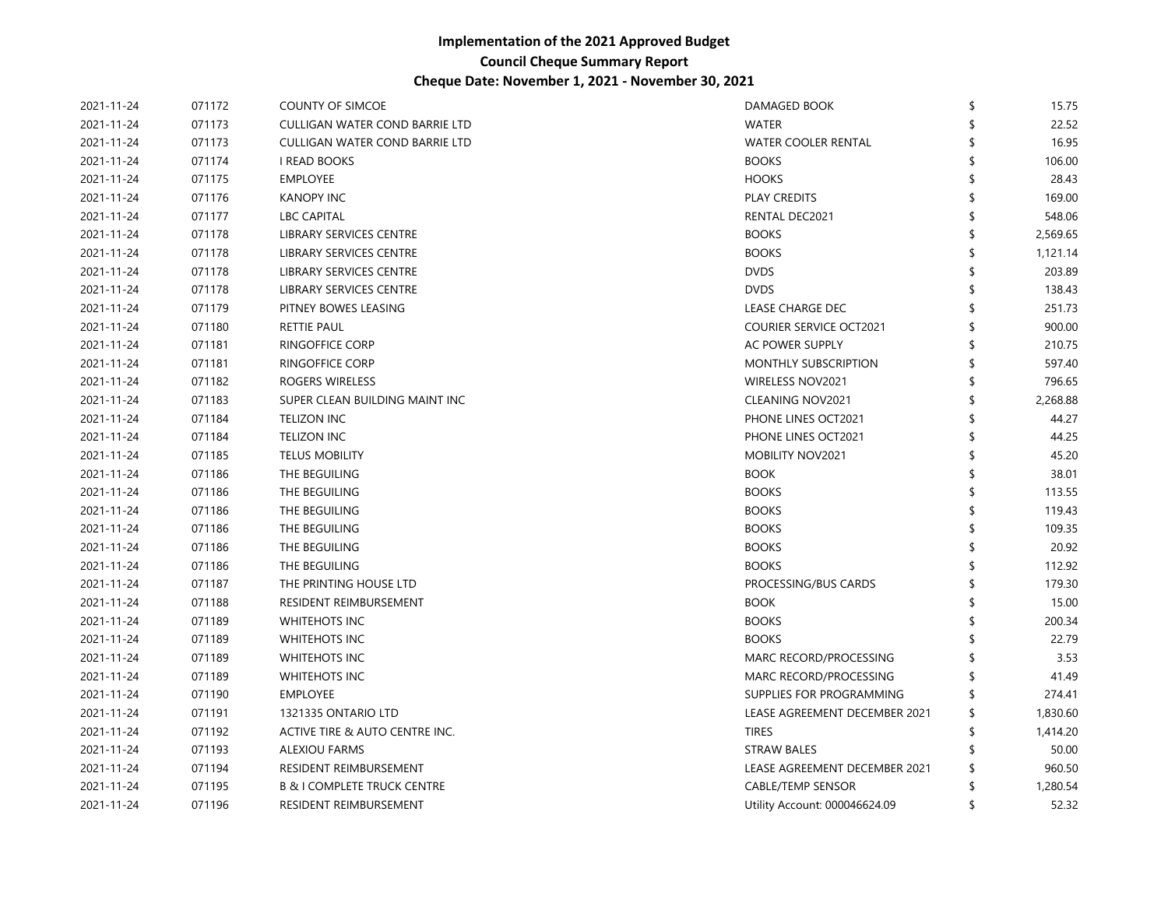#### Implementation of the 2021 Approved Budget

# Council Cheque Summary Report

# Cheque Date: November 1, 2021 - November 30, 2021

| 2021-11-24 | 071172 | <b>COUNTY OF SIMCOE</b>                | <b>DAMAGED BOOK</b>            | \$<br>15.75 |
|------------|--------|----------------------------------------|--------------------------------|-------------|
| 2021-11-24 | 071173 | CULLIGAN WATER COND BARRIE LTD         | <b>WATER</b>                   | 22.52       |
| 2021-11-24 | 071173 | CULLIGAN WATER COND BARRIE LTD         | <b>WATER COOLER RENTAL</b>     | 16.95       |
| 2021-11-24 | 071174 | <b>I READ BOOKS</b>                    | <b>BOOKS</b>                   | 106.00      |
| 2021-11-24 | 071175 | <b>EMPLOYEE</b>                        | <b>HOOKS</b>                   | 28.43       |
| 2021-11-24 | 071176 | <b>KANOPY INC</b>                      | <b>PLAY CREDITS</b>            | 169.00      |
| 2021-11-24 | 071177 | <b>LBC CAPITAL</b>                     | RENTAL DEC2021                 | 548.06      |
| 2021-11-24 | 071178 | LIBRARY SERVICES CENTRE                | <b>BOOKS</b>                   | 2,569.65    |
| 2021-11-24 | 071178 | LIBRARY SERVICES CENTRE                | <b>BOOKS</b>                   | 1,121.14    |
| 2021-11-24 | 071178 | LIBRARY SERVICES CENTRE                | <b>DVDS</b>                    | 203.89      |
| 2021-11-24 | 071178 | <b>LIBRARY SERVICES CENTRE</b>         | <b>DVDS</b>                    | 138.43      |
| 2021-11-24 | 071179 | PITNEY BOWES LEASING                   | LEASE CHARGE DEC               | 251.73      |
| 2021-11-24 | 071180 | RETTIE PAUL                            | <b>COURIER SERVICE OCT2021</b> | 900.00      |
| 2021-11-24 | 071181 | <b>RINGOFFICE CORP</b>                 | AC POWER SUPPLY                | 210.75      |
| 2021-11-24 | 071181 | RINGOFFICE CORP                        | <b>MONTHLY SUBSCRIPTION</b>    | 597.40      |
| 2021-11-24 | 071182 | ROGERS WIRELESS                        | WIRELESS NOV2021               | 796.65      |
| 2021-11-24 | 071183 | SUPER CLEAN BUILDING MAINT INC         | <b>CLEANING NOV2021</b>        | 2,268.88    |
| 2021-11-24 | 071184 | <b>TELIZON INC</b>                     | PHONE LINES OCT2021            | 44.27       |
| 2021-11-24 | 071184 | <b>TELIZON INC</b>                     | PHONE LINES OCT2021            | 44.25       |
| 2021-11-24 | 071185 | <b>TELUS MOBILITY</b>                  | <b>MOBILITY NOV2021</b>        | 45.20       |
| 2021-11-24 | 071186 | THE BEGUILING                          | <b>BOOK</b>                    | 38.01       |
| 2021-11-24 | 071186 | THE BEGUILING                          | <b>BOOKS</b>                   | 113.55      |
| 2021-11-24 | 071186 | THE BEGUILING                          | <b>BOOKS</b>                   | 119.43      |
| 2021-11-24 | 071186 | THE BEGUILING                          | <b>BOOKS</b>                   | 109.35      |
| 2021-11-24 | 071186 | THE BEGUILING                          | <b>BOOKS</b>                   | 20.92       |
| 2021-11-24 | 071186 | THE BEGUILING                          | <b>BOOKS</b>                   | 112.92      |
| 2021-11-24 | 071187 | THE PRINTING HOUSE LTD                 | PROCESSING/BUS CARDS           | 179.30      |
| 2021-11-24 | 071188 | RESIDENT REIMBURSEMENT                 | <b>BOOK</b>                    | 15.00       |
| 2021-11-24 | 071189 | <b>WHITEHOTS INC</b>                   | <b>BOOKS</b>                   | 200.34      |
| 2021-11-24 | 071189 | <b>WHITEHOTS INC</b>                   | <b>BOOKS</b>                   | 22.79       |
| 2021-11-24 | 071189 | <b>WHITEHOTS INC</b>                   | MARC RECORD/PROCESSING         | 3.53        |
| 2021-11-24 | 071189 | <b>WHITEHOTS INC</b>                   | MARC RECORD/PROCESSING         | 41.49       |
| 2021-11-24 | 071190 | <b>EMPLOYEE</b>                        | SUPPLIES FOR PROGRAMMING       | 274.41      |
| 2021-11-24 | 071191 | 1321335 ONTARIO LTD                    | LEASE AGREEMENT DECEMBER 2021  | 1,830.60    |
| 2021-11-24 | 071192 | ACTIVE TIRE & AUTO CENTRE INC.         | <b>TIRES</b>                   | 1,414.20    |
| 2021-11-24 | 071193 | <b>ALEXIOU FARMS</b>                   | <b>STRAW BALES</b>             | 50.00       |
| 2021-11-24 | 071194 | <b>RESIDENT REIMBURSEMENT</b>          | LEASE AGREEMENT DECEMBER 2021  | 960.50      |
| 2021-11-24 | 071195 | <b>B &amp; I COMPLETE TRUCK CENTRE</b> | CABLE/TEMP SENSOR              | 1,280.54    |
| 2021-11-24 | 071196 | RESIDENT REIMBURSEMENT                 | Utility Account: 000046624.09  | 52.32       |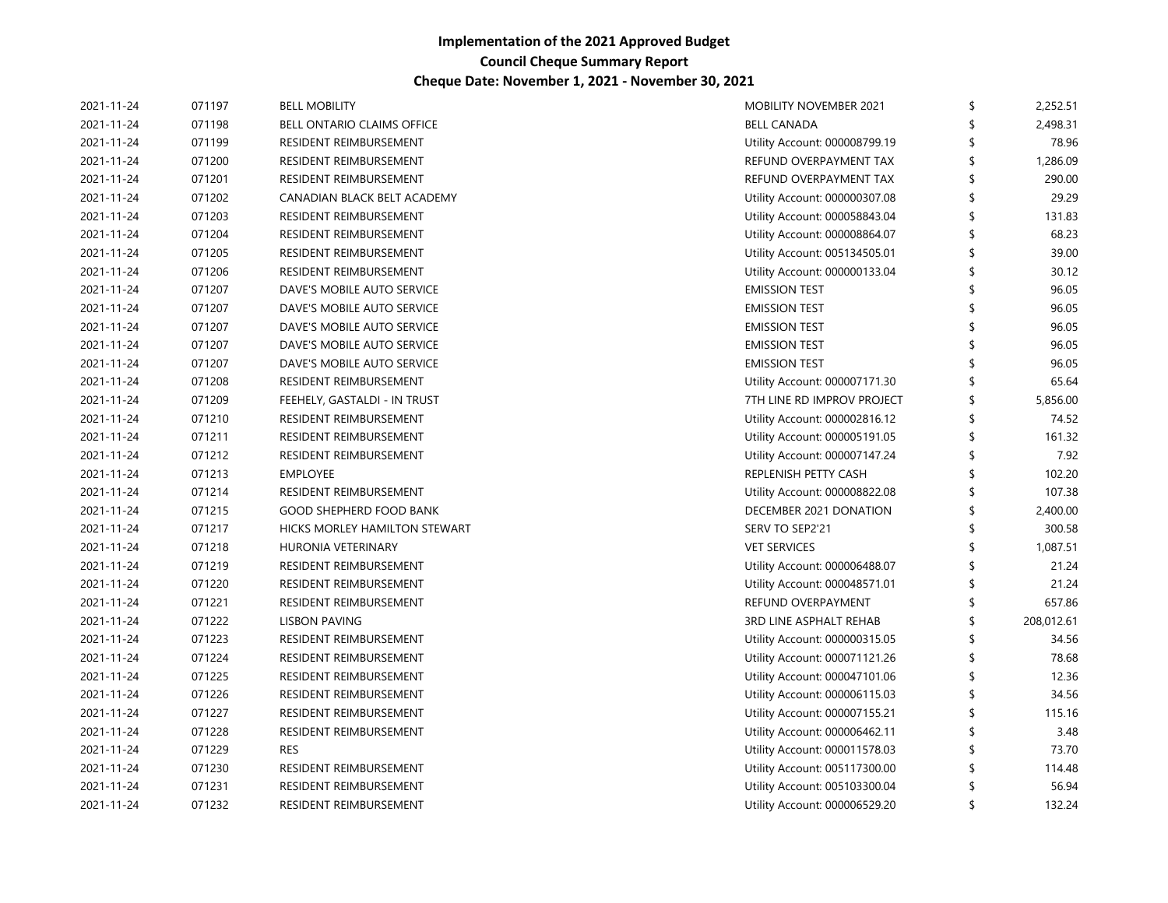| 2021-11-24 | 071197 | <b>BELL MOBILITY</b>           | <b>MOBILITY NOVEMBER 2021</b> | \$<br>2,252.51 |
|------------|--------|--------------------------------|-------------------------------|----------------|
| 2021-11-24 | 071198 | BELL ONTARIO CLAIMS OFFICE     | <b>BELL CANADA</b>            | 2,498.31       |
| 2021-11-24 | 071199 | RESIDENT REIMBURSEMENT         | Utility Account: 000008799.19 | 78.96          |
| 2021-11-24 | 071200 | RESIDENT REIMBURSEMENT         | REFUND OVERPAYMENT TAX        | 1,286.09       |
| 2021-11-24 | 071201 | RESIDENT REIMBURSEMENT         | REFUND OVERPAYMENT TAX        | 290.00         |
| 2021-11-24 | 071202 | CANADIAN BLACK BELT ACADEMY    | Utility Account: 000000307.08 | 29.29          |
| 2021-11-24 | 071203 | RESIDENT REIMBURSEMENT         | Utility Account: 000058843.04 | 131.83         |
| 2021-11-24 | 071204 | RESIDENT REIMBURSEMENT         | Utility Account: 000008864.07 | 68.23          |
| 2021-11-24 | 071205 | RESIDENT REIMBURSEMENT         | Utility Account: 005134505.01 | 39.00          |
| 2021-11-24 | 071206 | RESIDENT REIMBURSEMENT         | Utility Account: 000000133.04 | 30.12          |
| 2021-11-24 | 071207 | DAVE'S MOBILE AUTO SERVICE     | <b>EMISSION TEST</b>          | 96.05          |
| 2021-11-24 | 071207 | DAVE'S MOBILE AUTO SERVICE     | <b>EMISSION TEST</b>          | 96.05          |
| 2021-11-24 | 071207 | DAVE'S MOBILE AUTO SERVICE     | <b>EMISSION TEST</b>          | 96.05          |
| 2021-11-24 | 071207 | DAVE'S MOBILE AUTO SERVICE     | <b>EMISSION TEST</b>          | 96.05          |
| 2021-11-24 | 071207 | DAVE'S MOBILE AUTO SERVICE     | <b>EMISSION TEST</b>          | 96.05          |
| 2021-11-24 | 071208 | RESIDENT REIMBURSEMENT         | Utility Account: 000007171.30 | 65.64          |
| 2021-11-24 | 071209 | FEEHELY, GASTALDI - IN TRUST   | 7TH LINE RD IMPROV PROJECT    | 5,856.00       |
| 2021-11-24 | 071210 | RESIDENT REIMBURSEMENT         | Utility Account: 000002816.12 | 74.52          |
| 2021-11-24 | 071211 | RESIDENT REIMBURSEMENT         | Utility Account: 000005191.05 | 161.32         |
| 2021-11-24 | 071212 | RESIDENT REIMBURSEMENT         | Utility Account: 000007147.24 | 7.92           |
| 2021-11-24 | 071213 | <b>EMPLOYEE</b>                | REPLENISH PETTY CASH          | 102.20         |
| 2021-11-24 | 071214 | RESIDENT REIMBURSEMENT         | Utility Account: 000008822.08 | 107.38         |
| 2021-11-24 | 071215 | <b>GOOD SHEPHERD FOOD BANK</b> | DECEMBER 2021 DONATION        | 2,400.00       |
| 2021-11-24 | 071217 | HICKS MORLEY HAMILTON STEWART  | SERV TO SEP2'21               | 300.58         |
| 2021-11-24 | 071218 | HURONIA VETERINARY             | <b>VET SERVICES</b>           | 1,087.51       |
| 2021-11-24 | 071219 | RESIDENT REIMBURSEMENT         | Utility Account: 000006488.07 | 21.24          |
| 2021-11-24 | 071220 | RESIDENT REIMBURSEMENT         | Utility Account: 000048571.01 | 21.24          |
| 2021-11-24 | 071221 | RESIDENT REIMBURSEMENT         | REFUND OVERPAYMENT            | 657.86         |
| 2021-11-24 | 071222 | <b>LISBON PAVING</b>           | 3RD LINE ASPHALT REHAB        | 208,012.61     |
| 2021-11-24 | 071223 | RESIDENT REIMBURSEMENT         | Utility Account: 000000315.05 | 34.56          |
| 2021-11-24 | 071224 | RESIDENT REIMBURSEMENT         | Utility Account: 000071121.26 | 78.68          |
| 2021-11-24 | 071225 | RESIDENT REIMBURSEMENT         | Utility Account: 000047101.06 | 12.36          |
| 2021-11-24 | 071226 | RESIDENT REIMBURSEMENT         | Utility Account: 000006115.03 | 34.56          |
| 2021-11-24 | 071227 | RESIDENT REIMBURSEMENT         | Utility Account: 000007155.21 | 115.16         |
| 2021-11-24 | 071228 | RESIDENT REIMBURSEMENT         | Utility Account: 000006462.11 | 3.48           |
| 2021-11-24 | 071229 | <b>RES</b>                     | Utility Account: 000011578.03 | 73.70          |
| 2021-11-24 | 071230 | RESIDENT REIMBURSEMENT         | Utility Account: 005117300.00 | 114.48         |
| 2021-11-24 | 071231 | RESIDENT REIMBURSEMENT         | Utility Account: 005103300.04 | 56.94          |
| 2021-11-24 | 071232 | RESIDENT REIMBURSEMENT         | Utility Account: 000006529.20 | \$<br>132.24   |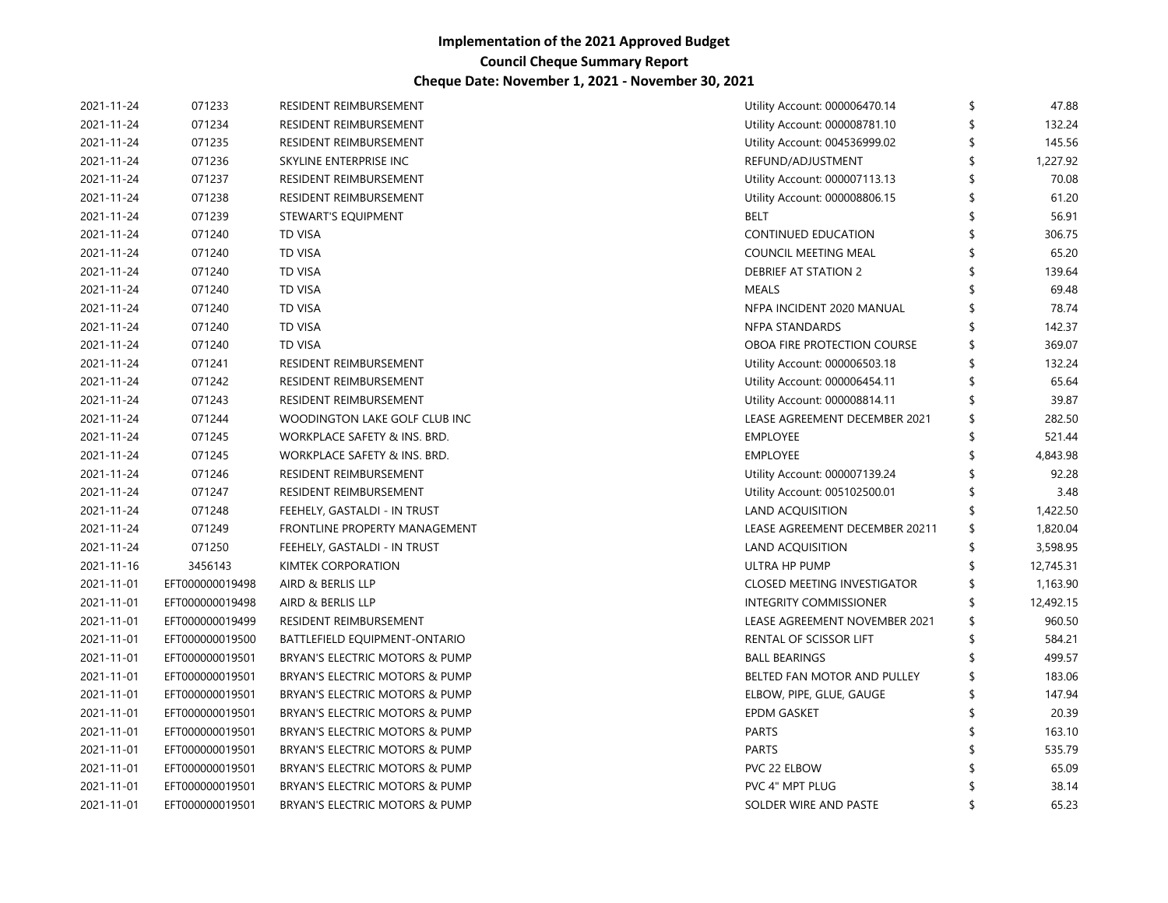| 2021-11-24 | 071233          | RESIDENT REIMBURSEMENT         | Utility Account: 000006470.14      | \$<br>47.88    |
|------------|-----------------|--------------------------------|------------------------------------|----------------|
| 2021-11-24 | 071234          | RESIDENT REIMBURSEMENT         | Utility Account: 000008781.10      | 132.24         |
| 2021-11-24 | 071235          | RESIDENT REIMBURSEMENT         | Utility Account: 004536999.02      | 145.56         |
| 2021-11-24 | 071236          | SKYLINE ENTERPRISE INC         | REFUND/ADJUSTMENT                  | 1,227.92       |
| 2021-11-24 | 071237          | RESIDENT REIMBURSEMENT         | Utility Account: 000007113.13      | 70.08          |
| 2021-11-24 | 071238          | RESIDENT REIMBURSEMENT         | Utility Account: 000008806.15      | 61.20          |
| 2021-11-24 | 071239          | STEWART'S EQUIPMENT            | <b>BELT</b>                        | 56.91          |
| 2021-11-24 | 071240          | <b>TD VISA</b>                 | CONTINUED EDUCATION                | 306.75         |
| 2021-11-24 | 071240          | <b>TD VISA</b>                 | COUNCIL MEETING MEAL               | 65.20          |
| 2021-11-24 | 071240          | <b>TD VISA</b>                 | <b>DEBRIEF AT STATION 2</b>        | 139.64         |
| 2021-11-24 | 071240          | <b>TD VISA</b>                 | <b>MEALS</b>                       | 69.48          |
| 2021-11-24 | 071240          | <b>TD VISA</b>                 | NFPA INCIDENT 2020 MANUAL          | 78.74          |
| 2021-11-24 | 071240          | <b>TD VISA</b>                 | NFPA STANDARDS                     | 142.37         |
| 2021-11-24 | 071240          | <b>TD VISA</b>                 | OBOA FIRE PROTECTION COURSE        | 369.07         |
| 2021-11-24 | 071241          | RESIDENT REIMBURSEMENT         | Utility Account: 000006503.18      | 132.24         |
| 2021-11-24 | 071242          | RESIDENT REIMBURSEMENT         | Utility Account: 000006454.11      | 65.64          |
| 2021-11-24 | 071243          | RESIDENT REIMBURSEMENT         | Utility Account: 000008814.11      | 39.87          |
| 2021-11-24 | 071244          | WOODINGTON LAKE GOLF CLUB INC  | LEASE AGREEMENT DECEMBER 2021      | 282.50         |
| 2021-11-24 | 071245          | WORKPLACE SAFETY & INS. BRD.   | <b>EMPLOYEE</b>                    | 521.44         |
| 2021-11-24 | 071245          | WORKPLACE SAFETY & INS. BRD.   | EMPLOYEE                           | 4,843.98       |
| 2021-11-24 | 071246          | RESIDENT REIMBURSEMENT         | Utility Account: 000007139.24      | 92.28          |
| 2021-11-24 | 071247          | RESIDENT REIMBURSEMENT         | Utility Account: 005102500.01      | 3.48           |
| 2021-11-24 | 071248          | FEEHELY, GASTALDI - IN TRUST   | LAND ACQUISITION                   | 1,422.50       |
| 2021-11-24 | 071249          | FRONTLINE PROPERTY MANAGEMENT  | LEASE AGREEMENT DECEMBER 20211     | \$<br>1,820.04 |
| 2021-11-24 | 071250          | FEEHELY, GASTALDI - IN TRUST   | LAND ACQUISITION                   | 3,598.95       |
| 2021-11-16 | 3456143         | <b>KIMTEK CORPORATION</b>      | ULTRA HP PUMP                      | 12,745.31      |
| 2021-11-01 | EFT000000019498 | AIRD & BERLIS LLP              | <b>CLOSED MEETING INVESTIGATOR</b> | \$<br>1,163.90 |
| 2021-11-01 | EFT000000019498 | AIRD & BERLIS LLP              | <b>INTEGRITY COMMISSIONER</b>      | 12,492.15      |
| 2021-11-01 | EFT000000019499 | RESIDENT REIMBURSEMENT         | LEASE AGREEMENT NOVEMBER 2021      | \$<br>960.50   |
| 2021-11-01 | EFT000000019500 | BATTLEFIELD EQUIPMENT-ONTARIO  | RENTAL OF SCISSOR LIFT             | 584.21         |
| 2021-11-01 | EFT000000019501 | BRYAN'S ELECTRIC MOTORS & PUMP | <b>BALL BEARINGS</b>               | 499.57         |
| 2021-11-01 | EFT000000019501 | BRYAN'S ELECTRIC MOTORS & PUMP | BELTED FAN MOTOR AND PULLEY        | 183.06         |
| 2021-11-01 | EFT000000019501 | BRYAN'S ELECTRIC MOTORS & PUMP | ELBOW, PIPE, GLUE, GAUGE           | 147.94         |
| 2021-11-01 | EFT000000019501 | BRYAN'S ELECTRIC MOTORS & PUMP | <b>EPDM GASKET</b>                 | 20.39          |
| 2021-11-01 | EFT000000019501 | BRYAN'S ELECTRIC MOTORS & PUMP | <b>PARTS</b>                       | 163.10         |
| 2021-11-01 | EFT000000019501 | BRYAN'S ELECTRIC MOTORS & PUMP | <b>PARTS</b>                       | 535.79         |
| 2021-11-01 | EFT000000019501 | BRYAN'S ELECTRIC MOTORS & PUMP | PVC 22 ELBOW                       | 65.09          |
| 2021-11-01 | EFT000000019501 | BRYAN'S ELECTRIC MOTORS & PUMP | PVC 4" MPT PLUG                    | 38.14          |
| 2021-11-01 | EFT000000019501 | BRYAN'S ELECTRIC MOTORS & PUMP | SOLDER WIRE AND PASTE              | 65.23          |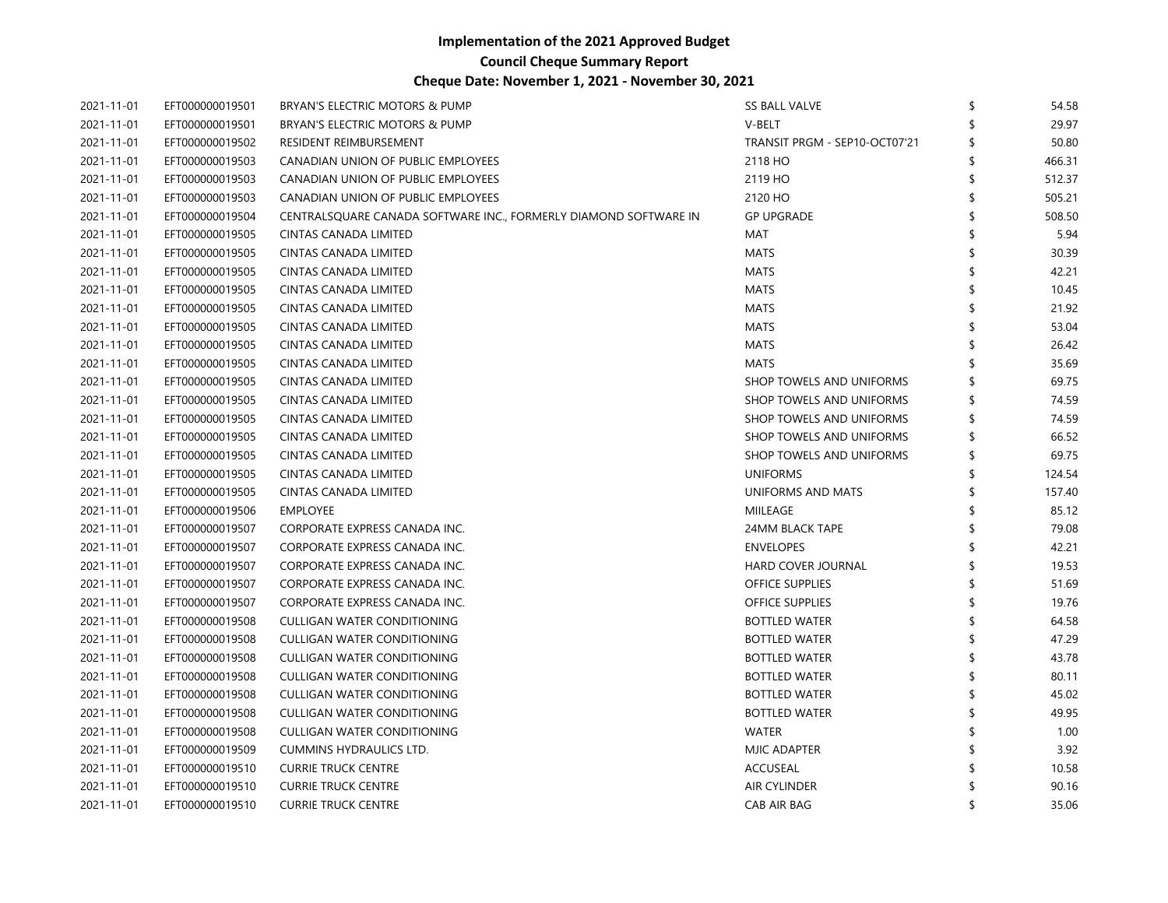| 2021-11-01 | EFT000000019501 | BRYAN'S ELECTRIC MOTORS & PUMP                                   | <b>SS BALL VALVE</b>          | \$<br>54.58  |
|------------|-----------------|------------------------------------------------------------------|-------------------------------|--------------|
| 2021-11-01 | EFT000000019501 | BRYAN'S ELECTRIC MOTORS & PUMP                                   | V-BELT                        | 29.97        |
| 2021-11-01 | EFT000000019502 | RESIDENT REIMBURSEMENT                                           | TRANSIT PRGM - SEP10-OCT07'21 | 50.80        |
| 2021-11-01 | EFT000000019503 | CANADIAN UNION OF PUBLIC EMPLOYEES                               | 2118 HO                       | \$<br>466.31 |
| 2021-11-01 | EFT000000019503 | CANADIAN UNION OF PUBLIC EMPLOYEES                               | 2119 HO                       | \$<br>512.37 |
| 2021-11-01 | EFT000000019503 | CANADIAN UNION OF PUBLIC EMPLOYEES                               | 2120 HO                       | 505.21       |
| 2021-11-01 | EFT000000019504 | CENTRALSQUARE CANADA SOFTWARE INC., FORMERLY DIAMOND SOFTWARE IN | <b>GP UPGRADE</b>             | 508.50       |
| 2021-11-01 | EFT000000019505 | CINTAS CANADA LIMITED                                            | MAT                           | 5.94         |
| 2021-11-01 | EFT000000019505 | CINTAS CANADA LIMITED                                            | <b>MATS</b>                   | 30.39        |
| 2021-11-01 | EFT000000019505 | CINTAS CANADA LIMITED                                            | MATS                          | 42.21        |
| 2021-11-01 | EFT000000019505 | CINTAS CANADA LIMITED                                            | <b>MATS</b>                   | 10.45        |
| 2021-11-01 | EFT000000019505 | CINTAS CANADA LIMITED                                            | MATS                          | 21.92        |
| 2021-11-01 | EFT000000019505 | CINTAS CANADA LIMITED                                            | <b>MATS</b>                   | 53.04        |
| 2021-11-01 | EFT000000019505 | <b>CINTAS CANADA LIMITED</b>                                     | <b>MATS</b>                   | 26.42        |
| 2021-11-01 | EFT000000019505 | CINTAS CANADA LIMITED                                            | <b>MATS</b>                   | 35.69        |
| 2021-11-01 | EFT000000019505 | CINTAS CANADA LIMITED                                            | SHOP TOWELS AND UNIFORMS      | 69.75        |
| 2021-11-01 | EFT000000019505 | <b>CINTAS CANADA LIMITED</b>                                     | SHOP TOWELS AND UNIFORMS      | 74.59        |
| 2021-11-01 | EFT000000019505 | CINTAS CANADA LIMITED                                            | SHOP TOWELS AND UNIFORMS      | 74.59        |
| 2021-11-01 | EFT000000019505 | <b>CINTAS CANADA LIMITED</b>                                     | SHOP TOWELS AND UNIFORMS      | 66.52        |
| 2021-11-01 | EFT000000019505 | CINTAS CANADA LIMITED                                            | SHOP TOWELS AND UNIFORMS      | 69.75        |
| 2021-11-01 | EFT000000019505 | CINTAS CANADA LIMITED                                            | <b>UNIFORMS</b>               | 124.54       |
| 2021-11-01 | EFT000000019505 | CINTAS CANADA LIMITED                                            | UNIFORMS AND MATS             | \$<br>157.40 |
| 2021-11-01 | EFT000000019506 | <b>EMPLOYEE</b>                                                  | MIILEAGE                      | 85.12        |
| 2021-11-01 | EFT000000019507 | CORPORATE EXPRESS CANADA INC.                                    | 24MM BLACK TAPE               | 79.08        |
| 2021-11-01 | EFT000000019507 | CORPORATE EXPRESS CANADA INC.                                    | <b>ENVELOPES</b>              | 42.21        |
| 2021-11-01 | EFT000000019507 | CORPORATE EXPRESS CANADA INC.                                    | HARD COVER JOURNAL            | 19.53        |
| 2021-11-01 | EFT000000019507 | CORPORATE EXPRESS CANADA INC.                                    | <b>OFFICE SUPPLIES</b>        | 51.69        |
| 2021-11-01 | EFT000000019507 | CORPORATE EXPRESS CANADA INC.                                    | <b>OFFICE SUPPLIES</b>        | 19.76        |
| 2021-11-01 | EFT000000019508 | <b>CULLIGAN WATER CONDITIONING</b>                               | <b>BOTTLED WATER</b>          | 64.58        |
| 2021-11-01 | EFT000000019508 | CULLIGAN WATER CONDITIONING                                      | <b>BOTTLED WATER</b>          | 47.29        |
| 2021-11-01 | EFT000000019508 | <b>CULLIGAN WATER CONDITIONING</b>                               | <b>BOTTLED WATER</b>          | 43.78        |
| 2021-11-01 | EFT000000019508 | <b>CULLIGAN WATER CONDITIONING</b>                               | <b>BOTTLED WATER</b>          | 80.11        |
| 2021-11-01 | EFT000000019508 | <b>CULLIGAN WATER CONDITIONING</b>                               | <b>BOTTLED WATER</b>          | 45.02        |
| 2021-11-01 | EFT000000019508 | <b>CULLIGAN WATER CONDITIONING</b>                               | <b>BOTTLED WATER</b>          | 49.95        |
| 2021-11-01 | EFT000000019508 | CULLIGAN WATER CONDITIONING                                      | WATER                         | 1.00         |
| 2021-11-01 | EFT000000019509 | CUMMINS HYDRAULICS LTD.                                          | MJIC ADAPTER                  | 3.92         |
| 2021-11-01 | EFT000000019510 | <b>CURRIE TRUCK CENTRE</b>                                       | <b>ACCUSEAL</b>               | 10.58        |
| 2021-11-01 | EFT000000019510 | <b>CURRIE TRUCK CENTRE</b>                                       | AIR CYLINDER                  | 90.16        |
| 2021-11-01 | EFT000000019510 | <b>CURRIE TRUCK CENTRE</b>                                       | CAB AIR BAG                   | \$<br>35.06  |
|            |                 |                                                                  |                               |              |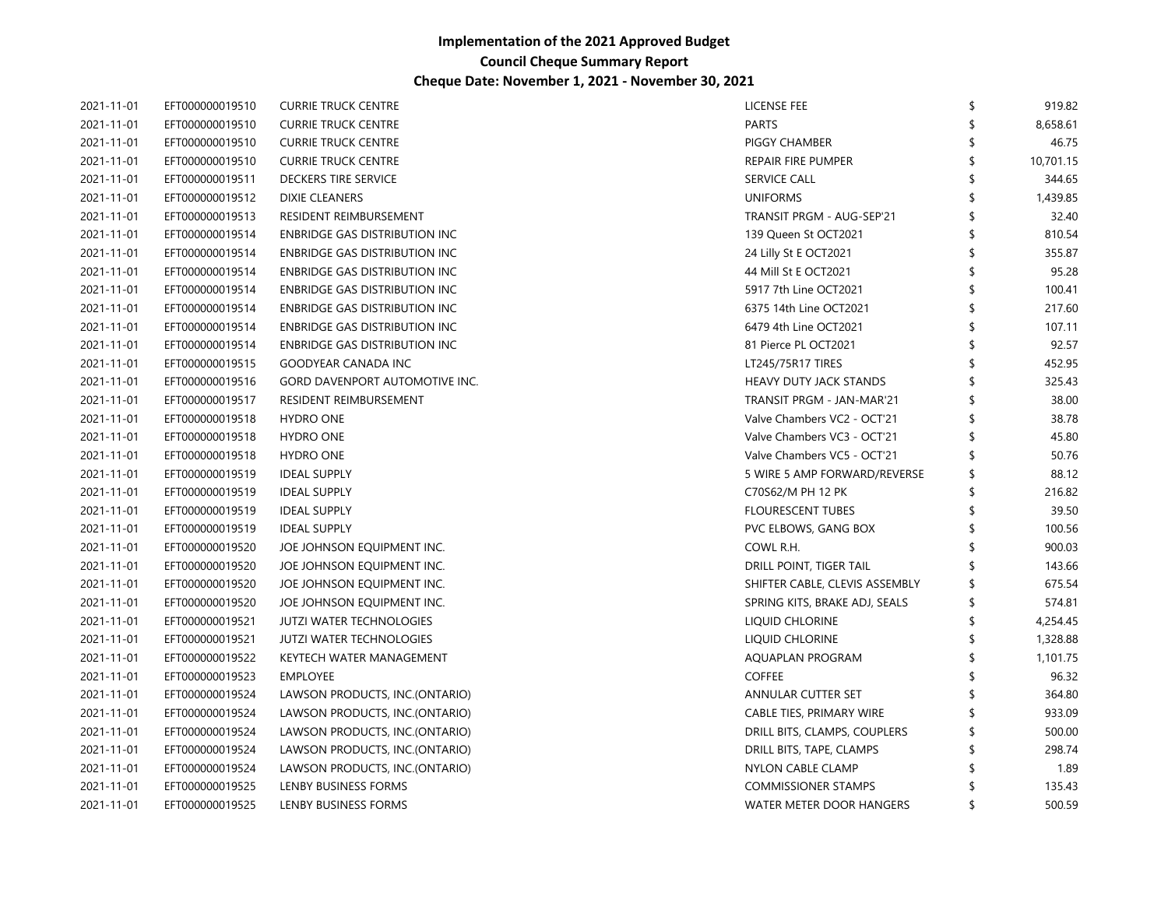| 2021-11-01 | EFT000000019510 | <b>CURRIE TRUCK CENTRE</b>           | LICENSE FEE                    | 919.82    |
|------------|-----------------|--------------------------------------|--------------------------------|-----------|
| 2021-11-01 | EFT000000019510 | <b>CURRIE TRUCK CENTRE</b>           | <b>PARTS</b>                   | 8,658.61  |
| 2021-11-01 | EFT000000019510 | <b>CURRIE TRUCK CENTRE</b>           | PIGGY CHAMBER                  | 46.75     |
| 2021-11-01 | EFT000000019510 | <b>CURRIE TRUCK CENTRE</b>           | <b>REPAIR FIRE PUMPER</b>      | 10,701.15 |
| 2021-11-01 | EFT000000019511 | DECKERS TIRE SERVICE                 | <b>SERVICE CALL</b>            | 344.65    |
| 2021-11-01 | EFT000000019512 | <b>DIXIE CLEANERS</b>                | <b>UNIFORMS</b>                | 1,439.85  |
| 2021-11-01 | EFT000000019513 | RESIDENT REIMBURSEMENT               | TRANSIT PRGM - AUG-SEP'21      | 32.40     |
| 2021-11-01 | EFT000000019514 | <b>ENBRIDGE GAS DISTRIBUTION INC</b> | 139 Queen St OCT2021           | 810.54    |
| 2021-11-01 | EFT000000019514 | <b>ENBRIDGE GAS DISTRIBUTION INC</b> | 24 Lilly St E OCT2021          | 355.87    |
| 2021-11-01 | EFT000000019514 | ENBRIDGE GAS DISTRIBUTION INC        | 44 Mill St E OCT2021           | 95.28     |
| 2021-11-01 | EFT000000019514 | <b>ENBRIDGE GAS DISTRIBUTION INC</b> | 5917 7th Line OCT2021          | 100.41    |
| 2021-11-01 | EFT000000019514 | ENBRIDGE GAS DISTRIBUTION INC        | 6375 14th Line OCT2021         | 217.60    |
| 2021-11-01 | EFT000000019514 | ENBRIDGE GAS DISTRIBUTION INC        | 6479 4th Line OCT2021          | 107.11    |
| 2021-11-01 | EFT000000019514 | ENBRIDGE GAS DISTRIBUTION INC        | 81 Pierce PL OCT2021           | 92.57     |
| 2021-11-01 | EFT000000019515 | <b>GOODYEAR CANADA INC</b>           | LT245/75R17 TIRES              | 452.95    |
| 2021-11-01 | EFT000000019516 | GORD DAVENPORT AUTOMOTIVE INC.       | HEAVY DUTY JACK STANDS         | 325.43    |
| 2021-11-01 | EFT000000019517 | RESIDENT REIMBURSEMENT               | TRANSIT PRGM - JAN-MAR'21      | 38.00     |
| 2021-11-01 | EFT000000019518 | <b>HYDRO ONE</b>                     | Valve Chambers VC2 - OCT'21    | 38.78     |
| 2021-11-01 | EFT000000019518 | <b>HYDRO ONE</b>                     | Valve Chambers VC3 - OCT'21    | 45.80     |
| 2021-11-01 | EFT000000019518 | HYDRO ONE                            | Valve Chambers VC5 - OCT'21    | 50.76     |
| 2021-11-01 | EFT000000019519 | <b>IDEAL SUPPLY</b>                  | 5 WIRE 5 AMP FORWARD/REVERSE   | 88.12     |
| 2021-11-01 | EFT000000019519 | <b>IDEAL SUPPLY</b>                  | C70S62/M PH 12 PK              | 216.82    |
| 2021-11-01 | EFT000000019519 | <b>IDEAL SUPPLY</b>                  | <b>FLOURESCENT TUBES</b>       | 39.50     |
| 2021-11-01 | EFT000000019519 | <b>IDEAL SUPPLY</b>                  | PVC ELBOWS, GANG BOX           | 100.56    |
| 2021-11-01 | EFT000000019520 | JOE JOHNSON EQUIPMENT INC.           | COWL R.H.                      | 900.03    |
| 2021-11-01 | EFT000000019520 | JOE JOHNSON EQUIPMENT INC.           | DRILL POINT, TIGER TAIL        | 143.66    |
| 2021-11-01 | EFT000000019520 | JOE JOHNSON EQUIPMENT INC.           | SHIFTER CABLE, CLEVIS ASSEMBLY | 675.54    |
| 2021-11-01 | EFT000000019520 | JOE JOHNSON EQUIPMENT INC.           | SPRING KITS, BRAKE ADJ, SEALS  | 574.81    |
| 2021-11-01 | EFT000000019521 | <b>JUTZI WATER TECHNOLOGIES</b>      | LIQUID CHLORINE                | 4,254.45  |
| 2021-11-01 | EFT000000019521 | <b>JUTZI WATER TECHNOLOGIES</b>      | LIQUID CHLORINE                | 1,328.88  |
| 2021-11-01 | EFT000000019522 | KEYTECH WATER MANAGEMENT             | AQUAPLAN PROGRAM               | 1,101.75  |
| 2021-11-01 | EFT000000019523 | <b>EMPLOYEE</b>                      | <b>COFFEE</b>                  | 96.32     |
| 2021-11-01 | EFT000000019524 | LAWSON PRODUCTS, INC.(ONTARIO)       | ANNULAR CUTTER SET             | 364.80    |
| 2021-11-01 | EFT000000019524 | LAWSON PRODUCTS, INC.(ONTARIO)       | CABLE TIES, PRIMARY WIRE       | 933.09    |
| 2021-11-01 | EFT000000019524 | LAWSON PRODUCTS, INC.(ONTARIO)       | DRILL BITS, CLAMPS, COUPLERS   | 500.00    |
| 2021-11-01 | EFT000000019524 | LAWSON PRODUCTS, INC.(ONTARIO)       | DRILL BITS, TAPE, CLAMPS       | 298.74    |
| 2021-11-01 | EFT000000019524 | LAWSON PRODUCTS, INC.(ONTARIO)       | NYLON CABLE CLAMP              | 1.89      |
| 2021-11-01 | EFT000000019525 | LENBY BUSINESS FORMS                 | <b>COMMISSIONER STAMPS</b>     | 135.43    |
| 2021-11-01 | EFT000000019525 | LENBY BUSINESS FORMS                 | WATER METER DOOR HANGERS       | 500.59    |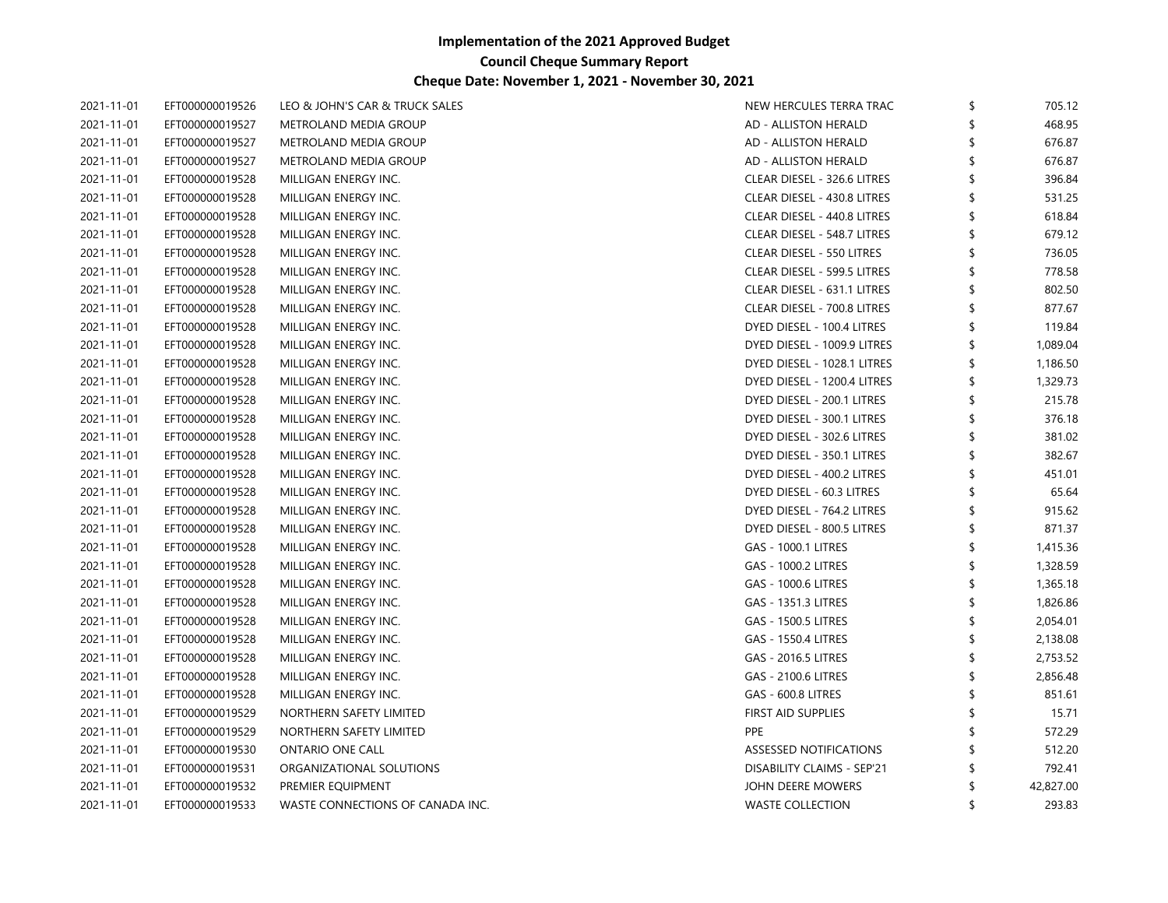| 2021-11-01 | EFT000000019526 | LEO & JOHN'S CAR & TRUCK SALES   | NEW HERCULES TERRA TRAC          | \$<br>705.12   |
|------------|-----------------|----------------------------------|----------------------------------|----------------|
| 2021-11-01 | EFT000000019527 | METROLAND MEDIA GROUP            | AD - ALLISTON HERALD             | 468.95         |
| 2021-11-01 | EFT000000019527 | METROLAND MEDIA GROUP            | AD - ALLISTON HERALD             | 676.87         |
| 2021-11-01 | EFT000000019527 | METROLAND MEDIA GROUP            | AD - ALLISTON HERALD             | 676.87         |
| 2021-11-01 | EFT000000019528 | MILLIGAN ENERGY INC.             | CLEAR DIESEL - 326.6 LITRES      | 396.84         |
| 2021-11-01 | EFT000000019528 | MILLIGAN ENERGY INC.             | CLEAR DIESEL - 430.8 LITRES      | 531.25         |
| 2021-11-01 | EFT000000019528 | MILLIGAN ENERGY INC.             | CLEAR DIESEL - 440.8 LITRES      | 618.84         |
| 2021-11-01 | EFT000000019528 | MILLIGAN ENERGY INC.             | CLEAR DIESEL - 548.7 LITRES      | 679.12         |
| 2021-11-01 | EFT000000019528 | MILLIGAN ENERGY INC.             | <b>CLEAR DIESEL - 550 LITRES</b> | 736.05         |
| 2021-11-01 | EFT000000019528 | MILLIGAN ENERGY INC.             | CLEAR DIESEL - 599.5 LITRES      | 778.58         |
| 2021-11-01 | EFT000000019528 | MILLIGAN ENERGY INC.             | CLEAR DIESEL - 631.1 LITRES      | 802.50         |
| 2021-11-01 | EFT000000019528 | MILLIGAN ENERGY INC.             | CLEAR DIESEL - 700.8 LITRES      | 877.67         |
| 2021-11-01 | EFT000000019528 | MILLIGAN ENERGY INC.             | DYED DIESEL - 100.4 LITRES       | 119.84         |
| 2021-11-01 | EFT000000019528 | MILLIGAN ENERGY INC.             | DYED DIESEL - 1009.9 LITRES      | 1,089.04       |
| 2021-11-01 | EFT000000019528 | MILLIGAN ENERGY INC.             | DYED DIESEL - 1028.1 LITRES      | 1,186.50       |
| 2021-11-01 | EFT000000019528 | MILLIGAN ENERGY INC.             | DYED DIESEL - 1200.4 LITRES      | 1,329.73       |
| 2021-11-01 | EFT000000019528 | MILLIGAN ENERGY INC.             | DYED DIESEL - 200.1 LITRES       | 215.78         |
| 2021-11-01 | EFT000000019528 | MILLIGAN ENERGY INC.             | DYED DIESEL - 300.1 LITRES       | 376.18         |
| 2021-11-01 | EFT000000019528 | MILLIGAN ENERGY INC.             | DYED DIESEL - 302.6 LITRES       | 381.02         |
| 2021-11-01 | EFT000000019528 | MILLIGAN ENERGY INC.             | DYED DIESEL - 350.1 LITRES       | 382.67         |
| 2021-11-01 | EFT000000019528 | MILLIGAN ENERGY INC.             | DYED DIESEL - 400.2 LITRES       | 451.01         |
| 2021-11-01 | EFT000000019528 | MILLIGAN ENERGY INC.             | DYED DIESEL - 60.3 LITRES        | 65.64          |
| 2021-11-01 | EFT000000019528 | MILLIGAN ENERGY INC.             | DYED DIESEL - 764.2 LITRES       | 915.62         |
| 2021-11-01 | EFT000000019528 | MILLIGAN ENERGY INC.             | DYED DIESEL - 800.5 LITRES       | 871.37         |
| 2021-11-01 | EFT000000019528 | MILLIGAN ENERGY INC.             | GAS - 1000.1 LITRES              | 1,415.36       |
| 2021-11-01 | EFT000000019528 | MILLIGAN ENERGY INC.             | GAS - 1000.2 LITRES              | \$<br>1,328.59 |
| 2021-11-01 | EFT000000019528 | MILLIGAN ENERGY INC.             | GAS - 1000.6 LITRES              | \$<br>1,365.18 |
| 2021-11-01 | EFT000000019528 | MILLIGAN ENERGY INC.             | GAS - 1351.3 LITRES              | \$<br>1,826.86 |
| 2021-11-01 | EFT000000019528 | MILLIGAN ENERGY INC.             | GAS - 1500.5 LITRES              | 2,054.01       |
| 2021-11-01 | EFT000000019528 | MILLIGAN ENERGY INC.             | GAS - 1550.4 LITRES              | 2,138.08       |
| 2021-11-01 | EFT000000019528 | MILLIGAN ENERGY INC.             | GAS - 2016.5 LITRES              | 2,753.52       |
| 2021-11-01 | EFT000000019528 | MILLIGAN ENERGY INC.             | GAS - 2100.6 LITRES              | 2,856.48       |
| 2021-11-01 | EFT000000019528 | MILLIGAN ENERGY INC.             | GAS - 600.8 LITRES               | 851.61         |
| 2021-11-01 | EFT000000019529 | NORTHERN SAFETY LIMITED          | FIRST AID SUPPLIES               | 15.71          |
| 2021-11-01 | EFT000000019529 | NORTHERN SAFETY LIMITED          | PPE                              | 572.29         |
| 2021-11-01 | EFT000000019530 | <b>ONTARIO ONE CALL</b>          | <b>ASSESSED NOTIFICATIONS</b>    | 512.20         |
| 2021-11-01 | EFT000000019531 | ORGANIZATIONAL SOLUTIONS         | DISABILITY CLAIMS - SEP'21       | 792.41         |
| 2021-11-01 | EFT000000019532 | PREMIER EQUIPMENT                | JOHN DEERE MOWERS                | 42,827.00      |
| 2021-11-01 | EFT000000019533 | WASTE CONNECTIONS OF CANADA INC. | <b>WASTE COLLECTION</b>          | \$<br>293.83   |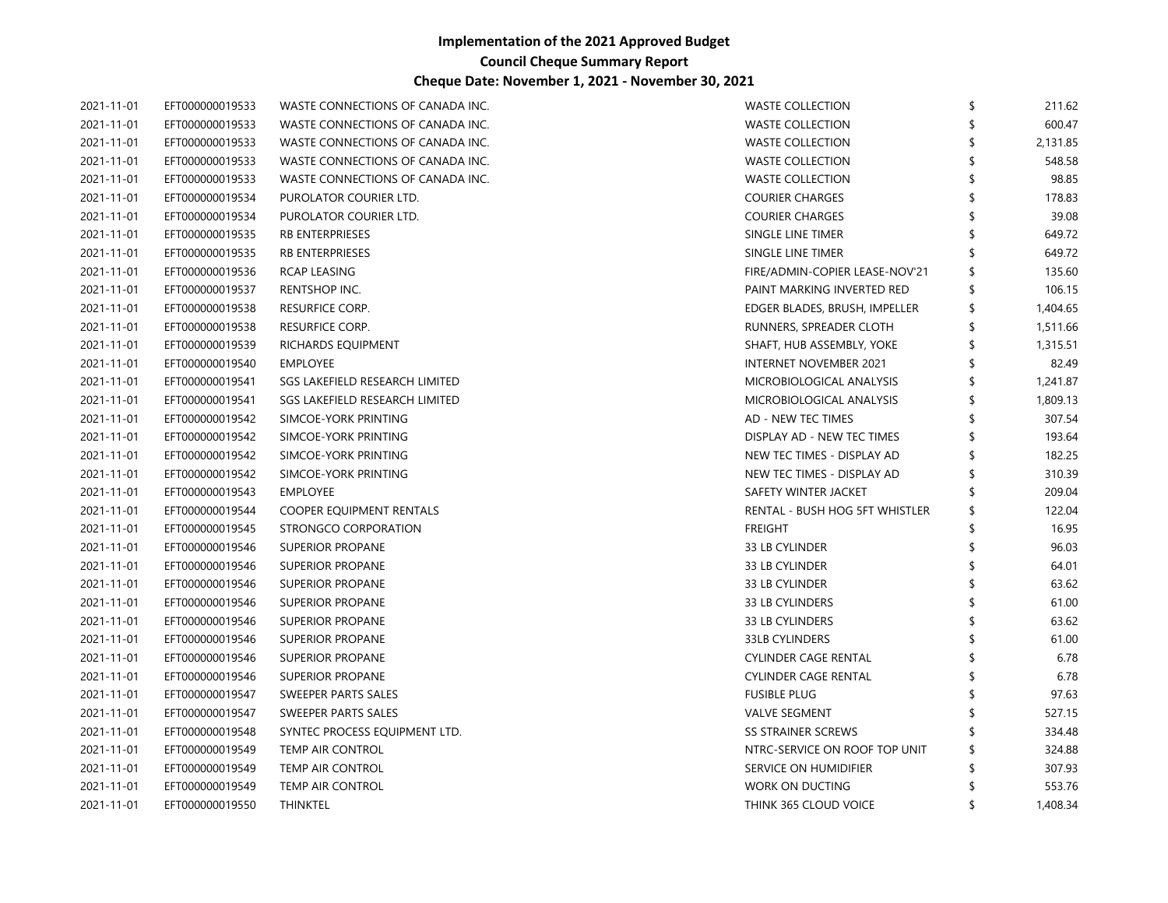| 2021-11-01 | EFT000000019533 | WASTE CONNECTIONS OF CANADA INC. | <b>WASTE COLLECTION</b>        | \$<br>211.62 |
|------------|-----------------|----------------------------------|--------------------------------|--------------|
| 2021-11-01 | EFT000000019533 | WASTE CONNECTIONS OF CANADA INC. | <b>WASTE COLLECTION</b>        | 600.47       |
| 2021-11-01 | EFT000000019533 | WASTE CONNECTIONS OF CANADA INC. | <b>WASTE COLLECTION</b>        | 2,131.85     |
| 2021-11-01 | EFT000000019533 | WASTE CONNECTIONS OF CANADA INC. | <b>WASTE COLLECTION</b>        | 548.58       |
| 2021-11-01 | EFT000000019533 | WASTE CONNECTIONS OF CANADA INC. | <b>WASTE COLLECTION</b>        | 98.85        |
| 2021-11-01 | EFT000000019534 | PUROLATOR COURIER LTD.           | <b>COURIER CHARGES</b>         | 178.83       |
| 2021-11-01 | EFT000000019534 | PUROLATOR COURIER LTD.           | <b>COURIER CHARGES</b>         | 39.08        |
| 2021-11-01 | EFT000000019535 | <b>RB ENTERPRIESES</b>           | SINGLE LINE TIMER              | 649.72       |
| 2021-11-01 | EFT000000019535 | <b>RB ENTERPRIESES</b>           | SINGLE LINE TIMER              | 649.72       |
| 2021-11-01 | EFT000000019536 | RCAP LEASING                     | FIRE/ADMIN-COPIER LEASE-NOV'21 | 135.60       |
| 2021-11-01 | EFT000000019537 | RENTSHOP INC.                    | PAINT MARKING INVERTED RED     | 106.15       |
| 2021-11-01 | EFT000000019538 | RESURFICE CORP.                  | EDGER BLADES, BRUSH, IMPELLER  | 1,404.65     |
| 2021-11-01 | EFT000000019538 | RESURFICE CORP.                  | RUNNERS, SPREADER CLOTH        | 1,511.66     |
| 2021-11-01 | EFT000000019539 | RICHARDS EQUIPMENT               | SHAFT, HUB ASSEMBLY, YOKE      | 1,315.51     |
| 2021-11-01 | EFT000000019540 | <b>EMPLOYEE</b>                  | INTERNET NOVEMBER 2021         | 82.49        |
| 2021-11-01 | EFT000000019541 | SGS LAKEFIELD RESEARCH LIMITED   | MICROBIOLOGICAL ANALYSIS       | 1,241.87     |
| 2021-11-01 | EFT000000019541 | SGS LAKEFIELD RESEARCH LIMITED   | MICROBIOLOGICAL ANALYSIS       | 1,809.13     |
| 2021-11-01 | EFT000000019542 | SIMCOE-YORK PRINTING             | AD - NEW TEC TIMES             | 307.54       |
| 2021-11-01 | EFT000000019542 | SIMCOE-YORK PRINTING             | DISPLAY AD - NEW TEC TIMES     | 193.64       |
| 2021-11-01 | EFT000000019542 | SIMCOE-YORK PRINTING             | NEW TEC TIMES - DISPLAY AD     | 182.25       |
| 2021-11-01 | EFT000000019542 | SIMCOE-YORK PRINTING             | NEW TEC TIMES - DISPLAY AD     | 310.39       |
| 2021-11-01 | EFT000000019543 | <b>EMPLOYEE</b>                  | SAFETY WINTER JACKET           | 209.04       |
| 2021-11-01 | EFT000000019544 | COOPER EQUIPMENT RENTALS         | RENTAL - BUSH HOG 5FT WHISTLER | 122.04       |
| 2021-11-01 | EFT000000019545 | STRONGCO CORPORATION             | <b>FREIGHT</b>                 | 16.95        |
| 2021-11-01 | EFT000000019546 | SUPERIOR PROPANE                 | 33 LB CYLINDER                 | 96.03        |
| 2021-11-01 | EFT000000019546 | SUPERIOR PROPANE                 | 33 LB CYLINDER                 | 64.01        |
| 2021-11-01 | EFT000000019546 | SUPERIOR PROPANE                 | 33 LB CYLINDER                 | 63.62        |
| 2021-11-01 | EFT000000019546 | SUPERIOR PROPANE                 | 33 LB CYLINDERS                | 61.00        |
| 2021-11-01 | EFT000000019546 | SUPERIOR PROPANE                 | <b>33 LB CYLINDERS</b>         | 63.62        |
| 2021-11-01 | EFT000000019546 | SUPERIOR PROPANE                 | <b>33LB CYLINDERS</b>          | 61.00        |
| 2021-11-01 | EFT000000019546 | SUPERIOR PROPANE                 | <b>CYLINDER CAGE RENTAL</b>    | 6.78         |
| 2021-11-01 | EFT000000019546 | SUPERIOR PROPANE                 | <b>CYLINDER CAGE RENTAL</b>    | 6.78         |
| 2021-11-01 | EFT000000019547 | SWEEPER PARTS SALES              | <b>FUSIBLE PLUG</b>            | 97.63        |
| 2021-11-01 | EFT000000019547 | SWEEPER PARTS SALES              | <b>VALVE SEGMENT</b>           | 527.15       |
| 2021-11-01 | EFT000000019548 | SYNTEC PROCESS EQUIPMENT LTD.    | <b>SS STRAINER SCREWS</b>      | 334.48       |
| 2021-11-01 | EFT000000019549 | <b>TEMP AIR CONTROL</b>          | NTRC-SERVICE ON ROOF TOP UNIT  | 324.88       |
| 2021-11-01 | EFT000000019549 | <b>TEMP AIR CONTROL</b>          | SERVICE ON HUMIDIFIER          | 307.93       |
| 2021-11-01 | EFT000000019549 | TEMP AIR CONTROL                 | WORK ON DUCTING                | 553.76       |
| 2021-11-01 | EFT000000019550 | <b>THINKTEL</b>                  | THINK 365 CLOUD VOICE          | 1,408.34     |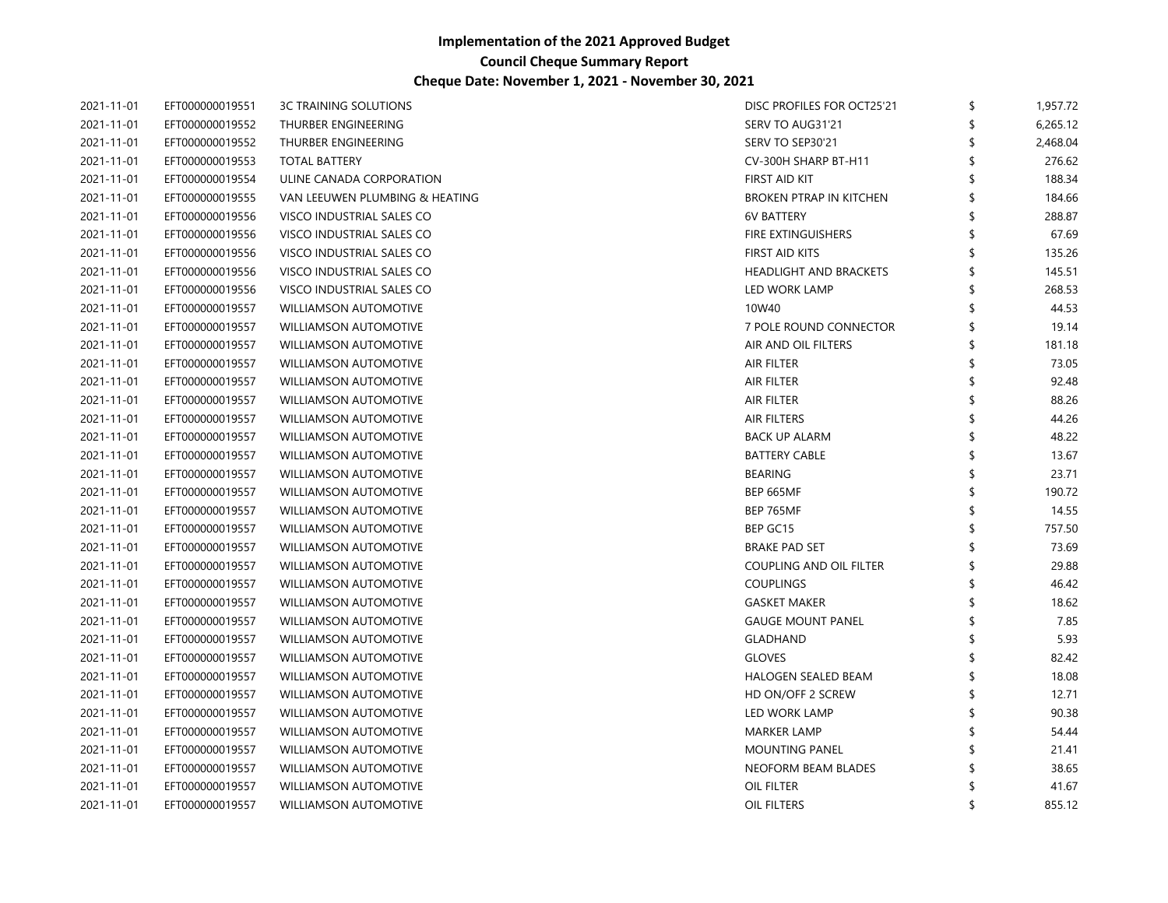| 2021-11-01<br>2021-11-01 | EFT000000019552<br>EFT000000019552 | THURBER ENGINEERING<br>THURBER ENGINEERING | SERV TO AUG31'21               | 6,265.12     |
|--------------------------|------------------------------------|--------------------------------------------|--------------------------------|--------------|
|                          |                                    |                                            |                                |              |
|                          |                                    |                                            | SERV TO SEP30'21               | 2,468.04     |
| 2021-11-01               | EFT000000019553                    | <b>TOTAL BATTERY</b>                       | CV-300H SHARP BT-H11           | 276.62       |
| 2021-11-01               | EFT000000019554                    | ULINE CANADA CORPORATION                   | FIRST AID KIT                  | 188.34       |
| 2021-11-01               | EFT000000019555                    | VAN LEEUWEN PLUMBING & HEATING             | <b>BROKEN PTRAP IN KITCHEN</b> | 184.66       |
| 2021-11-01               | EFT000000019556                    | VISCO INDUSTRIAL SALES CO                  | <b>6V BATTERY</b>              | 288.87       |
| 2021-11-01               | EFT000000019556                    | VISCO INDUSTRIAL SALES CO                  | FIRE EXTINGUISHERS             | 67.69        |
| 2021-11-01               | EFT000000019556                    | VISCO INDUSTRIAL SALES CO                  | FIRST AID KITS                 | \$<br>135.26 |
| 2021-11-01               | EFT000000019556                    | VISCO INDUSTRIAL SALES CO                  | HEADLIGHT AND BRACKETS         | \$<br>145.51 |
| 2021-11-01               | EFT000000019556                    | VISCO INDUSTRIAL SALES CO                  | LED WORK LAMP                  | 268.53       |
| 2021-11-01               | EFT000000019557                    | WILLIAMSON AUTOMOTIVE                      | 10W40                          | 44.53        |
| 2021-11-01               | EFT000000019557                    | <b>WILLIAMSON AUTOMOTIVE</b>               | 7 POLE ROUND CONNECTOR         | 19.14        |
| 2021-11-01               | EFT000000019557                    | WILLIAMSON AUTOMOTIVE                      | AIR AND OIL FILTERS            | 181.18       |
| 2021-11-01               | EFT000000019557                    | <b>WILLIAMSON AUTOMOTIVE</b>               | AIR FILTER                     | 73.05        |
| 2021-11-01               | EFT000000019557                    | WILLIAMSON AUTOMOTIVE                      | AIR FILTER                     | 92.48        |
| 2021-11-01               | EFT000000019557                    | <b>WILLIAMSON AUTOMOTIVE</b>               | AIR FILTER                     | 88.26        |
| 2021-11-01               | EFT000000019557                    | <b>WILLIAMSON AUTOMOTIVE</b>               | AIR FILTERS                    | 44.26        |
| 2021-11-01               | EFT000000019557                    | WILLIAMSON AUTOMOTIVE                      | <b>BACK UP ALARM</b>           | 48.22        |
| 2021-11-01               | EFT000000019557                    | <b>WILLIAMSON AUTOMOTIVE</b>               | <b>BATTERY CABLE</b>           | 13.67        |
| 2021-11-01               | EFT000000019557                    | WILLIAMSON AUTOMOTIVE                      | <b>BEARING</b>                 | 23.71        |
| 2021-11-01               | EFT000000019557                    | <b>WILLIAMSON AUTOMOTIVE</b>               | <b>BEP 665MF</b>               | \$<br>190.72 |
| 2021-11-01               | EFT000000019557                    | WILLIAMSON AUTOMOTIVE                      | <b>BEP 765MF</b>               | 14.55        |
| 2021-11-01               | EFT000000019557                    | <b>WILLIAMSON AUTOMOTIVE</b>               | BEP GC15                       | 757.50       |
| 2021-11-01               | EFT000000019557                    | <b>WILLIAMSON AUTOMOTIVE</b>               | <b>BRAKE PAD SET</b>           | 73.69        |
| 2021-11-01               | EFT000000019557                    | <b>WILLIAMSON AUTOMOTIVE</b>               | COUPLING AND OIL FILTER        | 29.88        |
| 2021-11-01               | EFT000000019557                    | <b>WILLIAMSON AUTOMOTIVE</b>               | <b>COUPLINGS</b>               | 46.42        |
| 2021-11-01               | EFT000000019557                    | WILLIAMSON AUTOMOTIVE                      | <b>GASKET MAKER</b>            | 18.62        |
| 2021-11-01               | EFT000000019557                    | <b>WILLIAMSON AUTOMOTIVE</b>               | <b>GAUGE MOUNT PANEL</b>       | 7.85         |
| 2021-11-01               | EFT000000019557                    | WILLIAMSON AUTOMOTIVE                      | <b>GLADHAND</b>                | 5.93         |
| 2021-11-01               | EFT000000019557                    | <b>WILLIAMSON AUTOMOTIVE</b>               | <b>GLOVES</b>                  | 82.42        |
| 2021-11-01               | EFT000000019557                    | <b>WILLIAMSON AUTOMOTIVE</b>               | <b>HALOGEN SEALED BEAM</b>     | 18.08        |
| 2021-11-01               | EFT000000019557                    | <b>WILLIAMSON AUTOMOTIVE</b>               | HD ON/OFF 2 SCREW              | 12.71        |
| 2021-11-01               | EFT000000019557                    | <b>WILLIAMSON AUTOMOTIVE</b>               | LED WORK LAMP                  | \$<br>90.38  |
| 2021-11-01               | EFT000000019557                    | WILLIAMSON AUTOMOTIVE                      | <b>MARKER LAMP</b>             | 54.44        |
| 2021-11-01               | EFT000000019557                    | <b>WILLIAMSON AUTOMOTIVE</b>               | <b>MOUNTING PANEL</b>          | 21.41        |
| 2021-11-01               | EFT000000019557                    | <b>WILLIAMSON AUTOMOTIVE</b>               | NEOFORM BEAM BLADES            | 38.65        |
| 2021-11-01               | EFT000000019557                    | <b>WILLIAMSON AUTOMOTIVE</b>               | OIL FILTER                     | 41.67        |
| 2021-11-01               | EFT000000019557                    | <b>WILLIAMSON AUTOMOTIVE</b>               | OIL FILTERS                    | 855.12       |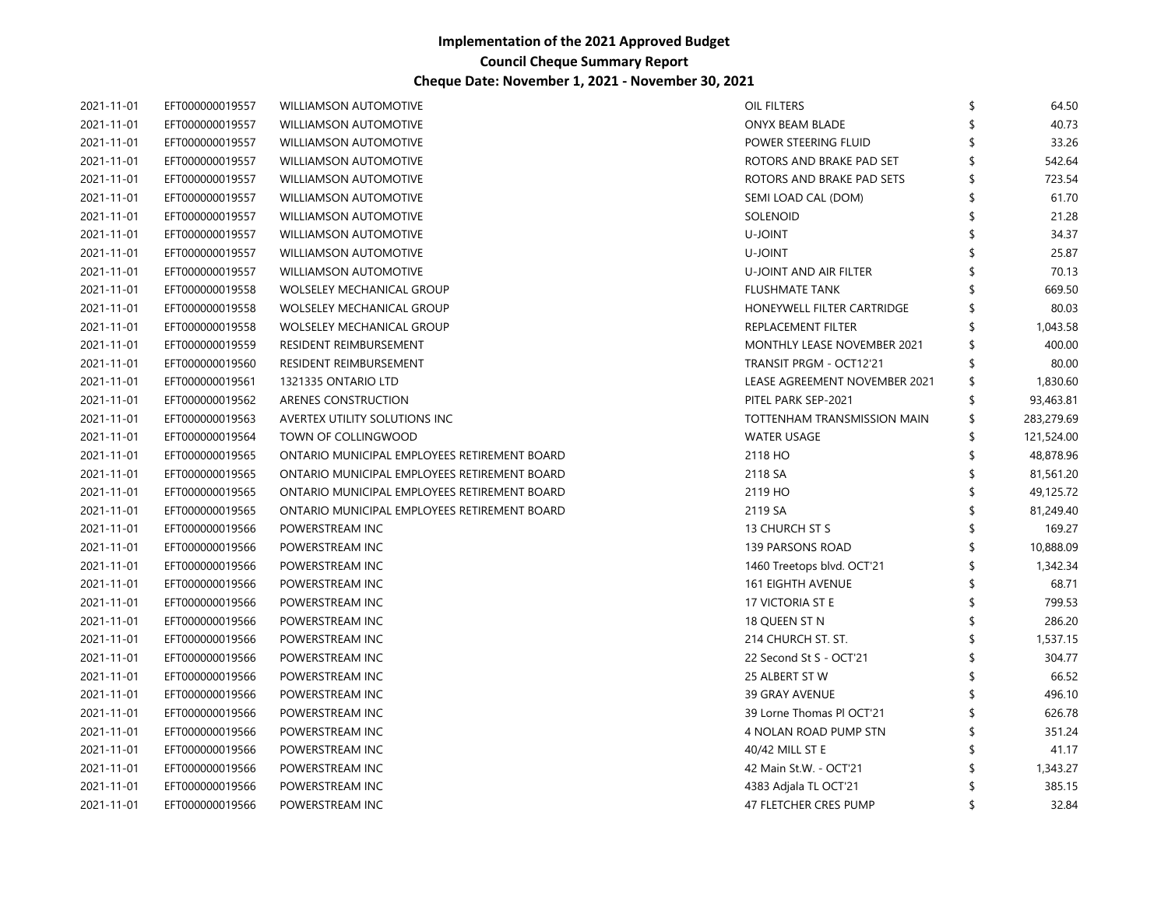| 2021-11-01 | EFT000000019557 | <b>WILLIAMSON AUTOMOTIVE</b>                 | OIL FILTERS                   | 64.50            |
|------------|-----------------|----------------------------------------------|-------------------------------|------------------|
| 2021-11-01 | EFT000000019557 | <b>WILLIAMSON AUTOMOTIVE</b>                 | ONYX BEAM BLADE               | 40.73            |
| 2021-11-01 | EFT000000019557 | <b>WILLIAMSON AUTOMOTIVE</b>                 | POWER STEERING FLUID          | 33.26            |
| 2021-11-01 | EFT000000019557 | <b>WILLIAMSON AUTOMOTIVE</b>                 | ROTORS AND BRAKE PAD SET      | 542.64           |
| 2021-11-01 | EFT000000019557 | <b>WILLIAMSON AUTOMOTIVE</b>                 | ROTORS AND BRAKE PAD SETS     | 723.54           |
| 2021-11-01 | EFT000000019557 | <b>WILLIAMSON AUTOMOTIVE</b>                 | SEMI LOAD CAL (DOM)           | 61.70            |
| 2021-11-01 | EFT000000019557 | <b>WILLIAMSON AUTOMOTIVE</b>                 | SOLENOID                      | 21.28            |
| 2021-11-01 | EFT000000019557 | <b>WILLIAMSON AUTOMOTIVE</b>                 | U-JOINT                       | 34.37            |
| 2021-11-01 | EFT000000019557 | <b>WILLIAMSON AUTOMOTIVE</b>                 | U-JOINT                       | 25.87            |
| 2021-11-01 | EFT000000019557 | <b>WILLIAMSON AUTOMOTIVE</b>                 | U-JOINT AND AIR FILTER        | 70.13            |
| 2021-11-01 | EFT000000019558 | <b>WOLSELEY MECHANICAL GROUP</b>             | <b>FLUSHMATE TANK</b>         | 669.50           |
| 2021-11-01 | EFT000000019558 | <b>WOLSELEY MECHANICAL GROUP</b>             | HONEYWELL FILTER CARTRIDGE    | 80.03            |
| 2021-11-01 | EFT000000019558 | <b>WOLSELEY MECHANICAL GROUP</b>             | REPLACEMENT FILTER            | 1,043.58         |
| 2021-11-01 | EFT000000019559 | RESIDENT REIMBURSEMENT                       | MONTHLY LEASE NOVEMBER 2021   | 400.00           |
| 2021-11-01 | EFT000000019560 | RESIDENT REIMBURSEMENT                       | TRANSIT PRGM - OCT12'21       | 80.00            |
| 2021-11-01 | EFT000000019561 | 1321335 ONTARIO LTD                          | LEASE AGREEMENT NOVEMBER 2021 | \$<br>1,830.60   |
| 2021-11-01 | EFT000000019562 | ARENES CONSTRUCTION                          | PITEL PARK SEP-2021           | \$<br>93,463.81  |
| 2021-11-01 | EFT000000019563 | AVERTEX UTILITY SOLUTIONS INC                | TOTTENHAM TRANSMISSION MAIN   | \$<br>283,279.69 |
| 2021-11-01 | EFT000000019564 | TOWN OF COLLINGWOOD                          | <b>WATER USAGE</b>            | 121,524.00       |
| 2021-11-01 | EFT000000019565 | ONTARIO MUNICIPAL EMPLOYEES RETIREMENT BOARD | 2118 HO                       | 48,878.96        |
| 2021-11-01 | EFT000000019565 | ONTARIO MUNICIPAL EMPLOYEES RETIREMENT BOARD | 2118 SA                       | 81,561.20        |
| 2021-11-01 | EFT000000019565 | ONTARIO MUNICIPAL EMPLOYEES RETIREMENT BOARD | 2119 HO                       | 49,125.72        |
| 2021-11-01 | EFT000000019565 | ONTARIO MUNICIPAL EMPLOYEES RETIREMENT BOARD | 2119 SA                       | 81,249.40        |
| 2021-11-01 | EFT000000019566 | POWERSTREAM INC                              | 13 CHURCH ST S                | 169.27           |
| 2021-11-01 | EFT000000019566 | POWERSTREAM INC                              | 139 PARSONS ROAD              | 10,888.09        |
| 2021-11-01 | EFT000000019566 | POWERSTREAM INC                              | 1460 Treetops blvd. OCT'21    | 1,342.34         |
| 2021-11-01 | EFT000000019566 | POWERSTREAM INC                              | 161 EIGHTH AVENUE             | 68.71            |
| 2021-11-01 | EFT000000019566 | POWERSTREAM INC                              | 17 VICTORIA ST E              | 799.53           |
| 2021-11-01 | EFT000000019566 | POWERSTREAM INC                              | 18 QUEEN ST N                 | 286.20           |
| 2021-11-01 | EFT000000019566 | POWERSTREAM INC                              | 214 CHURCH ST. ST.            | 1,537.15         |
| 2021-11-01 | EFT000000019566 | POWERSTREAM INC                              | 22 Second St S - OCT'21       | 304.77           |
| 2021-11-01 | EFT000000019566 | POWERSTREAM INC                              | 25 ALBERT ST W                | 66.52            |
| 2021-11-01 | EFT000000019566 | POWERSTREAM INC                              | <b>39 GRAY AVENUE</b>         | 496.10           |
| 2021-11-01 | EFT000000019566 | POWERSTREAM INC                              | 39 Lorne Thomas PI OCT'21     | 626.78           |
| 2021-11-01 | EFT000000019566 | POWERSTREAM INC                              | 4 NOLAN ROAD PUMP STN         | 351.24           |
| 2021-11-01 | EFT000000019566 | POWERSTREAM INC                              | 40/42 MILL ST E               | 41.17            |
| 2021-11-01 | EFT000000019566 | POWERSTREAM INC                              | 42 Main St.W. - OCT'21        | 1,343.27         |
| 2021-11-01 | EFT000000019566 | POWERSTREAM INC                              | 4383 Adjala TL OCT'21         | 385.15           |
| 2021-11-01 | EFT000000019566 | POWERSTREAM INC                              | 47 FLETCHER CRES PUMP         | 32.84            |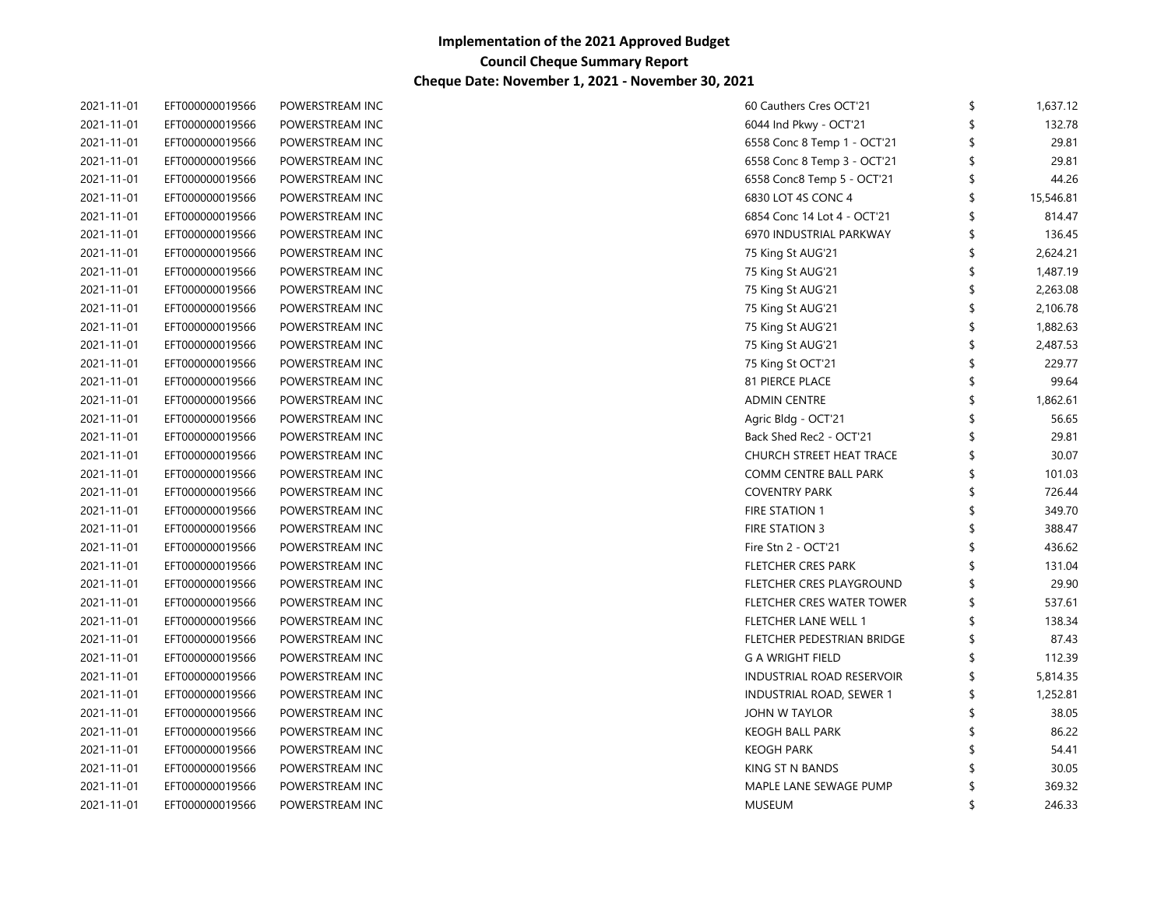| 2021-11-01 | EFT000000019566 | POWERSTREAM INC | 60 Cauthers Cres OCT'21     | \$<br>1,637.12 |
|------------|-----------------|-----------------|-----------------------------|----------------|
| 2021-11-01 | EFT000000019566 | POWERSTREAM INC | 6044 Ind Pkwy - OCT'21      | 132.78         |
| 2021-11-01 | EFT000000019566 | POWERSTREAM INC | 6558 Conc 8 Temp 1 - OCT'21 | 29.81          |
| 2021-11-01 | EFT000000019566 | POWERSTREAM INC | 6558 Conc 8 Temp 3 - OCT'21 | 29.81          |
| 2021-11-01 | EFT000000019566 | POWERSTREAM INC | 6558 Conc8 Temp 5 - OCT'21  | 44.26          |
| 2021-11-01 | EFT000000019566 | POWERSTREAM INC | 6830 LOT 4S CONC 4          | 15,546.81      |
| 2021-11-01 | EFT000000019566 | POWERSTREAM INC | 6854 Conc 14 Lot 4 - OCT'21 | 814.47         |
| 2021-11-01 | EFT000000019566 | POWERSTREAM INC | 6970 INDUSTRIAL PARKWAY     | 136.45         |
| 2021-11-01 | EFT000000019566 | POWERSTREAM INC | 75 King St AUG'21           | \$<br>2,624.21 |
| 2021-11-01 | EFT000000019566 | POWERSTREAM INC | 75 King St AUG'21           | \$<br>1,487.19 |
| 2021-11-01 | EFT000000019566 | POWERSTREAM INC | 75 King St AUG'21           | \$<br>2,263.08 |
| 2021-11-01 | EFT000000019566 | POWERSTREAM INC | 75 King St AUG'21           | \$<br>2,106.78 |
| 2021-11-01 | EFT000000019566 | POWERSTREAM INC | 75 King St AUG'21           | 1,882.63       |
| 2021-11-01 | EFT000000019566 | POWERSTREAM INC | 75 King St AUG'21           | 2,487.53       |
| 2021-11-01 | EFT000000019566 | POWERSTREAM INC | 75 King St OCT'21           | 229.77         |
| 2021-11-01 | EFT000000019566 | POWERSTREAM INC | 81 PIERCE PLACE             | 99.64          |
| 2021-11-01 | EFT000000019566 | POWERSTREAM INC | <b>ADMIN CENTRE</b>         | 1,862.61       |
| 2021-11-01 | EFT000000019566 | POWERSTREAM INC | Agric Bldg - OCT'21         | 56.65          |
| 2021-11-01 | EFT000000019566 | POWERSTREAM INC | Back Shed Rec2 - OCT'21     | 29.81          |
| 2021-11-01 | EFT000000019566 | POWERSTREAM INC | CHURCH STREET HEAT TRACE    | 30.07          |
| 2021-11-01 | EFT000000019566 | POWERSTREAM INC | COMM CENTRE BALL PARK       | 101.03         |
| 2021-11-01 | EFT000000019566 | POWERSTREAM INC | <b>COVENTRY PARK</b>        | 726.44         |
| 2021-11-01 | EFT000000019566 | POWERSTREAM INC | <b>FIRE STATION 1</b>       | 349.70         |
| 2021-11-01 | EFT000000019566 | POWERSTREAM INC | FIRE STATION 3              | 388.47         |
| 2021-11-01 | EFT000000019566 | POWERSTREAM INC | Fire Stn 2 - OCT'21         | 436.62         |
| 2021-11-01 | EFT000000019566 | POWERSTREAM INC | <b>FLETCHER CRES PARK</b>   | 131.04         |
| 2021-11-01 | EFT000000019566 | POWERSTREAM INC | FLETCHER CRES PLAYGROUND    | 29.90          |
| 2021-11-01 | EFT000000019566 | POWERSTREAM INC | FLETCHER CRES WATER TOWER   | 537.61         |
| 2021-11-01 | EFT000000019566 | POWERSTREAM INC | FLETCHER LANE WELL 1        | 138.34         |
| 2021-11-01 | EFT000000019566 | POWERSTREAM INC | FLETCHER PEDESTRIAN BRIDGE  | 87.43          |
| 2021-11-01 | EFT000000019566 | POWERSTREAM INC | <b>G A WRIGHT FIELD</b>     | 112.39         |
| 2021-11-01 | EFT000000019566 | POWERSTREAM INC | INDUSTRIAL ROAD RESERVOIR   | 5,814.35       |
| 2021-11-01 | EFT000000019566 | POWERSTREAM INC | INDUSTRIAL ROAD, SEWER 1    | \$<br>1,252.81 |
| 2021-11-01 | EFT000000019566 | POWERSTREAM INC | JOHN W TAYLOR               | 38.05          |
| 2021-11-01 | EFT000000019566 | POWERSTREAM INC | <b>KEOGH BALL PARK</b>      | 86.22          |
| 2021-11-01 | EFT000000019566 | POWERSTREAM INC | <b>KEOGH PARK</b>           | 54.41          |
| 2021-11-01 | EFT000000019566 | POWERSTREAM INC | KING ST N BANDS             | 30.05          |
| 2021-11-01 | EFT000000019566 | POWERSTREAM INC | MAPLE LANE SEWAGE PUMP      | 369.32         |
| 2021-11-01 | EFT000000019566 | POWERSTREAM INC | <b>MUSEUM</b>               | \$<br>246.33   |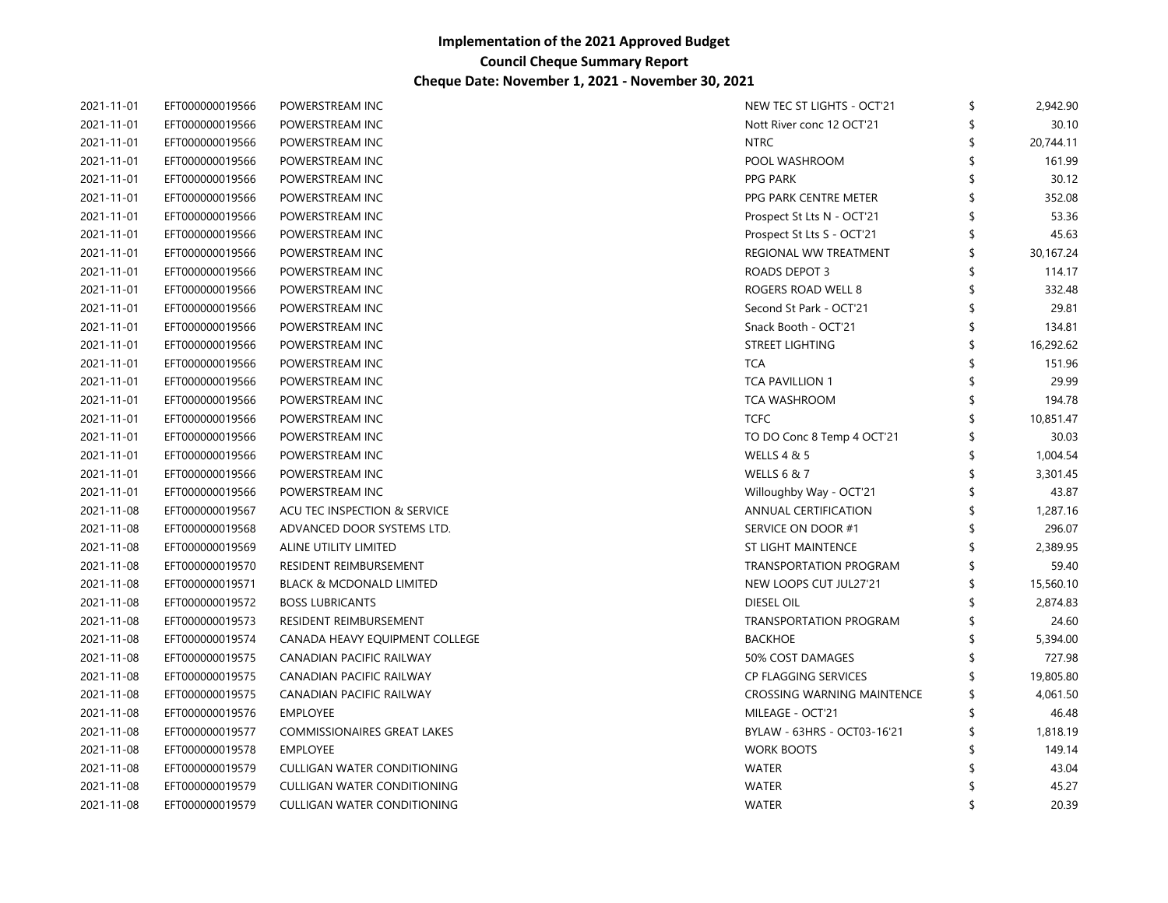| 2021-11-01 | EFT000000019566 | POWERSTREAM INC                     | NEW TEC ST LIGHTS - OCT'21        | \$<br>2,942.90 |
|------------|-----------------|-------------------------------------|-----------------------------------|----------------|
| 2021-11-01 | EFT000000019566 | POWERSTREAM INC                     | Nott River conc 12 OCT'21         | 30.10          |
| 2021-11-01 | EFT000000019566 | POWERSTREAM INC                     | <b>NTRC</b>                       | 20,744.11      |
| 2021-11-01 | EFT000000019566 | POWERSTREAM INC                     | POOL WASHROOM                     | 161.99         |
| 2021-11-01 | EFT000000019566 | POWERSTREAM INC                     | PPG PARK                          | 30.12          |
| 2021-11-01 | EFT000000019566 | POWERSTREAM INC                     | PPG PARK CENTRE METER             | 352.08         |
| 2021-11-01 | EFT000000019566 | POWERSTREAM INC                     | Prospect St Lts N - OCT'21        | 53.36          |
| 2021-11-01 | EFT000000019566 | POWERSTREAM INC                     | Prospect St Lts S - OCT'21        | 45.63          |
| 2021-11-01 | EFT000000019566 | POWERSTREAM INC                     | REGIONAL WW TREATMENT             | 30,167.24      |
| 2021-11-01 | EFT000000019566 | POWERSTREAM INC                     | ROADS DEPOT 3                     | 114.17         |
| 2021-11-01 | EFT000000019566 | POWERSTREAM INC                     | ROGERS ROAD WELL 8                | 332.48         |
| 2021-11-01 | EFT000000019566 | POWERSTREAM INC                     | Second St Park - OCT'21           | 29.81          |
| 2021-11-01 | EFT000000019566 | POWERSTREAM INC                     | Snack Booth - OCT'21              | 134.81         |
| 2021-11-01 | EFT000000019566 | POWERSTREAM INC                     | <b>STREET LIGHTING</b>            | 16,292.62      |
| 2021-11-01 | EFT000000019566 | POWERSTREAM INC                     | <b>TCA</b>                        | 151.96         |
| 2021-11-01 | EFT000000019566 | POWERSTREAM INC                     | <b>TCA PAVILLION 1</b>            | 29.99          |
| 2021-11-01 | EFT000000019566 | POWERSTREAM INC                     | <b>TCA WASHROOM</b>               | 194.78         |
| 2021-11-01 | EFT000000019566 | POWERSTREAM INC                     | <b>TCFC</b>                       | 10,851.47      |
| 2021-11-01 | EFT000000019566 | POWERSTREAM INC                     | TO DO Conc 8 Temp 4 OCT'21        | 30.03          |
| 2021-11-01 | EFT000000019566 | POWERSTREAM INC                     | <b>WELLS 4 &amp; 5</b>            | 1,004.54       |
| 2021-11-01 | EFT000000019566 | POWERSTREAM INC                     | <b>WELLS 6 &amp; 7</b>            | 3,301.45       |
| 2021-11-01 | EFT000000019566 | POWERSTREAM INC                     | Willoughby Way - OCT'21           | 43.87          |
| 2021-11-08 | EFT000000019567 | ACU TEC INSPECTION & SERVICE        | ANNUAL CERTIFICATION              | 1,287.16       |
| 2021-11-08 | EFT000000019568 | ADVANCED DOOR SYSTEMS LTD.          | SERVICE ON DOOR #1                | 296.07         |
| 2021-11-08 | EFT000000019569 | ALINE UTILITY LIMITED               | ST LIGHT MAINTENCE                | 2,389.95       |
| 2021-11-08 | EFT000000019570 | RESIDENT REIMBURSEMENT              | <b>TRANSPORTATION PROGRAM</b>     | 59.40          |
| 2021-11-08 | EFT000000019571 | <b>BLACK &amp; MCDONALD LIMITED</b> | NEW LOOPS CUT JUL27'21            | 15,560.10      |
| 2021-11-08 | EFT000000019572 | <b>BOSS LUBRICANTS</b>              | DIESEL OIL                        | 2,874.83       |
| 2021-11-08 | EFT000000019573 | RESIDENT REIMBURSEMENT              | TRANSPORTATION PROGRAM            | 24.60          |
| 2021-11-08 | EFT000000019574 | CANADA HEAVY EQUIPMENT COLLEGE      | <b>BACKHOE</b>                    | 5,394.00       |
| 2021-11-08 | EFT000000019575 | CANADIAN PACIFIC RAILWAY            | 50% COST DAMAGES                  | 727.98         |
| 2021-11-08 | EFT000000019575 | CANADIAN PACIFIC RAILWAY            | CP FLAGGING SERVICES              | 19,805.80      |
| 2021-11-08 | EFT000000019575 | CANADIAN PACIFIC RAILWAY            | <b>CROSSING WARNING MAINTENCE</b> | \$<br>4,061.50 |
| 2021-11-08 | EFT000000019576 | <b>EMPLOYEE</b>                     | MILEAGE - OCT'21                  | 46.48          |
| 2021-11-08 | EFT000000019577 | <b>COMMISSIONAIRES GREAT LAKES</b>  | BYLAW - 63HRS - OCT03-16'21       | 1,818.19       |
| 2021-11-08 | EFT000000019578 | <b>EMPLOYEE</b>                     | <b>WORK BOOTS</b>                 | 149.14         |
| 2021-11-08 | EFT000000019579 | CULLIGAN WATER CONDITIONING         | <b>WATER</b>                      | 43.04          |
| 2021-11-08 | EFT000000019579 | <b>CULLIGAN WATER CONDITIONING</b>  | <b>WATER</b>                      | 45.27          |
| 2021-11-08 | EFT000000019579 | <b>CULLIGAN WATER CONDITIONING</b>  | <b>WATER</b>                      | \$<br>20.39    |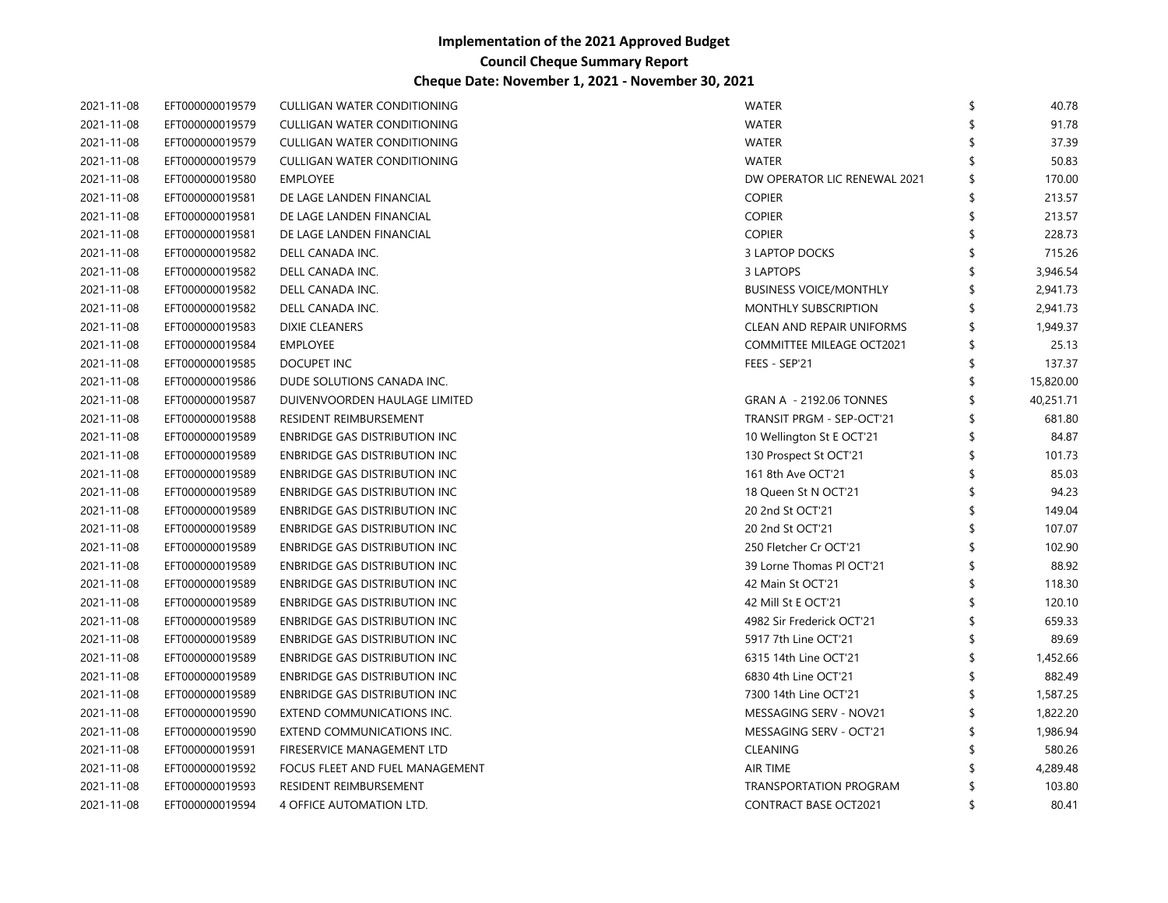| 2021-11-08 | EFT000000019579 | <b>CULLIGAN WATER CONDITIONING</b>   | <b>WATER</b>                     | 40.78     |
|------------|-----------------|--------------------------------------|----------------------------------|-----------|
| 2021-11-08 | EFT000000019579 | <b>CULLIGAN WATER CONDITIONING</b>   | <b>WATER</b>                     | 91.78     |
| 2021-11-08 | EFT000000019579 | <b>CULLIGAN WATER CONDITIONING</b>   | <b>WATER</b>                     | 37.39     |
| 2021-11-08 | EFT000000019579 | <b>CULLIGAN WATER CONDITIONING</b>   | <b>WATER</b>                     | 50.83     |
| 2021-11-08 | EFT000000019580 | <b>EMPLOYEE</b>                      | DW OPERATOR LIC RENEWAL 2021     | 170.00    |
| 2021-11-08 | EFT000000019581 | DE LAGE LANDEN FINANCIAL             | <b>COPIER</b>                    | 213.57    |
| 2021-11-08 | EFT000000019581 | DE LAGE LANDEN FINANCIAL             | <b>COPIER</b>                    | 213.57    |
| 2021-11-08 | EFT000000019581 | DE LAGE LANDEN FINANCIAL             | <b>COPIER</b>                    | 228.73    |
| 2021-11-08 | EFT000000019582 | DELL CANADA INC.                     | 3 LAPTOP DOCKS                   | 715.26    |
| 2021-11-08 | EFT000000019582 | DELL CANADA INC.                     | 3 LAPTOPS                        | 3,946.54  |
| 2021-11-08 | EFT000000019582 | DELL CANADA INC.                     | <b>BUSINESS VOICE/MONTHLY</b>    | 2,941.73  |
| 2021-11-08 | EFT000000019582 | DELL CANADA INC.                     | MONTHLY SUBSCRIPTION             | 2,941.73  |
| 2021-11-08 | EFT000000019583 | <b>DIXIE CLEANERS</b>                | CLEAN AND REPAIR UNIFORMS        | 1,949.37  |
| 2021-11-08 | EFT000000019584 | <b>EMPLOYEE</b>                      | <b>COMMITTEE MILEAGE OCT2021</b> | 25.13     |
| 2021-11-08 | EFT000000019585 | DOCUPET INC                          | FEES - SEP'21                    | 137.37    |
| 2021-11-08 | EFT000000019586 | DUDE SOLUTIONS CANADA INC.           |                                  | 15,820.00 |
| 2021-11-08 | EFT000000019587 | DUIVENVOORDEN HAULAGE LIMITED        | <b>GRAN A - 2192.06 TONNES</b>   | 40,251.71 |
| 2021-11-08 | EFT000000019588 | RESIDENT REIMBURSEMENT               | TRANSIT PRGM - SEP-OCT'21        | 681.80    |
| 2021-11-08 | EFT000000019589 | <b>ENBRIDGE GAS DISTRIBUTION INC</b> | 10 Wellington St E OCT'21        | 84.87     |
| 2021-11-08 | EFT000000019589 | ENBRIDGE GAS DISTRIBUTION INC        | 130 Prospect St OCT'21           | 101.73    |
| 2021-11-08 | EFT000000019589 | <b>ENBRIDGE GAS DISTRIBUTION INC</b> | 161 8th Ave OCT'21               | 85.03     |
| 2021-11-08 | EFT000000019589 | <b>ENBRIDGE GAS DISTRIBUTION INC</b> | 18 Queen St N OCT'21             | 94.23     |
| 2021-11-08 | EFT000000019589 | ENBRIDGE GAS DISTRIBUTION INC        | 20 2nd St OCT'21                 | 149.04    |
| 2021-11-08 | EFT000000019589 | ENBRIDGE GAS DISTRIBUTION INC        | 20 2nd St OCT'21                 | 107.07    |
| 2021-11-08 | EFT000000019589 | ENBRIDGE GAS DISTRIBUTION INC        | 250 Fletcher Cr OCT'21           | 102.90    |
| 2021-11-08 | EFT000000019589 | <b>ENBRIDGE GAS DISTRIBUTION INC</b> | 39 Lorne Thomas PI OCT'21        | 88.92     |
| 2021-11-08 | EFT000000019589 | ENBRIDGE GAS DISTRIBUTION INC        | 42 Main St OCT'21                | 118.30    |
| 2021-11-08 | EFT000000019589 | ENBRIDGE GAS DISTRIBUTION INC        | 42 Mill St E OCT'21              | 120.10    |
| 2021-11-08 | EFT000000019589 | <b>ENBRIDGE GAS DISTRIBUTION INC</b> | 4982 Sir Frederick OCT'21        | 659.33    |
| 2021-11-08 | EFT000000019589 | ENBRIDGE GAS DISTRIBUTION INC        | 5917 7th Line OCT'21             | 89.69     |
| 2021-11-08 | EFT000000019589 | ENBRIDGE GAS DISTRIBUTION INC        | 6315 14th Line OCT'21            | 1,452.66  |
| 2021-11-08 | EFT000000019589 | ENBRIDGE GAS DISTRIBUTION INC        | 6830 4th Line OCT'21             | 882.49    |
| 2021-11-08 | EFT000000019589 | <b>ENBRIDGE GAS DISTRIBUTION INC</b> | 7300 14th Line OCT'21            | 1,587.25  |
| 2021-11-08 | EFT000000019590 | EXTEND COMMUNICATIONS INC.           | MESSAGING SERV - NOV21           | 1,822.20  |
| 2021-11-08 | EFT000000019590 | EXTEND COMMUNICATIONS INC.           | MESSAGING SERV - OCT'21          | 1,986.94  |
| 2021-11-08 | EFT000000019591 | FIRESERVICE MANAGEMENT LTD           | <b>CLEANING</b>                  | 580.26    |
| 2021-11-08 | EFT000000019592 | FOCUS FLEET AND FUEL MANAGEMENT      | AIR TIME                         | 4,289.48  |
| 2021-11-08 | EFT000000019593 | RESIDENT REIMBURSEMENT               | TRANSPORTATION PROGRAM           | 103.80    |
| 2021-11-08 | EFT000000019594 | 4 OFFICE AUTOMATION LTD.             | <b>CONTRACT BASE OCT2021</b>     | 80.41     |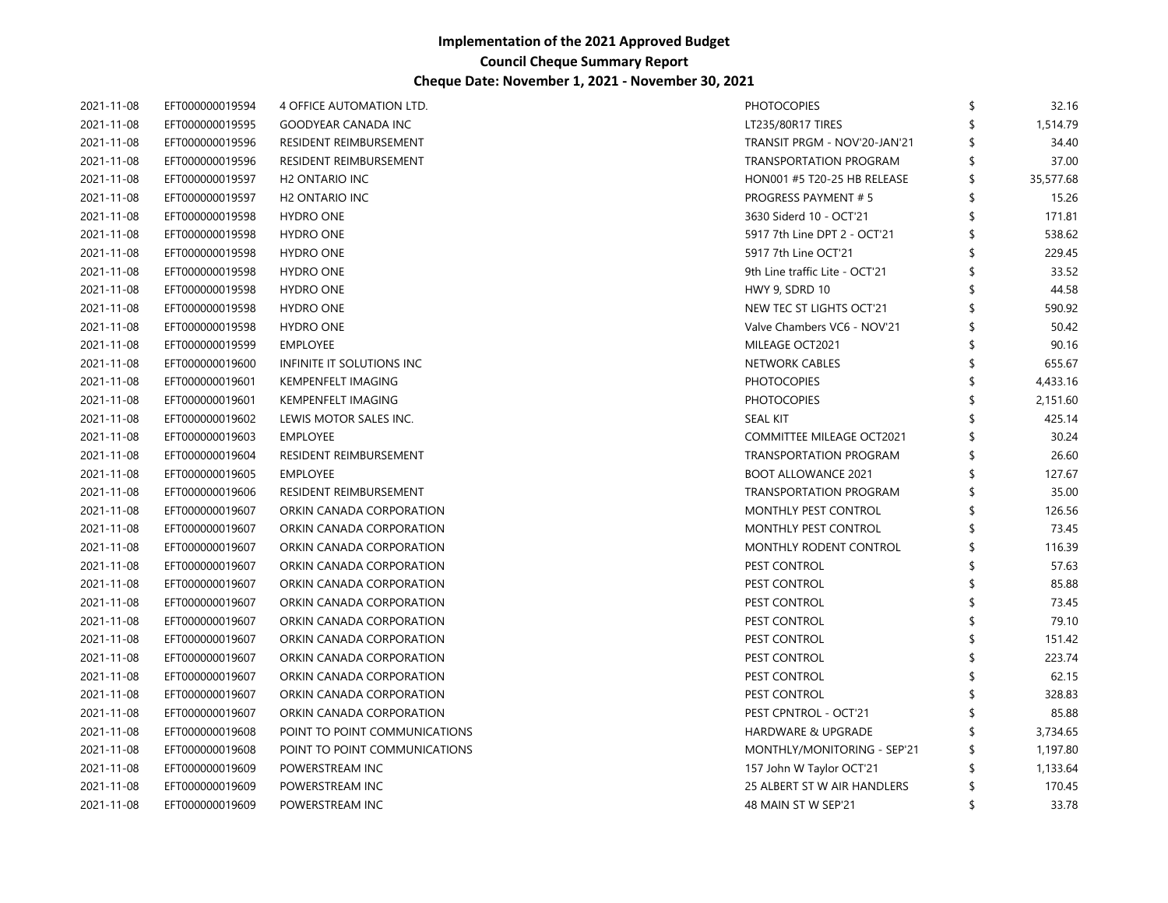| 2021-11-08 | EFT000000019594 | 4 OFFICE AUTOMATION LTD.      | <b>PHOTOCOPIES</b>               | 32.16     |
|------------|-----------------|-------------------------------|----------------------------------|-----------|
| 2021-11-08 | EFT000000019595 | GOODYEAR CANADA INC           | LT235/80R17 TIRES                | 1,514.79  |
| 2021-11-08 | EFT000000019596 | RESIDENT REIMBURSEMENT        | TRANSIT PRGM - NOV'20-JAN'21     | 34.40     |
| 2021-11-08 | EFT000000019596 | <b>RESIDENT REIMBURSEMENT</b> | TRANSPORTATION PROGRAM           | 37.00     |
| 2021-11-08 | EFT000000019597 | H <sub>2</sub> ONTARIO INC    | HON001 #5 T20-25 HB RELEASE      | 35,577.68 |
| 2021-11-08 | EFT000000019597 | H <sub>2</sub> ONTARIO INC    | PROGRESS PAYMENT # 5             | 15.26     |
| 2021-11-08 | EFT000000019598 | <b>HYDRO ONE</b>              | 3630 Siderd 10 - OCT'21          | 171.81    |
| 2021-11-08 | EFT000000019598 | <b>HYDRO ONE</b>              | 5917 7th Line DPT 2 - OCT'21     | 538.62    |
| 2021-11-08 | EFT000000019598 | <b>HYDRO ONE</b>              | 5917 7th Line OCT'21             | 229.45    |
| 2021-11-08 | EFT000000019598 | <b>HYDRO ONE</b>              | 9th Line traffic Lite - OCT'21   | 33.52     |
| 2021-11-08 | EFT000000019598 | <b>HYDRO ONE</b>              | <b>HWY 9, SDRD 10</b>            | 44.58     |
| 2021-11-08 | EFT000000019598 | <b>HYDRO ONE</b>              | NEW TEC ST LIGHTS OCT'21         | 590.92    |
| 2021-11-08 | EFT000000019598 | <b>HYDRO ONE</b>              | Valve Chambers VC6 - NOV'21      | 50.42     |
| 2021-11-08 | EFT000000019599 | <b>EMPLOYEE</b>               | MILEAGE OCT2021                  | 90.16     |
| 2021-11-08 | EFT000000019600 | INFINITE IT SOLUTIONS INC     | NETWORK CABLES                   | 655.67    |
| 2021-11-08 | EFT000000019601 | <b>KEMPENFELT IMAGING</b>     | <b>PHOTOCOPIES</b>               | 4,433.16  |
| 2021-11-08 | EFT000000019601 | <b>KEMPENFELT IMAGING</b>     | <b>PHOTOCOPIES</b>               | 2,151.60  |
| 2021-11-08 | EFT000000019602 | LEWIS MOTOR SALES INC.        | <b>SEAL KIT</b>                  | 425.14    |
| 2021-11-08 | EFT000000019603 | EMPLOYEE                      | <b>COMMITTEE MILEAGE OCT2021</b> | 30.24     |
| 2021-11-08 | EFT000000019604 | RESIDENT REIMBURSEMENT        | TRANSPORTATION PROGRAM           | 26.60     |
| 2021-11-08 | EFT000000019605 | <b>EMPLOYEE</b>               | <b>BOOT ALLOWANCE 2021</b>       | 127.67    |
| 2021-11-08 | EFT000000019606 | RESIDENT REIMBURSEMENT        | TRANSPORTATION PROGRAM           | 35.00     |
| 2021-11-08 | EFT000000019607 | ORKIN CANADA CORPORATION      | MONTHLY PEST CONTROL             | 126.56    |
| 2021-11-08 | EFT000000019607 | ORKIN CANADA CORPORATION      | MONTHLY PEST CONTROL             | 73.45     |
| 2021-11-08 | EFT000000019607 | ORKIN CANADA CORPORATION      | MONTHLY RODENT CONTROL           | 116.39    |
| 2021-11-08 | EFT000000019607 | ORKIN CANADA CORPORATION      | PEST CONTROL                     | 57.63     |
| 2021-11-08 | EFT000000019607 | ORKIN CANADA CORPORATION      | PEST CONTROL                     | 85.88     |
| 2021-11-08 | EFT000000019607 | ORKIN CANADA CORPORATION      | PEST CONTROL                     | 73.45     |
| 2021-11-08 | EFT000000019607 | ORKIN CANADA CORPORATION      | PEST CONTROL                     | 79.10     |
| 2021-11-08 | EFT000000019607 | ORKIN CANADA CORPORATION      | PEST CONTROL                     | 151.42    |
| 2021-11-08 | EFT000000019607 | ORKIN CANADA CORPORATION      | PEST CONTROL                     | 223.74    |
| 2021-11-08 | EFT000000019607 | ORKIN CANADA CORPORATION      | PEST CONTROL                     | 62.15     |
| 2021-11-08 | EFT000000019607 | ORKIN CANADA CORPORATION      | PEST CONTROL                     | 328.83    |
| 2021-11-08 | EFT000000019607 | ORKIN CANADA CORPORATION      | PEST CPNTROL - OCT'21            | 85.88     |
| 2021-11-08 | EFT000000019608 | POINT TO POINT COMMUNICATIONS | <b>HARDWARE &amp; UPGRADE</b>    | 3,734.65  |
| 2021-11-08 | EFT000000019608 | POINT TO POINT COMMUNICATIONS | MONTHLY/MONITORING - SEP'21      | 1,197.80  |
| 2021-11-08 | EFT000000019609 | POWERSTREAM INC               | 157 John W Taylor OCT'21         | 1,133.64  |
| 2021-11-08 | EFT000000019609 | POWERSTREAM INC               | 25 ALBERT ST W AIR HANDLERS      | 170.45    |
| 2021-11-08 | EFT000000019609 | POWERSTREAM INC               | 48 MAIN ST W SEP'21              | 33.78     |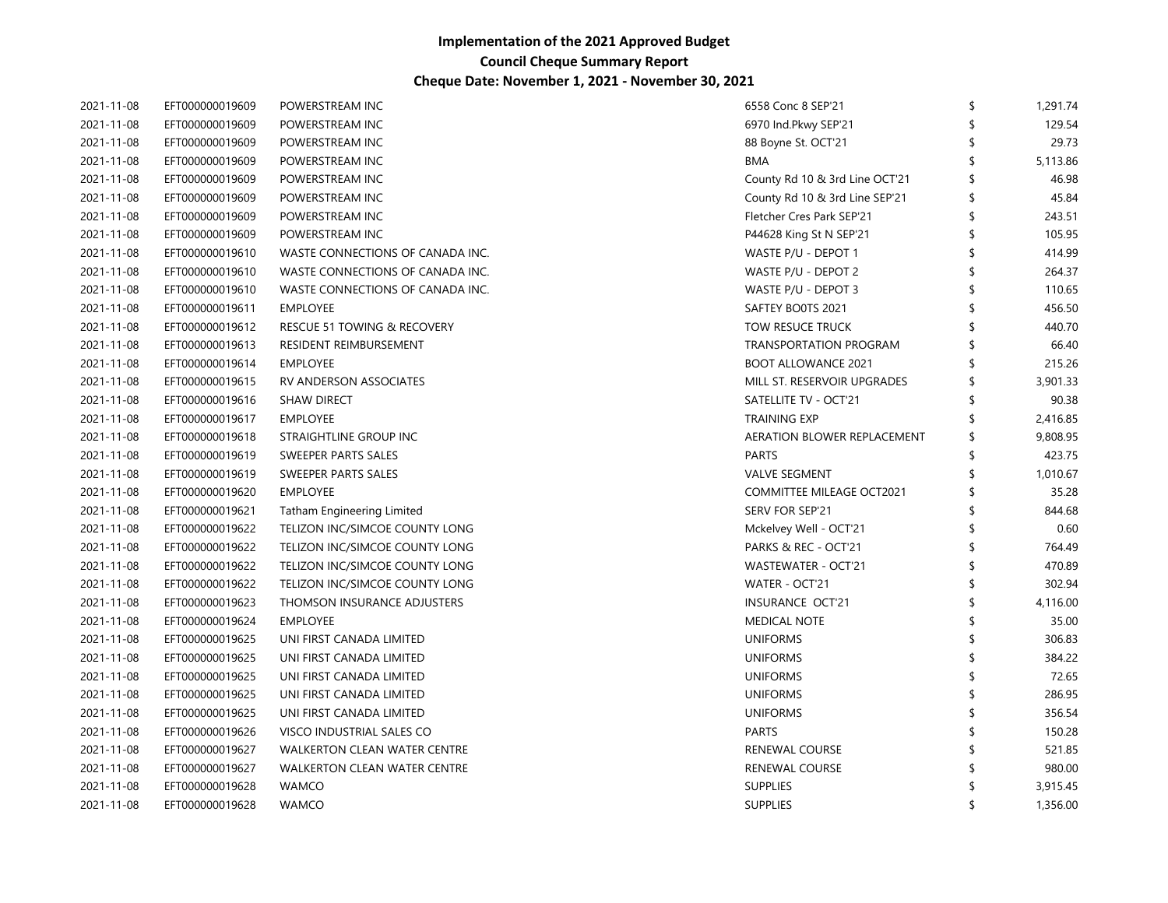| 2021-11-08 | EFT000000019609 | POWERSTREAM INC                     | 6558 Conc 8 SEP'21               | \$<br>1,291.74 |
|------------|-----------------|-------------------------------------|----------------------------------|----------------|
| 2021-11-08 | EFT000000019609 | POWERSTREAM INC                     | 6970 Ind.Pkwy SEP'21             | 129.54         |
| 2021-11-08 | EFT000000019609 | POWERSTREAM INC                     | 88 Boyne St. OCT'21              | 29.73          |
| 2021-11-08 | EFT000000019609 | POWERSTREAM INC                     | <b>BMA</b>                       | 5,113.86       |
| 2021-11-08 | EFT000000019609 | POWERSTREAM INC                     | County Rd 10 & 3rd Line OCT'21   | 46.98          |
| 2021-11-08 | EFT000000019609 | POWERSTREAM INC                     | County Rd 10 & 3rd Line SEP'21   | 45.84          |
| 2021-11-08 | EFT000000019609 | POWERSTREAM INC                     | Fletcher Cres Park SEP'21        | 243.51         |
| 2021-11-08 | EFT000000019609 | POWERSTREAM INC                     | P44628 King St N SEP'21          | 105.95         |
| 2021-11-08 | EFT000000019610 | WASTE CONNECTIONS OF CANADA INC.    | WASTE P/U - DEPOT 1              | 414.99         |
| 2021-11-08 | EFT000000019610 | WASTE CONNECTIONS OF CANADA INC.    | WASTE P/U - DEPOT 2              | 264.37         |
| 2021-11-08 | EFT000000019610 | WASTE CONNECTIONS OF CANADA INC.    | WASTE P/U - DEPOT 3              | 110.65         |
| 2021-11-08 | EFT000000019611 | <b>EMPLOYEE</b>                     | SAFTEY BOOTS 2021                | 456.50         |
| 2021-11-08 | EFT000000019612 | RESCUE 51 TOWING & RECOVERY         | TOW RESUCE TRUCK                 | 440.70         |
| 2021-11-08 | EFT000000019613 | RESIDENT REIMBURSEMENT              | <b>TRANSPORTATION PROGRAM</b>    | 66.40          |
| 2021-11-08 | EFT000000019614 | <b>EMPLOYEE</b>                     | <b>BOOT ALLOWANCE 2021</b>       | 215.26         |
| 2021-11-08 | EFT000000019615 | RV ANDERSON ASSOCIATES              | MILL ST. RESERVOIR UPGRADES      | 3,901.33       |
| 2021-11-08 | EFT000000019616 | <b>SHAW DIRECT</b>                  | SATELLITE TV - OCT'21            | 90.38          |
| 2021-11-08 | EFT000000019617 | <b>EMPLOYEE</b>                     | <b>TRAINING EXP</b>              | 2,416.85       |
| 2021-11-08 | EFT000000019618 | STRAIGHTLINE GROUP INC              | AERATION BLOWER REPLACEMENT      | 9,808.95       |
| 2021-11-08 | EFT000000019619 | SWEEPER PARTS SALES                 | <b>PARTS</b>                     | 423.75         |
| 2021-11-08 | EFT000000019619 | SWEEPER PARTS SALES                 | <b>VALVE SEGMENT</b>             | 1,010.67       |
| 2021-11-08 | EFT000000019620 | <b>EMPLOYEE</b>                     | <b>COMMITTEE MILEAGE OCT2021</b> | 35.28          |
| 2021-11-08 | EFT000000019621 | Tatham Engineering Limited          | SERV FOR SEP'21                  | 844.68         |
| 2021-11-08 | EFT000000019622 | TELIZON INC/SIMCOE COUNTY LONG      | Mckelvey Well - OCT'21           | 0.60           |
| 2021-11-08 | EFT000000019622 | TELIZON INC/SIMCOE COUNTY LONG      | PARKS & REC - OCT'21             | 764.49         |
| 2021-11-08 | EFT000000019622 | TELIZON INC/SIMCOE COUNTY LONG      | WASTEWATER - OCT'21              | 470.89         |
| 2021-11-08 | EFT000000019622 | TELIZON INC/SIMCOE COUNTY LONG      | WATER - OCT'21                   | 302.94         |
| 2021-11-08 | EFT000000019623 | THOMSON INSURANCE ADJUSTERS         | INSURANCE OCT'21                 | 4,116.00       |
| 2021-11-08 | EFT000000019624 | <b>EMPLOYEE</b>                     | <b>MEDICAL NOTE</b>              | 35.00          |
| 2021-11-08 | EFT000000019625 | UNI FIRST CANADA LIMITED            | <b>UNIFORMS</b>                  | 306.83         |
| 2021-11-08 | EFT000000019625 | UNI FIRST CANADA LIMITED            | <b>UNIFORMS</b>                  | 384.22         |
| 2021-11-08 | EFT000000019625 | UNI FIRST CANADA LIMITED            | <b>UNIFORMS</b>                  | 72.65          |
| 2021-11-08 | EFT000000019625 | UNI FIRST CANADA LIMITED            | <b>UNIFORMS</b>                  | 286.95         |
| 2021-11-08 | EFT000000019625 | UNI FIRST CANADA LIMITED            | <b>UNIFORMS</b>                  | 356.54         |
| 2021-11-08 | EFT000000019626 | VISCO INDUSTRIAL SALES CO           | <b>PARTS</b>                     | 150.28         |
| 2021-11-08 | EFT000000019627 | <b>WALKERTON CLEAN WATER CENTRE</b> | RENEWAL COURSE                   | 521.85         |
| 2021-11-08 | EFT000000019627 | <b>WALKERTON CLEAN WATER CENTRE</b> | RENEWAL COURSE                   | 980.00         |
| 2021-11-08 | EFT000000019628 | <b>WAMCO</b>                        | <b>SUPPLIES</b>                  | 3,915.45       |
| 2021-11-08 | EFT000000019628 | <b>WAMCO</b>                        | <b>SUPPLIES</b>                  | 1,356.00       |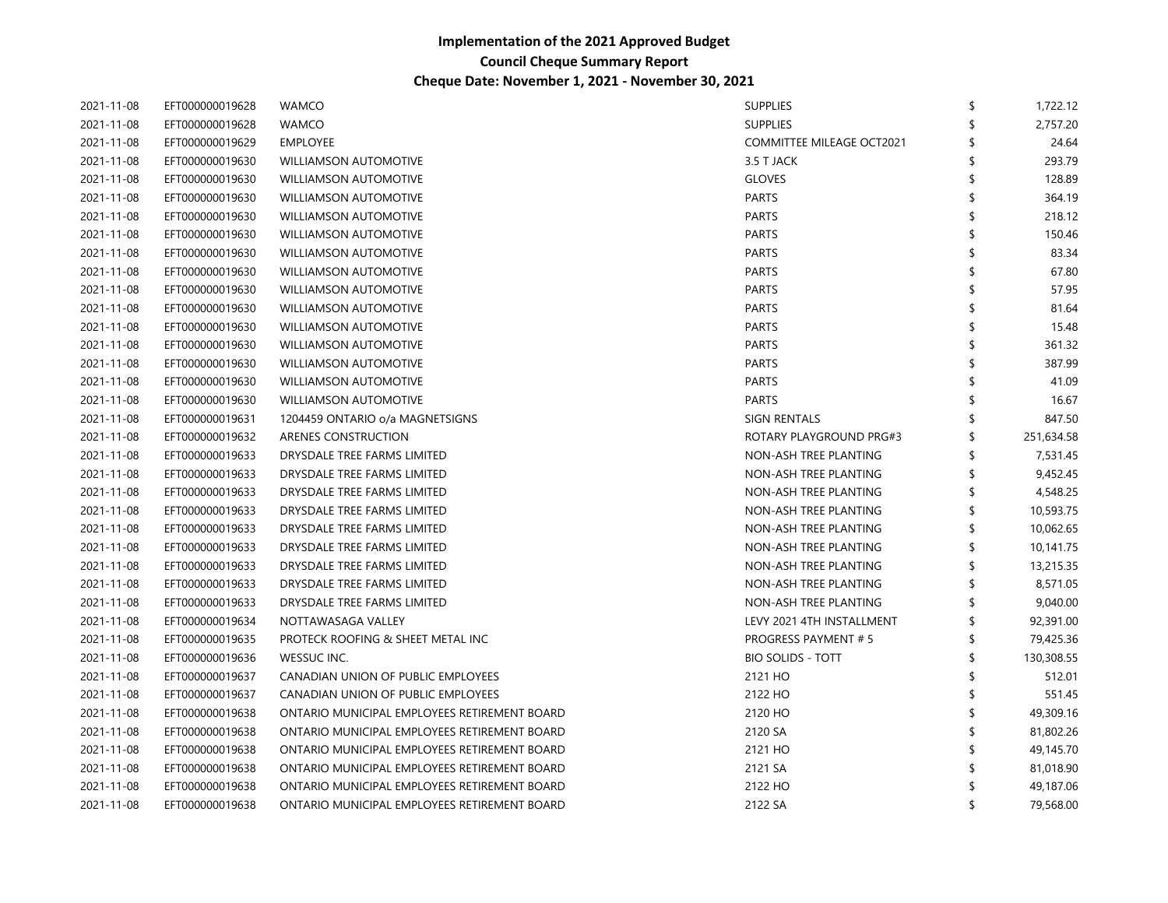| 2021-11-08 | EFT000000019628 | <b>WAMCO</b>                                 | <b>SUPPLIES</b>                  | \$<br>1,722.12 |
|------------|-----------------|----------------------------------------------|----------------------------------|----------------|
| 2021-11-08 | EFT000000019628 | <b>WAMCO</b>                                 | <b>SUPPLIES</b>                  | 2,757.20       |
| 2021-11-08 | EFT000000019629 | <b>EMPLOYEE</b>                              | <b>COMMITTEE MILEAGE OCT2021</b> | 24.64          |
| 2021-11-08 | EFT000000019630 | <b>WILLIAMSON AUTOMOTIVE</b>                 | 3.5 T JACK                       | 293.79         |
| 2021-11-08 | EFT000000019630 | <b>WILLIAMSON AUTOMOTIVE</b>                 | <b>GLOVES</b>                    | 128.89         |
| 2021-11-08 | EFT000000019630 | <b>WILLIAMSON AUTOMOTIVE</b>                 | <b>PARTS</b>                     | 364.19         |
| 2021-11-08 | EFT000000019630 | <b>WILLIAMSON AUTOMOTIVE</b>                 | <b>PARTS</b>                     | 218.12         |
| 2021-11-08 | EFT000000019630 | <b>WILLIAMSON AUTOMOTIVE</b>                 | <b>PARTS</b>                     | 150.46         |
| 2021-11-08 | EFT000000019630 | <b>WILLIAMSON AUTOMOTIVE</b>                 | <b>PARTS</b>                     | 83.34          |
| 2021-11-08 | EFT000000019630 | <b>WILLIAMSON AUTOMOTIVE</b>                 | <b>PARTS</b>                     | 67.80          |
| 2021-11-08 | EFT000000019630 | <b>WILLIAMSON AUTOMOTIVE</b>                 | <b>PARTS</b>                     | 57.95          |
| 2021-11-08 | EFT000000019630 | <b>WILLIAMSON AUTOMOTIVE</b>                 | <b>PARTS</b>                     | 81.64          |
| 2021-11-08 | EFT000000019630 | <b>WILLIAMSON AUTOMOTIVE</b>                 | <b>PARTS</b>                     | 15.48          |
| 2021-11-08 | EFT000000019630 | <b>WILLIAMSON AUTOMOTIVE</b>                 | <b>PARTS</b>                     | 361.32         |
| 2021-11-08 | EFT000000019630 | <b>WILLIAMSON AUTOMOTIVE</b>                 | <b>PARTS</b>                     | 387.99         |
| 2021-11-08 | EFT000000019630 | <b>WILLIAMSON AUTOMOTIVE</b>                 | <b>PARTS</b>                     | 41.09          |
| 2021-11-08 | EFT000000019630 | <b>WILLIAMSON AUTOMOTIVE</b>                 | <b>PARTS</b>                     | 16.67          |
| 2021-11-08 | EFT000000019631 | 1204459 ONTARIO o/a MAGNETSIGNS              | <b>SIGN RENTALS</b>              | 847.50         |
| 2021-11-08 | EFT000000019632 | ARENES CONSTRUCTION                          | ROTARY PLAYGROUND PRG#3          | 251,634.58     |
| 2021-11-08 | EFT000000019633 | DRYSDALE TREE FARMS LIMITED                  | NON-ASH TREE PLANTING            | 7,531.45       |
| 2021-11-08 | EFT000000019633 | DRYSDALE TREE FARMS LIMITED                  | NON-ASH TREE PLANTING            | 9,452.45       |
| 2021-11-08 | EFT000000019633 | DRYSDALE TREE FARMS LIMITED                  | NON-ASH TREE PLANTING            | 4,548.25       |
| 2021-11-08 | EFT000000019633 | DRYSDALE TREE FARMS LIMITED                  | NON-ASH TREE PLANTING            | 10,593.75      |
| 2021-11-08 | EFT000000019633 | DRYSDALE TREE FARMS LIMITED                  | NON-ASH TREE PLANTING            | 10,062.65      |
| 2021-11-08 | EFT000000019633 | DRYSDALE TREE FARMS LIMITED                  | NON-ASH TREE PLANTING            | 10,141.75      |
| 2021-11-08 | EFT000000019633 | DRYSDALE TREE FARMS LIMITED                  | NON-ASH TREE PLANTING            | 13,215.35      |
| 2021-11-08 | EFT000000019633 | DRYSDALE TREE FARMS LIMITED                  | NON-ASH TREE PLANTING            | 8,571.05       |
| 2021-11-08 | EFT000000019633 | DRYSDALE TREE FARMS LIMITED                  | NON-ASH TREE PLANTING            | 9,040.00       |
| 2021-11-08 | EFT000000019634 | NOTTAWASAGA VALLEY                           | LEVY 2021 4TH INSTALLMENT        | 92,391.00      |
| 2021-11-08 | EFT000000019635 | PROTECK ROOFING & SHEET METAL INC            | PROGRESS PAYMENT # 5             | 79,425.36      |
| 2021-11-08 | EFT000000019636 | WESSUC INC.                                  | <b>BIO SOLIDS - TOTT</b>         | 130,308.55     |
| 2021-11-08 | EFT000000019637 | CANADIAN UNION OF PUBLIC EMPLOYEES           | 2121 HO                          | 512.01         |
| 2021-11-08 | EFT000000019637 | CANADIAN UNION OF PUBLIC EMPLOYEES           | 2122 HO                          | 551.45         |
| 2021-11-08 | EFT000000019638 | ONTARIO MUNICIPAL EMPLOYEES RETIREMENT BOARD | 2120 HO                          | 49,309.16      |
| 2021-11-08 | EFT000000019638 | ONTARIO MUNICIPAL EMPLOYEES RETIREMENT BOARD | 2120 SA                          | 81,802.26      |
| 2021-11-08 | EFT000000019638 | ONTARIO MUNICIPAL EMPLOYEES RETIREMENT BOARD | 2121 HO                          | 49,145.70      |
| 2021-11-08 | EFT000000019638 | ONTARIO MUNICIPAL EMPLOYEES RETIREMENT BOARD | 2121 SA                          | 81,018.90      |
| 2021-11-08 | EFT000000019638 | ONTARIO MUNICIPAL EMPLOYEES RETIREMENT BOARD | 2122 HO                          | 49,187.06      |
| 2021-11-08 | EFT000000019638 | ONTARIO MUNICIPAL EMPLOYEES RETIREMENT BOARD | 2122 SA                          | 79,568.00      |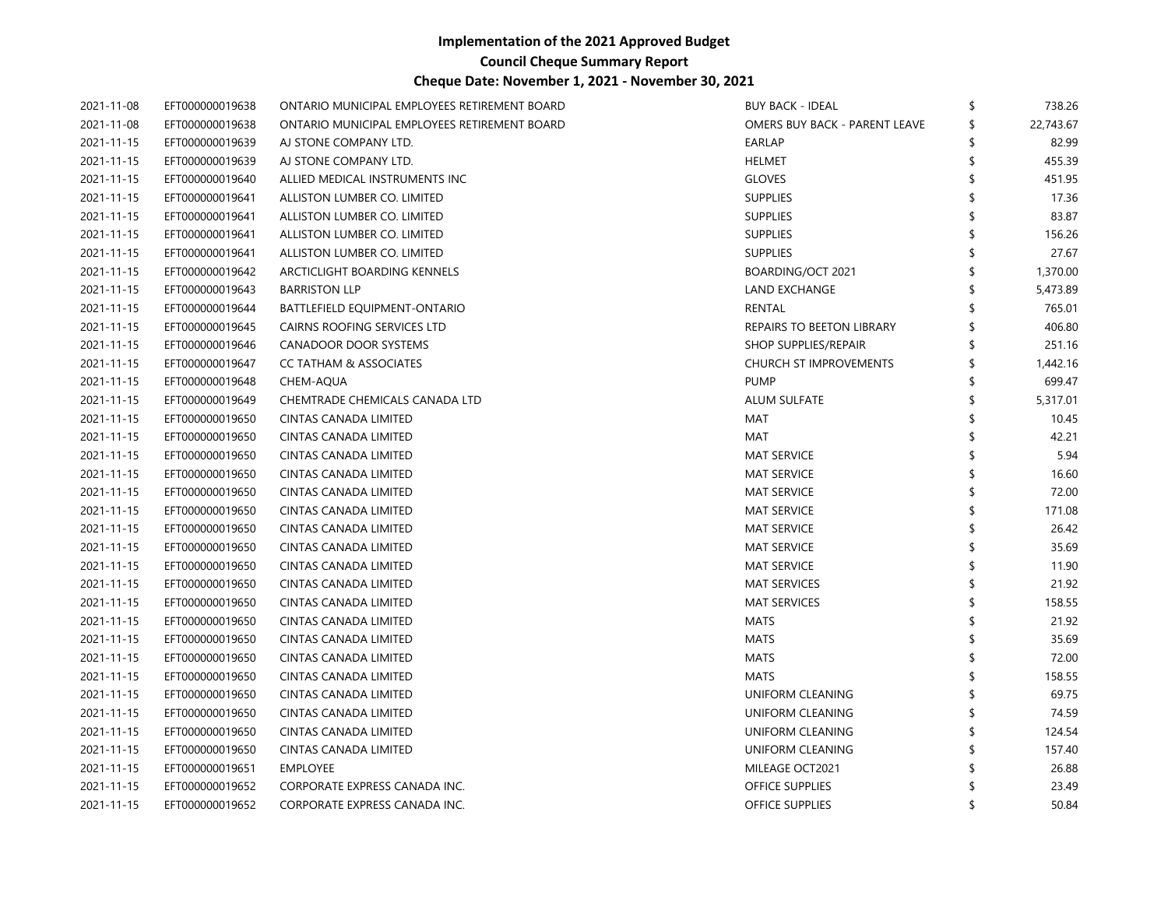| 2021-11-08 | EFT000000019638 | ONTARIO MUNICIPAL EMPLOYEES RETIREMENT BOARD | <b>BUY BACK - IDEAL</b>       | 738.26    |
|------------|-----------------|----------------------------------------------|-------------------------------|-----------|
| 2021-11-08 | EFT000000019638 | ONTARIO MUNICIPAL EMPLOYEES RETIREMENT BOARD | OMERS BUY BACK - PARENT LEAVE | 22,743.67 |
| 2021-11-15 | EFT000000019639 | AJ STONE COMPANY LTD.                        | <b>EARLAP</b>                 | 82.99     |
| 2021-11-15 | EFT000000019639 | AJ STONE COMPANY LTD.                        | <b>HELMET</b>                 | 455.39    |
| 2021-11-15 | EFT000000019640 | ALLIED MEDICAL INSTRUMENTS INC               | <b>GLOVES</b>                 | 451.95    |
| 2021-11-15 | EFT000000019641 | ALLISTON LUMBER CO. LIMITED                  | <b>SUPPLIES</b>               | 17.36     |
| 2021-11-15 | EFT000000019641 | ALLISTON LUMBER CO. LIMITED                  | <b>SUPPLIES</b>               | 83.87     |
| 2021-11-15 | EFT000000019641 | ALLISTON LUMBER CO. LIMITED                  | <b>SUPPLIES</b>               | 156.26    |
| 2021-11-15 | EFT000000019641 | ALLISTON LUMBER CO. LIMITED                  | <b>SUPPLIES</b>               | 27.67     |
| 2021-11-15 | EFT000000019642 | ARCTICLIGHT BOARDING KENNELS                 | BOARDING/OCT 2021             | 1,370.00  |
| 2021-11-15 | EFT000000019643 | <b>BARRISTON LLP</b>                         | LAND EXCHANGE                 | 5,473.89  |
| 2021-11-15 | EFT000000019644 | BATTLEFIELD EQUIPMENT-ONTARIO                | RENTAL                        | 765.01    |
| 2021-11-15 | EFT000000019645 | CAIRNS ROOFING SERVICES LTD                  | REPAIRS TO BEETON LIBRARY     | 406.80    |
| 2021-11-15 | EFT000000019646 | <b>CANADOOR DOOR SYSTEMS</b>                 | SHOP SUPPLIES/REPAIR          | 251.16    |
| 2021-11-15 | EFT000000019647 | CC TATHAM & ASSOCIATES                       | <b>CHURCH ST IMPROVEMENTS</b> | 1,442.16  |
| 2021-11-15 | EFT000000019648 | CHEM-AQUA                                    | <b>PUMP</b>                   | 699.47    |
| 2021-11-15 | EFT000000019649 | CHEMTRADE CHEMICALS CANADA LTD               | ALUM SULFATE                  | 5,317.01  |
| 2021-11-15 | EFT000000019650 | CINTAS CANADA LIMITED                        | MAT                           | 10.45     |
| 2021-11-15 | EFT000000019650 | <b>CINTAS CANADA LIMITED</b>                 | <b>MAT</b>                    | 42.21     |
| 2021-11-15 | EFT000000019650 | <b>CINTAS CANADA LIMITED</b>                 | <b>MAT SERVICE</b>            | 5.94      |
| 2021-11-15 | EFT000000019650 | <b>CINTAS CANADA LIMITED</b>                 | <b>MAT SERVICE</b>            | 16.60     |
| 2021-11-15 | EFT000000019650 | CINTAS CANADA LIMITED                        | <b>MAT SERVICE</b>            | 72.00     |
| 2021-11-15 | EFT000000019650 | <b>CINTAS CANADA LIMITED</b>                 | <b>MAT SERVICE</b>            | 171.08    |
| 2021-11-15 | EFT000000019650 | <b>CINTAS CANADA LIMITED</b>                 | <b>MAT SERVICE</b>            | 26.42     |
| 2021-11-15 | EFT000000019650 | <b>CINTAS CANADA LIMITED</b>                 | <b>MAT SERVICE</b>            | 35.69     |
| 2021-11-15 | EFT000000019650 | <b>CINTAS CANADA LIMITED</b>                 | <b>MAT SERVICE</b>            | 11.90     |
| 2021-11-15 | EFT000000019650 | CINTAS CANADA LIMITED                        | <b>MAT SERVICES</b>           | 21.92     |
| 2021-11-15 | EFT000000019650 | <b>CINTAS CANADA LIMITED</b>                 | <b>MAT SERVICES</b>           | 158.55    |
| 2021-11-15 | EFT000000019650 | <b>CINTAS CANADA LIMITED</b>                 | MATS                          | 21.92     |
| 2021-11-15 | EFT000000019650 | <b>CINTAS CANADA LIMITED</b>                 | MATS                          | 35.69     |
| 2021-11-15 | EFT000000019650 | <b>CINTAS CANADA LIMITED</b>                 | MATS                          | 72.00     |
| 2021-11-15 | EFT000000019650 | CINTAS CANADA LIMITED                        | MATS                          | 158.55    |
| 2021-11-15 | EFT000000019650 | CINTAS CANADA LIMITED                        | UNIFORM CLEANING              | 69.75     |
| 2021-11-15 | EFT000000019650 | <b>CINTAS CANADA LIMITED</b>                 | UNIFORM CLEANING              | 74.59     |
| 2021-11-15 | EFT000000019650 | <b>CINTAS CANADA LIMITED</b>                 | UNIFORM CLEANING              | 124.54    |
| 2021-11-15 | EFT000000019650 | <b>CINTAS CANADA LIMITED</b>                 | UNIFORM CLEANING              | 157.40    |
| 2021-11-15 | EFT000000019651 | <b>EMPLOYEE</b>                              | MILEAGE OCT2021               | 26.88     |
| 2021-11-15 | EFT000000019652 | CORPORATE EXPRESS CANADA INC.                | <b>OFFICE SUPPLIES</b>        | 23.49     |
| 2021-11-15 | EFT000000019652 | CORPORATE EXPRESS CANADA INC.                | <b>OFFICE SUPPLIES</b>        | 50.84     |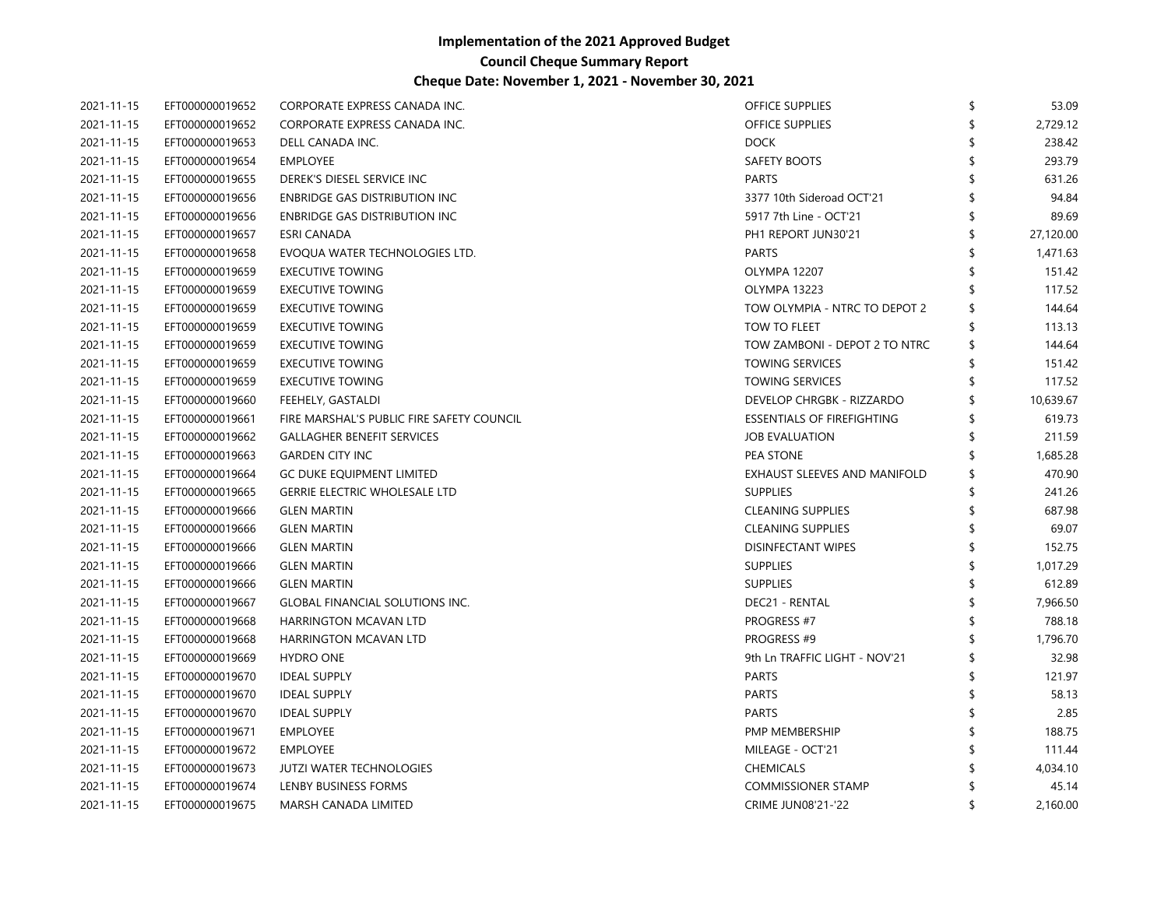| 2021-11-15 | EFT000000019652 | CORPORATE EXPRESS CANADA INC.             | <b>OFFICE SUPPLIES</b>            | 53.09     |
|------------|-----------------|-------------------------------------------|-----------------------------------|-----------|
| 2021-11-15 | EFT000000019652 | CORPORATE EXPRESS CANADA INC.             | <b>OFFICE SUPPLIES</b>            | 2,729.12  |
| 2021-11-15 | EFT000000019653 | DELL CANADA INC.                          | <b>DOCK</b>                       | 238.42    |
| 2021-11-15 | EFT000000019654 | <b>EMPLOYEE</b>                           | <b>SAFETY BOOTS</b>               | 293.79    |
| 2021-11-15 | EFT000000019655 | DEREK'S DIESEL SERVICE INC                | <b>PARTS</b>                      | 631.26    |
| 2021-11-15 | EFT000000019656 | ENBRIDGE GAS DISTRIBUTION INC             | 3377 10th Sideroad OCT'21         | 94.84     |
| 2021-11-15 | EFT000000019656 | ENBRIDGE GAS DISTRIBUTION INC             | 5917 7th Line - OCT'21            | 89.69     |
| 2021-11-15 | EFT000000019657 | <b>ESRI CANADA</b>                        | PH1 REPORT JUN30'21               | 27,120.00 |
| 2021-11-15 | EFT000000019658 | EVOQUA WATER TECHNOLOGIES LTD.            | <b>PARTS</b>                      | 1,471.63  |
| 2021-11-15 | EFT000000019659 | <b>EXECUTIVE TOWING</b>                   | <b>OLYMPA 12207</b>               | 151.42    |
| 2021-11-15 | EFT000000019659 | <b>EXECUTIVE TOWING</b>                   | <b>OLYMPA 13223</b>               | 117.52    |
| 2021-11-15 | EFT000000019659 | <b>EXECUTIVE TOWING</b>                   | TOW OLYMPIA - NTRC TO DEPOT 2     | 144.64    |
| 2021-11-15 | EFT000000019659 | <b>EXECUTIVE TOWING</b>                   | TOW TO FLEET                      | 113.13    |
| 2021-11-15 | EFT000000019659 | <b>EXECUTIVE TOWING</b>                   | TOW ZAMBONI - DEPOT 2 TO NTRC     | 144.64    |
| 2021-11-15 | EFT000000019659 | <b>EXECUTIVE TOWING</b>                   | <b>TOWING SERVICES</b>            | 151.42    |
| 2021-11-15 | EFT000000019659 | <b>EXECUTIVE TOWING</b>                   | <b>TOWING SERVICES</b>            | 117.52    |
| 2021-11-15 | EFT000000019660 | FEEHELY, GASTALDI                         | DEVELOP CHRGBK - RIZZARDO         | 10,639.67 |
| 2021-11-15 | EFT000000019661 | FIRE MARSHAL'S PUBLIC FIRE SAFETY COUNCIL | <b>ESSENTIALS OF FIREFIGHTING</b> | 619.73    |
| 2021-11-15 | EFT000000019662 | <b>GALLAGHER BENEFIT SERVICES</b>         | <b>JOB EVALUATION</b>             | 211.59    |
| 2021-11-15 | EFT000000019663 | <b>GARDEN CITY INC</b>                    | PEA STONE                         | 1,685.28  |
| 2021-11-15 | EFT000000019664 | <b>GC DUKE EQUIPMENT LIMITED</b>          | EXHAUST SLEEVES AND MANIFOLD      | 470.90    |
| 2021-11-15 | EFT000000019665 | <b>GERRIE ELECTRIC WHOLESALE LTD</b>      | <b>SUPPLIES</b>                   | 241.26    |
| 2021-11-15 | EFT000000019666 | <b>GLEN MARTIN</b>                        | <b>CLEANING SUPPLIES</b>          | 687.98    |
| 2021-11-15 | EFT000000019666 | <b>GLEN MARTIN</b>                        | <b>CLEANING SUPPLIES</b>          | 69.07     |
| 2021-11-15 | EFT000000019666 | <b>GLEN MARTIN</b>                        | <b>DISINFECTANT WIPES</b>         | 152.75    |
| 2021-11-15 | EFT000000019666 | <b>GLEN MARTIN</b>                        | <b>SUPPLIES</b>                   | 1,017.29  |
| 2021-11-15 | EFT000000019666 | <b>GLEN MARTIN</b>                        | <b>SUPPLIES</b>                   | 612.89    |
| 2021-11-15 | EFT000000019667 | <b>GLOBAL FINANCIAL SOLUTIONS INC.</b>    | DEC21 - RENTAL                    | 7,966.50  |
| 2021-11-15 | EFT000000019668 | <b>HARRINGTON MCAVAN LTD</b>              | PROGRESS #7                       | 788.18    |
| 2021-11-15 | EFT000000019668 | HARRINGTON MCAVAN LTD                     | PROGRESS #9                       | 1,796.70  |
| 2021-11-15 | EFT000000019669 | <b>HYDRO ONE</b>                          | 9th Ln TRAFFIC LIGHT - NOV'21     | 32.98     |
| 2021-11-15 | EFT000000019670 | <b>IDEAL SUPPLY</b>                       | <b>PARTS</b>                      | 121.97    |
| 2021-11-15 | EFT000000019670 | <b>IDEAL SUPPLY</b>                       | <b>PARTS</b>                      | 58.13     |
| 2021-11-15 | EFT000000019670 | <b>IDEAL SUPPLY</b>                       | <b>PARTS</b>                      | 2.85      |
| 2021-11-15 | EFT000000019671 | <b>EMPLOYEE</b>                           | PMP MEMBERSHIP                    | 188.75    |
| 2021-11-15 | EFT000000019672 | <b>EMPLOYEE</b>                           | MILEAGE - OCT'21                  | 111.44    |
| 2021-11-15 | EFT000000019673 | <b>JUTZI WATER TECHNOLOGIES</b>           | <b>CHEMICALS</b>                  | 4,034.10  |
| 2021-11-15 | EFT000000019674 | LENBY BUSINESS FORMS                      | <b>COMMISSIONER STAMP</b>         | 45.14     |
| 2021-11-15 | EFT000000019675 | <b>MARSH CANADA LIMITED</b>               | <b>CRIME JUN08'21-'22</b>         | 2,160.00  |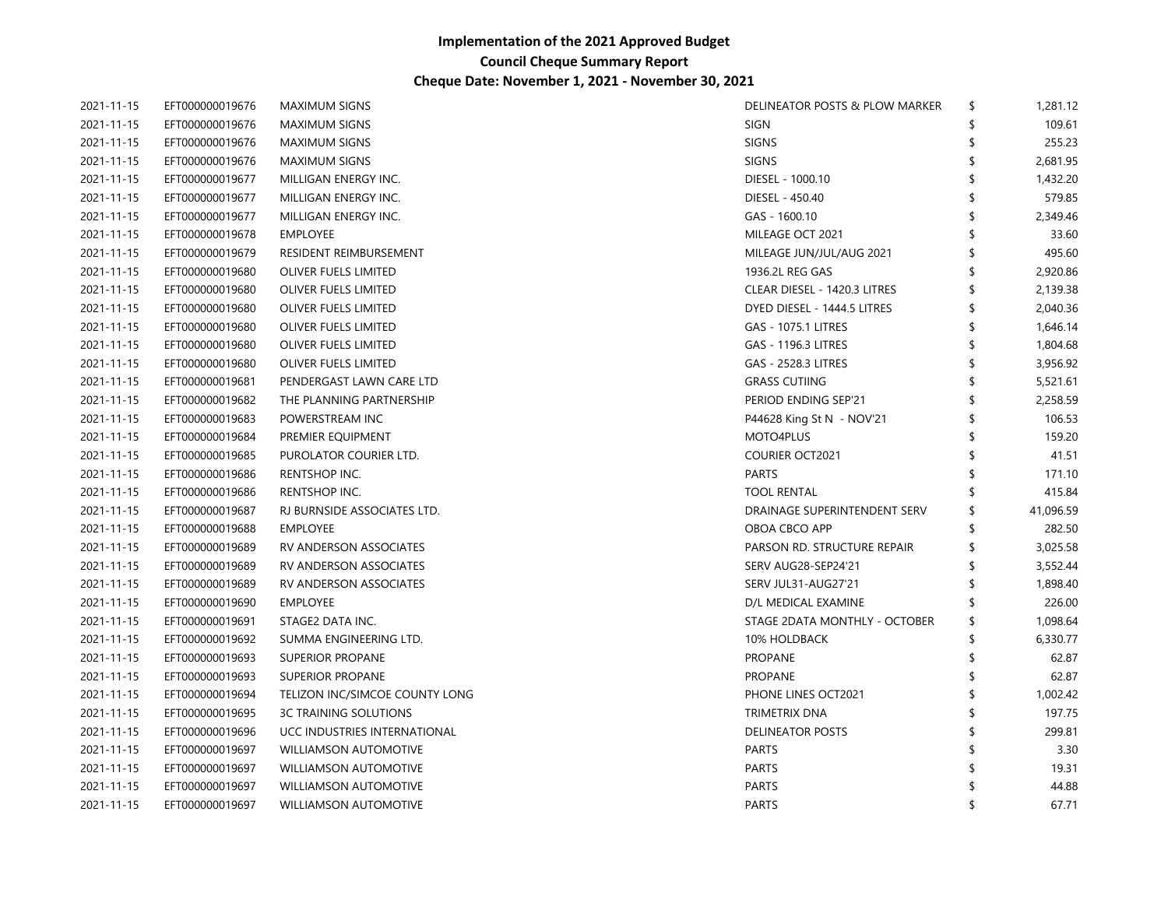| 2021-11-15 | EFT000000019676 | <b>MAXIMUM SIGNS</b>           | DELINEATOR POSTS & PLOW MARKER | \$ | 1,281.12  |
|------------|-----------------|--------------------------------|--------------------------------|----|-----------|
| 2021-11-15 | EFT000000019676 | <b>MAXIMUM SIGNS</b>           | <b>SIGN</b>                    |    | 109.61    |
| 2021-11-15 | EFT000000019676 | <b>MAXIMUM SIGNS</b>           | <b>SIGNS</b>                   |    | 255.23    |
| 2021-11-15 | EFT000000019676 | <b>MAXIMUM SIGNS</b>           | <b>SIGNS</b>                   |    | 2,681.95  |
| 2021-11-15 | EFT000000019677 | MILLIGAN ENERGY INC.           | DIESEL - 1000.10               |    | 1,432.20  |
| 2021-11-15 | EFT000000019677 | MILLIGAN ENERGY INC.           | DIESEL - 450.40                |    | 579.85    |
| 2021-11-15 | EFT000000019677 | MILLIGAN ENERGY INC.           | GAS - 1600.10                  |    | 2,349.46  |
| 2021-11-15 | EFT000000019678 | <b>EMPLOYEE</b>                | MILEAGE OCT 2021               |    | 33.60     |
| 2021-11-15 | EFT000000019679 | RESIDENT REIMBURSEMENT         | MILEAGE JUN/JUL/AUG 2021       |    | 495.60    |
| 2021-11-15 | EFT000000019680 | OLIVER FUELS LIMITED           | 1936.2L REG GAS                |    | 2,920.86  |
| 2021-11-15 | EFT000000019680 | OLIVER FUELS LIMITED           | CLEAR DIESEL - 1420.3 LITRES   |    | 2,139.38  |
| 2021-11-15 | EFT000000019680 | OLIVER FUELS LIMITED           | DYED DIESEL - 1444.5 LITRES    |    | 2,040.36  |
| 2021-11-15 | EFT000000019680 | OLIVER FUELS LIMITED           | GAS - 1075.1 LITRES            |    | 1,646.14  |
| 2021-11-15 | EFT000000019680 | OLIVER FUELS LIMITED           | GAS - 1196.3 LITRES            |    | 1,804.68  |
| 2021-11-15 | EFT000000019680 | OLIVER FUELS LIMITED           | GAS - 2528.3 LITRES            |    | 3,956.92  |
| 2021-11-15 | EFT000000019681 | PENDERGAST LAWN CARE LTD       | <b>GRASS CUTIING</b>           |    | 5,521.61  |
| 2021-11-15 | EFT000000019682 | THE PLANNING PARTNERSHIP       | PERIOD ENDING SEP'21           |    | 2,258.59  |
| 2021-11-15 | EFT000000019683 | POWERSTREAM INC                | P44628 King St N - NOV'21      |    | 106.53    |
| 2021-11-15 | EFT000000019684 | PREMIER EQUIPMENT              | MOTO4PLUS                      |    | 159.20    |
| 2021-11-15 | EFT000000019685 | PUROLATOR COURIER LTD.         | <b>COURIER OCT2021</b>         |    | 41.51     |
| 2021-11-15 | EFT000000019686 | RENTSHOP INC.                  | <b>PARTS</b>                   |    | 171.10    |
| 2021-11-15 | EFT000000019686 | RENTSHOP INC.                  | <b>TOOL RENTAL</b>             |    | 415.84    |
| 2021-11-15 | EFT000000019687 | RJ BURNSIDE ASSOCIATES LTD.    | DRAINAGE SUPERINTENDENT SERV   |    | 41,096.59 |
| 2021-11-15 | EFT000000019688 | <b>EMPLOYEE</b>                | OBOA CBCO APP                  |    | 282.50    |
| 2021-11-15 | EFT000000019689 | RV ANDERSON ASSOCIATES         | PARSON RD. STRUCTURE REPAIR    |    | 3,025.58  |
| 2021-11-15 | EFT000000019689 | RV ANDERSON ASSOCIATES         | SERV AUG28-SEP24'21            |    | 3,552.44  |
| 2021-11-15 | EFT000000019689 | RV ANDERSON ASSOCIATES         | SERV JUL31-AUG27'21            |    | 1,898.40  |
| 2021-11-15 | EFT000000019690 | <b>EMPLOYEE</b>                | D/L MEDICAL EXAMINE            |    | 226.00    |
| 2021-11-15 | EFT000000019691 | STAGE2 DATA INC.               | STAGE 2DATA MONTHLY - OCTOBER  | S  | 1,098.64  |
| 2021-11-15 | EFT000000019692 | SUMMA ENGINEERING LTD.         | 10% HOLDBACK                   |    | 6,330.77  |
| 2021-11-15 | EFT000000019693 | SUPERIOR PROPANE               | <b>PROPANE</b>                 |    | 62.87     |
| 2021-11-15 | EFT000000019693 | SUPERIOR PROPANE               | <b>PROPANE</b>                 |    | 62.87     |
| 2021-11-15 | EFT000000019694 | TELIZON INC/SIMCOE COUNTY LONG | PHONE LINES OCT2021            |    | 1,002.42  |
| 2021-11-15 | EFT000000019695 | 3C TRAINING SOLUTIONS          | <b>TRIMETRIX DNA</b>           |    | 197.75    |
| 2021-11-15 | EFT000000019696 | UCC INDUSTRIES INTERNATIONAL   | <b>DELINEATOR POSTS</b>        |    | 299.81    |
| 2021-11-15 | EFT000000019697 | <b>WILLIAMSON AUTOMOTIVE</b>   | <b>PARTS</b>                   |    | 3.30      |
| 2021-11-15 | EFT000000019697 | <b>WILLIAMSON AUTOMOTIVE</b>   | <b>PARTS</b>                   |    | 19.31     |
| 2021-11-15 | EFT000000019697 | <b>WILLIAMSON AUTOMOTIVE</b>   | <b>PARTS</b>                   |    | 44.88     |
| 2021-11-15 | EFT000000019697 | <b>WILLIAMSON AUTOMOTIVE</b>   | <b>PARTS</b>                   |    | 67.71     |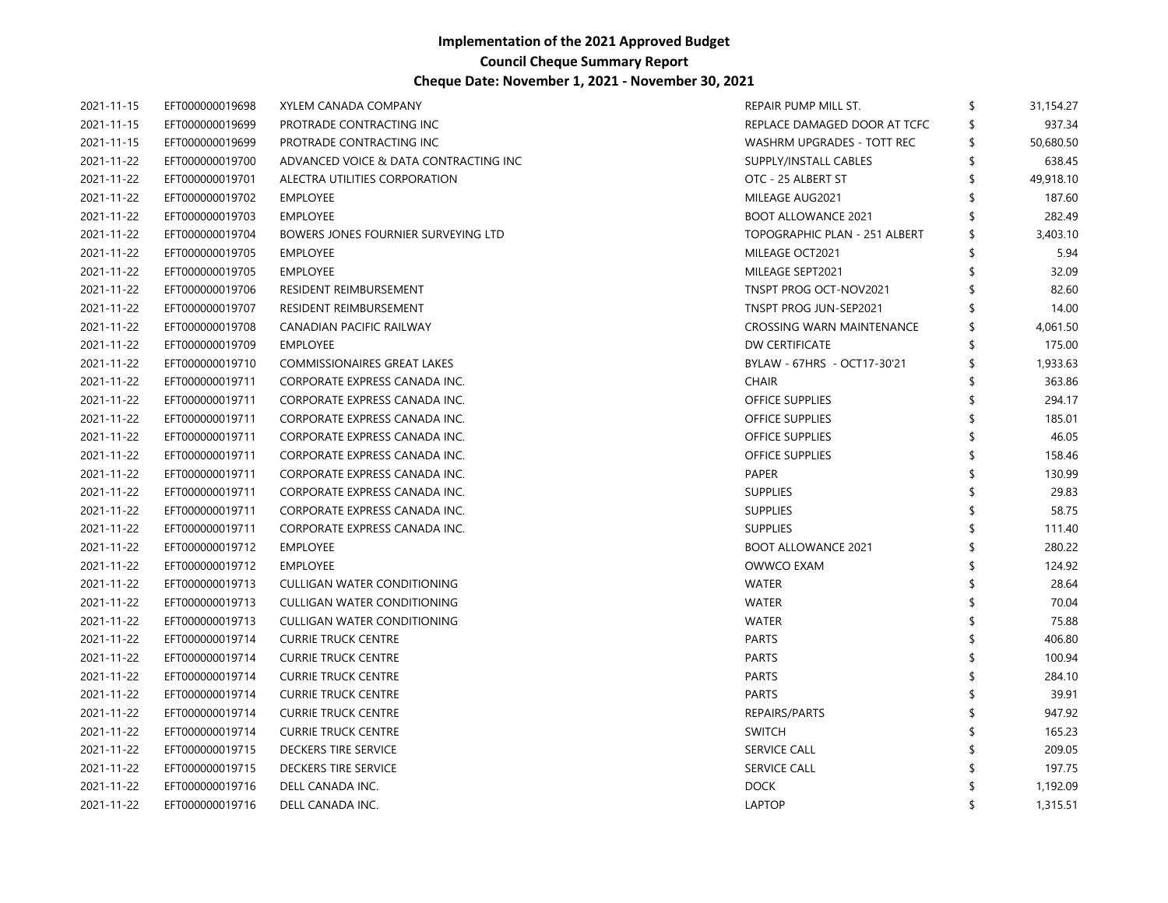| 2021-11-15 | EFT000000019698 | XYLEM CANADA COMPANY                  | REPAIR PUMP MILL ST.          | \$<br>31,154.27 |
|------------|-----------------|---------------------------------------|-------------------------------|-----------------|
| 2021-11-15 | EFT000000019699 | PROTRADE CONTRACTING INC              | REPLACE DAMAGED DOOR AT TCFC  | 937.34          |
| 2021-11-15 | EFT000000019699 | PROTRADE CONTRACTING INC              | WASHRM UPGRADES - TOTT REC    | 50,680.50       |
| 2021-11-22 | EFT000000019700 | ADVANCED VOICE & DATA CONTRACTING INC | SUPPLY/INSTALL CABLES         | 638.45          |
| 2021-11-22 | EFT000000019701 | ALECTRA UTILITIES CORPORATION         | OTC - 25 ALBERT ST            | 49,918.10       |
| 2021-11-22 | EFT000000019702 | <b>EMPLOYEE</b>                       | MILEAGE AUG2021               | 187.60          |
| 2021-11-22 | EFT000000019703 | <b>EMPLOYEE</b>                       | <b>BOOT ALLOWANCE 2021</b>    | 282.49          |
| 2021-11-22 | EFT000000019704 | BOWERS JONES FOURNIER SURVEYING LTD   | TOPOGRAPHIC PLAN - 251 ALBERT | 3,403.10        |
| 2021-11-22 | EFT000000019705 | <b>EMPLOYEE</b>                       | MILEAGE OCT2021               | 5.94            |
| 2021-11-22 | EFT000000019705 | <b>EMPLOYEE</b>                       | MILEAGE SEPT2021              | 32.09           |
| 2021-11-22 | EFT000000019706 | RESIDENT REIMBURSEMENT                | TNSPT PROG OCT-NOV2021        | 82.60           |
| 2021-11-22 | EFT000000019707 | RESIDENT REIMBURSEMENT                | TNSPT PROG JUN-SEP2021        | 14.00           |
| 2021-11-22 | EFT000000019708 | CANADIAN PACIFIC RAILWAY              | CROSSING WARN MAINTENANCE     | 4,061.50        |
| 2021-11-22 | EFT000000019709 | <b>EMPLOYEE</b>                       | DW CERTIFICATE                | 175.00          |
| 2021-11-22 | EFT000000019710 | <b>COMMISSIONAIRES GREAT LAKES</b>    | BYLAW - 67HRS - OCT17-30'21   | 1,933.63        |
| 2021-11-22 | EFT000000019711 | CORPORATE EXPRESS CANADA INC.         | <b>CHAIR</b>                  | 363.86          |
| 2021-11-22 | EFT000000019711 | CORPORATE EXPRESS CANADA INC.         | OFFICE SUPPLIES               | 294.17          |
| 2021-11-22 | EFT000000019711 | CORPORATE EXPRESS CANADA INC.         | <b>OFFICE SUPPLIES</b>        | 185.01          |
| 2021-11-22 | EFT000000019711 | CORPORATE EXPRESS CANADA INC.         | <b>OFFICE SUPPLIES</b>        | 46.05           |
| 2021-11-22 | EFT000000019711 | CORPORATE EXPRESS CANADA INC.         | OFFICE SUPPLIES               | 158.46          |
| 2021-11-22 | EFT000000019711 | CORPORATE EXPRESS CANADA INC.         | PAPER                         | 130.99          |
| 2021-11-22 | EFT000000019711 | CORPORATE EXPRESS CANADA INC.         | <b>SUPPLIES</b>               | 29.83           |
| 2021-11-22 | EFT000000019711 | CORPORATE EXPRESS CANADA INC.         | <b>SUPPLIES</b>               | 58.75           |
| 2021-11-22 | EFT000000019711 | CORPORATE EXPRESS CANADA INC.         | <b>SUPPLIES</b>               | 111.40          |
| 2021-11-22 | EFT000000019712 | <b>EMPLOYEE</b>                       | <b>BOOT ALLOWANCE 2021</b>    | 280.22          |
| 2021-11-22 | EFT000000019712 | <b>EMPLOYEE</b>                       | OWWCO EXAM                    | 124.92          |
| 2021-11-22 | EFT000000019713 | CULLIGAN WATER CONDITIONING           | <b>WATER</b>                  | 28.64           |
| 2021-11-22 | EFT000000019713 | CULLIGAN WATER CONDITIONING           | WATER                         | 70.04           |
| 2021-11-22 | EFT000000019713 | <b>CULLIGAN WATER CONDITIONING</b>    | <b>WATER</b>                  | 75.88           |
| 2021-11-22 | EFT000000019714 | <b>CURRIE TRUCK CENTRE</b>            | PARTS                         | 406.80          |
| 2021-11-22 | EFT000000019714 | <b>CURRIE TRUCK CENTRE</b>            | <b>PARTS</b>                  | 100.94          |
| 2021-11-22 | EFT000000019714 | <b>CURRIE TRUCK CENTRE</b>            | <b>PARTS</b>                  | 284.10          |
| 2021-11-22 | EFT000000019714 | <b>CURRIE TRUCK CENTRE</b>            | <b>PARTS</b>                  | 39.91           |
| 2021-11-22 | EFT000000019714 | <b>CURRIE TRUCK CENTRE</b>            | REPAIRS/PARTS                 | 947.92          |
| 2021-11-22 | EFT000000019714 | <b>CURRIE TRUCK CENTRE</b>            | <b>SWITCH</b>                 | 165.23          |
| 2021-11-22 | EFT000000019715 | DECKERS TIRE SERVICE                  | <b>SERVICE CALL</b>           | 209.05          |
| 2021-11-22 | EFT000000019715 | <b>DECKERS TIRE SERVICE</b>           | <b>SERVICE CALL</b>           | 197.75          |
| 2021-11-22 | EFT000000019716 | DELL CANADA INC.                      | <b>DOCK</b>                   | 1,192.09        |
| 2021-11-22 | EFT000000019716 | DELL CANADA INC.                      | <b>LAPTOP</b>                 | 1,315.51        |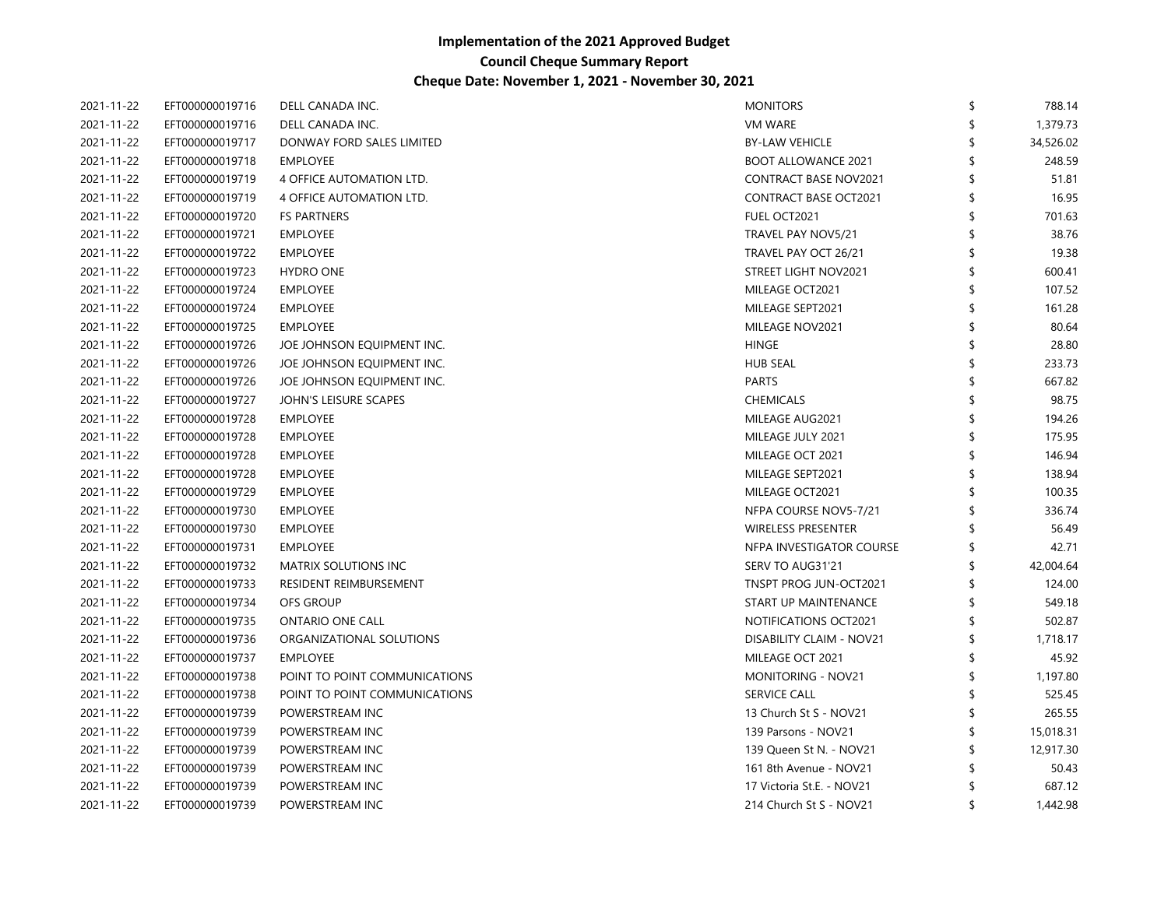| 2021-11-22 | EFT000000019716 | DELL CANADA INC.              | <b>MONITORS</b>              | 788.14    |
|------------|-----------------|-------------------------------|------------------------------|-----------|
| 2021-11-22 | EFT000000019716 | DELL CANADA INC.              | VM WARE                      | 1,379.73  |
| 2021-11-22 | EFT000000019717 | DONWAY FORD SALES LIMITED     | <b>BY-LAW VEHICLE</b>        | 34,526.02 |
| 2021-11-22 | EFT000000019718 | <b>EMPLOYEE</b>               | <b>BOOT ALLOWANCE 2021</b>   | 248.59    |
| 2021-11-22 | EFT000000019719 | 4 OFFICE AUTOMATION LTD.      | <b>CONTRACT BASE NOV2021</b> | 51.81     |
| 2021-11-22 | EFT000000019719 | 4 OFFICE AUTOMATION LTD.      | <b>CONTRACT BASE OCT2021</b> | 16.95     |
| 2021-11-22 | EFT000000019720 | <b>FS PARTNERS</b>            | FUEL OCT2021                 | 701.63    |
| 2021-11-22 | EFT000000019721 | <b>EMPLOYEE</b>               | TRAVEL PAY NOV5/21           | 38.76     |
| 2021-11-22 | EFT000000019722 | EMPLOYEE                      | TRAVEL PAY OCT 26/21         | 19.38     |
| 2021-11-22 | EFT000000019723 | <b>HYDRO ONE</b>              | STREET LIGHT NOV2021         | 600.41    |
| 2021-11-22 | EFT000000019724 | <b>EMPLOYEE</b>               | MILEAGE OCT2021              | 107.52    |
| 2021-11-22 | EFT000000019724 | <b>EMPLOYEE</b>               | MILEAGE SEPT2021             | 161.28    |
| 2021-11-22 | EFT000000019725 | <b>EMPLOYEE</b>               | MILEAGE NOV2021              | 80.64     |
| 2021-11-22 | EFT000000019726 | JOE JOHNSON EQUIPMENT INC.    | <b>HINGE</b>                 | 28.80     |
| 2021-11-22 | EFT000000019726 | JOE JOHNSON EQUIPMENT INC.    | <b>HUB SEAL</b>              | 233.73    |
| 2021-11-22 | EFT000000019726 | JOE JOHNSON EQUIPMENT INC.    | <b>PARTS</b>                 | 667.82    |
| 2021-11-22 | EFT000000019727 | JOHN'S LEISURE SCAPES         | <b>CHEMICALS</b>             | 98.75     |
| 2021-11-22 | EFT000000019728 | <b>EMPLOYEE</b>               | MILEAGE AUG2021              | 194.26    |
| 2021-11-22 | EFT000000019728 | EMPLOYEE                      | MILEAGE JULY 2021            | 175.95    |
| 2021-11-22 | EFT000000019728 | <b>EMPLOYEE</b>               | MILEAGE OCT 2021             | 146.94    |
| 2021-11-22 | EFT000000019728 | <b>EMPLOYEE</b>               | MILEAGE SEPT2021             | 138.94    |
| 2021-11-22 | EFT000000019729 | <b>EMPLOYEE</b>               | MILEAGE OCT2021              | 100.35    |
| 2021-11-22 | EFT000000019730 | <b>EMPLOYEE</b>               | NFPA COURSE NOV5-7/21        | 336.74    |
| 2021-11-22 | EFT000000019730 | <b>EMPLOYEE</b>               | <b>WIRELESS PRESENTER</b>    | 56.49     |
| 2021-11-22 | EFT000000019731 | <b>EMPLOYEE</b>               | NFPA INVESTIGATOR COURSE     | 42.71     |
| 2021-11-22 | EFT000000019732 | <b>MATRIX SOLUTIONS INC</b>   | SERV TO AUG31'21             | 42,004.64 |
| 2021-11-22 | EFT000000019733 | RESIDENT REIMBURSEMENT        | TNSPT PROG JUN-OCT2021       | 124.00    |
| 2021-11-22 | EFT000000019734 | OFS GROUP                     | START UP MAINTENANCE         | 549.18    |
| 2021-11-22 | EFT000000019735 | <b>ONTARIO ONE CALL</b>       | NOTIFICATIONS OCT2021        | 502.87    |
| 2021-11-22 | EFT000000019736 | ORGANIZATIONAL SOLUTIONS      | DISABILITY CLAIM - NOV21     | 1,718.17  |
| 2021-11-22 | EFT000000019737 | <b>EMPLOYEE</b>               | MILEAGE OCT 2021             | 45.92     |
| 2021-11-22 | EFT000000019738 | POINT TO POINT COMMUNICATIONS | MONITORING - NOV21           | 1,197.80  |
| 2021-11-22 | EFT000000019738 | POINT TO POINT COMMUNICATIONS | <b>SERVICE CALL</b>          | 525.45    |
| 2021-11-22 | EFT000000019739 | POWERSTREAM INC               | 13 Church St S - NOV21       | 265.55    |
| 2021-11-22 | EFT000000019739 | POWERSTREAM INC               | 139 Parsons - NOV21          | 15,018.31 |
| 2021-11-22 | EFT000000019739 | POWERSTREAM INC               | 139 Queen St N. - NOV21      | 12,917.30 |
| 2021-11-22 | EFT000000019739 | POWERSTREAM INC               | 161 8th Avenue - NOV21       | 50.43     |
| 2021-11-22 | EFT000000019739 | POWERSTREAM INC               | 17 Victoria St.E. - NOV21    | 687.12    |
| 2021-11-22 | EFT000000019739 | POWERSTREAM INC               | 214 Church St S - NOV21      | 1,442.98  |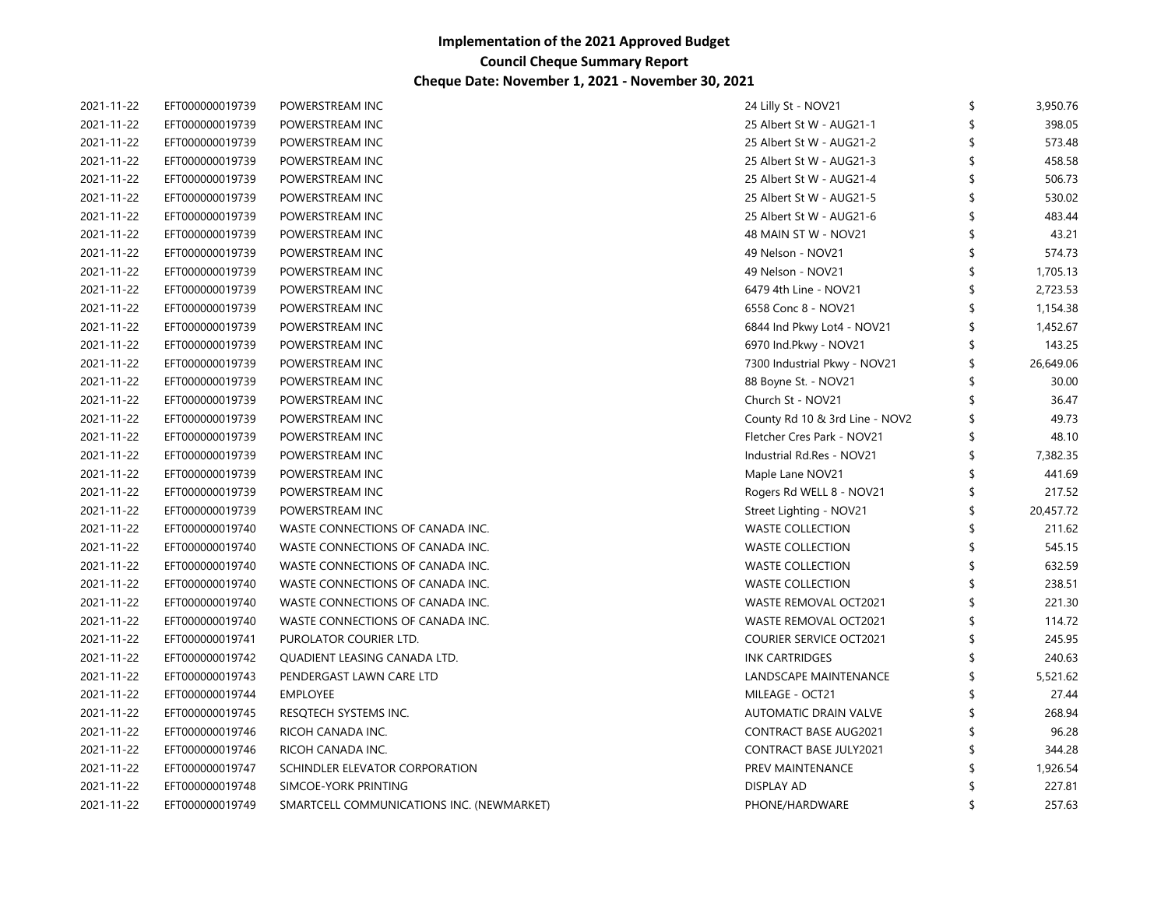| 2021-11-22 | EFT000000019739 | POWERSTREAM INC                           | 24 Lilly St - NOV21            | \$<br>3,950.76  |
|------------|-----------------|-------------------------------------------|--------------------------------|-----------------|
| 2021-11-22 | EFT000000019739 | POWERSTREAM INC                           | 25 Albert St W - AUG21-1       | 398.05          |
| 2021-11-22 | EFT000000019739 | POWERSTREAM INC                           | 25 Albert St W - AUG21-2       | 573.48          |
| 2021-11-22 | EFT000000019739 | POWERSTREAM INC                           | 25 Albert St W - AUG21-3       | 458.58          |
| 2021-11-22 | EFT000000019739 | POWERSTREAM INC                           | 25 Albert St W - AUG21-4       | 506.73          |
| 2021-11-22 | EFT000000019739 | POWERSTREAM INC                           | 25 Albert St W - AUG21-5       | 530.02          |
| 2021-11-22 | EFT000000019739 | POWERSTREAM INC                           | 25 Albert St W - AUG21-6       | 483.44          |
| 2021-11-22 | EFT000000019739 | POWERSTREAM INC                           | 48 MAIN ST W - NOV21           | 43.21           |
| 2021-11-22 | EFT000000019739 | POWERSTREAM INC                           | 49 Nelson - NOV21              | 574.73          |
| 2021-11-22 | EFT000000019739 | POWERSTREAM INC                           | 49 Nelson - NOV21              | 1,705.13        |
| 2021-11-22 | EFT000000019739 | POWERSTREAM INC                           | 6479 4th Line - NOV21          | 2,723.53        |
| 2021-11-22 | EFT000000019739 | POWERSTREAM INC                           | 6558 Conc 8 - NOV21            | 1,154.38        |
| 2021-11-22 | EFT000000019739 | POWERSTREAM INC                           | 6844 Ind Pkwy Lot4 - NOV21     | 1,452.67        |
| 2021-11-22 | EFT000000019739 | POWERSTREAM INC                           | 6970 Ind.Pkwy - NOV21          | 143.25          |
| 2021-11-22 | EFT000000019739 | POWERSTREAM INC                           | 7300 Industrial Pkwy - NOV21   | 26,649.06       |
| 2021-11-22 | EFT000000019739 | POWERSTREAM INC                           | 88 Boyne St. - NOV21           | 30.00           |
| 2021-11-22 | EFT000000019739 | POWERSTREAM INC                           | Church St - NOV21              | 36.47           |
| 2021-11-22 | EFT000000019739 | POWERSTREAM INC                           | County Rd 10 & 3rd Line - NOV2 | 49.73           |
| 2021-11-22 | EFT000000019739 | POWERSTREAM INC                           | Fletcher Cres Park - NOV21     | 48.10           |
| 2021-11-22 | EFT000000019739 | POWERSTREAM INC                           | Industrial Rd.Res - NOV21      | 7,382.35        |
| 2021-11-22 | EFT000000019739 | POWERSTREAM INC                           | Maple Lane NOV21               | 441.69          |
| 2021-11-22 | EFT000000019739 | POWERSTREAM INC                           | Rogers Rd WELL 8 - NOV21       | 217.52          |
| 2021-11-22 | EFT000000019739 | POWERSTREAM INC                           | Street Lighting - NOV21        | \$<br>20,457.72 |
| 2021-11-22 | EFT000000019740 | WASTE CONNECTIONS OF CANADA INC.          | <b>WASTE COLLECTION</b>        | \$<br>211.62    |
| 2021-11-22 | EFT000000019740 | WASTE CONNECTIONS OF CANADA INC.          | <b>WASTE COLLECTION</b>        | \$<br>545.15    |
| 2021-11-22 | EFT000000019740 | WASTE CONNECTIONS OF CANADA INC.          | <b>WASTE COLLECTION</b>        | \$<br>632.59    |
| 2021-11-22 | EFT000000019740 | WASTE CONNECTIONS OF CANADA INC.          | <b>WASTE COLLECTION</b>        | 238.51          |
| 2021-11-22 | EFT000000019740 | WASTE CONNECTIONS OF CANADA INC.          | WASTE REMOVAL OCT2021          | 221.30          |
| 2021-11-22 | EFT000000019740 | WASTE CONNECTIONS OF CANADA INC.          | WASTE REMOVAL OCT2021          | 114.72          |
| 2021-11-22 | EFT000000019741 | PUROLATOR COURIER LTD.                    | COURIER SERVICE OCT2021        | 245.95          |
| 2021-11-22 | EFT000000019742 | QUADIENT LEASING CANADA LTD.              | <b>INK CARTRIDGES</b>          | 240.63          |
| 2021-11-22 | EFT000000019743 | PENDERGAST LAWN CARE LTD                  | LANDSCAPE MAINTENANCE          | 5,521.62        |
| 2021-11-22 | EFT000000019744 | <b>EMPLOYEE</b>                           | MILEAGE - OCT21                | 27.44           |
| 2021-11-22 | EFT000000019745 | RESQTECH SYSTEMS INC.                     | <b>AUTOMATIC DRAIN VALVE</b>   | 268.94          |
| 2021-11-22 | EFT000000019746 | RICOH CANADA INC.                         | <b>CONTRACT BASE AUG2021</b>   | 96.28           |
| 2021-11-22 | EFT000000019746 | RICOH CANADA INC.                         | <b>CONTRACT BASE JULY2021</b>  | 344.28          |
| 2021-11-22 | EFT000000019747 | SCHINDLER ELEVATOR CORPORATION            | PREV MAINTENANCE               | 1,926.54        |
| 2021-11-22 | EFT000000019748 | SIMCOE-YORK PRINTING                      | DISPLAY AD                     | 227.81          |
| 2021-11-22 | EFT000000019749 | SMARTCELL COMMUNICATIONS INC. (NEWMARKET) | PHONE/HARDWARE                 | \$<br>257.63    |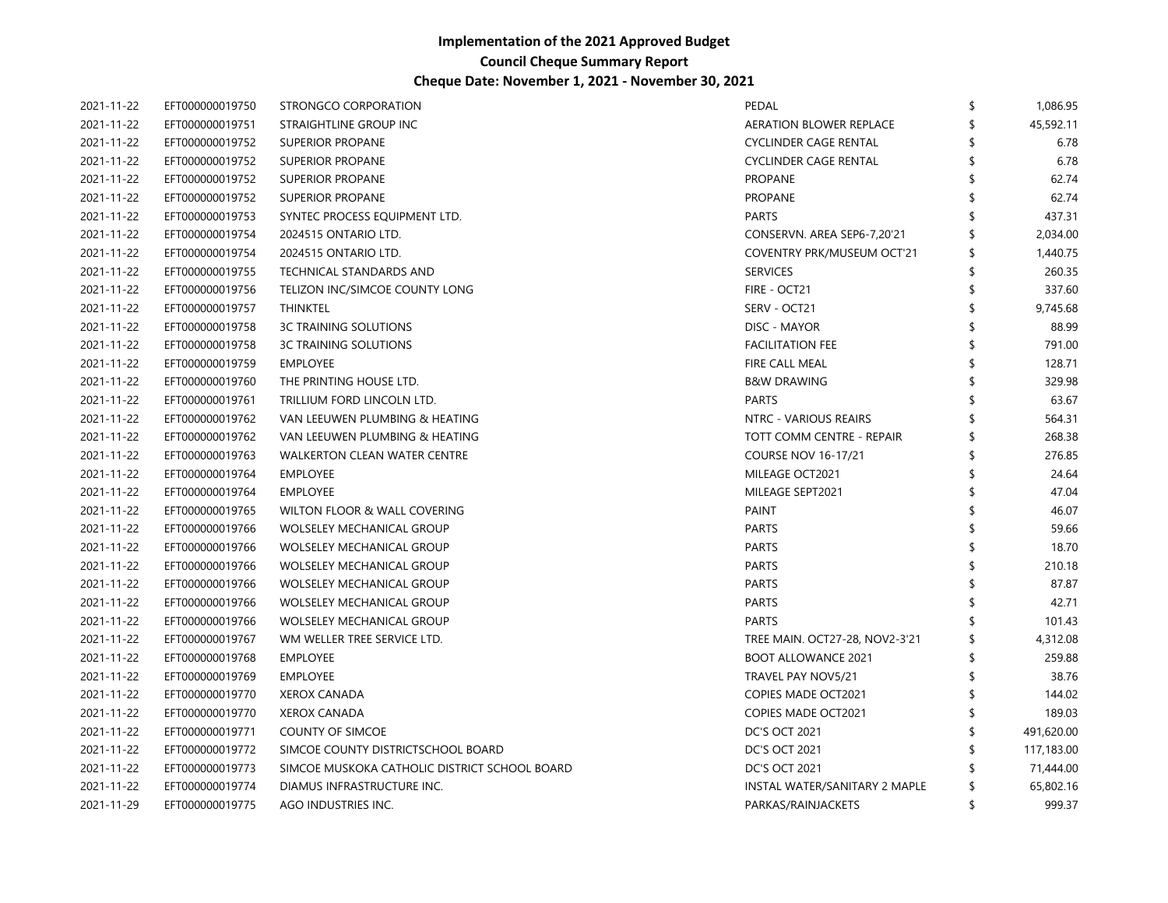| 2021-11-22 | EFT000000019750 | STRONGCO CORPORATION                          | PEDAL                          | 1,086.95     |
|------------|-----------------|-----------------------------------------------|--------------------------------|--------------|
| 2021-11-22 | EFT000000019751 | STRAIGHTLINE GROUP INC                        | AERATION BLOWER REPLACE        | 45,592.11    |
| 2021-11-22 | EFT000000019752 | <b>SUPERIOR PROPANE</b>                       | <b>CYCLINDER CAGE RENTAL</b>   | 6.78         |
| 2021-11-22 | EFT000000019752 | <b>SUPERIOR PROPANE</b>                       | <b>CYCLINDER CAGE RENTAL</b>   | 6.78         |
| 2021-11-22 | EFT000000019752 | <b>SUPERIOR PROPANE</b>                       | PROPANE                        | 62.74        |
| 2021-11-22 | EFT000000019752 | <b>SUPERIOR PROPANE</b>                       | PROPANE                        | 62.74        |
| 2021-11-22 | EFT000000019753 | SYNTEC PROCESS EQUIPMENT LTD.                 | <b>PARTS</b>                   | 437.31       |
| 2021-11-22 | EFT000000019754 | 2024515 ONTARIO LTD.                          | CONSERVN. AREA SEP6-7,20'21    | 2,034.00     |
| 2021-11-22 | EFT000000019754 | 2024515 ONTARIO LTD.                          | COVENTRY PRK/MUSEUM OCT'21     | 1,440.75     |
| 2021-11-22 | EFT000000019755 | TECHNICAL STANDARDS AND                       | <b>SERVICES</b>                | 260.35       |
| 2021-11-22 | EFT000000019756 | TELIZON INC/SIMCOE COUNTY LONG                | FIRE - OCT21                   | 337.60       |
| 2021-11-22 | EFT000000019757 | <b>THINKTEL</b>                               | SERV - OCT21                   | 9,745.68     |
| 2021-11-22 | EFT000000019758 | <b>3C TRAINING SOLUTIONS</b>                  | DISC - MAYOR                   | 88.99        |
| 2021-11-22 | EFT000000019758 | <b>3C TRAINING SOLUTIONS</b>                  | <b>FACILITATION FEE</b>        | 791.00       |
| 2021-11-22 | EFT000000019759 | <b>EMPLOYEE</b>                               | FIRE CALL MEAL                 | 128.71       |
| 2021-11-22 | EFT000000019760 | THE PRINTING HOUSE LTD.                       | <b>B&amp;W DRAWING</b>         | 329.98       |
| 2021-11-22 | EFT000000019761 | TRILLIUM FORD LINCOLN LTD.                    | <b>PARTS</b>                   | 63.67        |
| 2021-11-22 | EFT000000019762 | VAN LEEUWEN PLUMBING & HEATING                | <b>NTRC - VARIOUS REAIRS</b>   | 564.31       |
| 2021-11-22 | EFT000000019762 | VAN LEEUWEN PLUMBING & HEATING                | TOTT COMM CENTRE - REPAIR      | 268.38       |
| 2021-11-22 | EFT000000019763 | <b>WALKERTON CLEAN WATER CENTRE</b>           | <b>COURSE NOV 16-17/21</b>     | 276.85       |
| 2021-11-22 | EFT000000019764 | <b>EMPLOYEE</b>                               | MILEAGE OCT2021                | 24.64        |
| 2021-11-22 | EFT000000019764 | <b>EMPLOYEE</b>                               | MILEAGE SEPT2021               | 47.04        |
| 2021-11-22 | EFT000000019765 | WILTON FLOOR & WALL COVERING                  | <b>PAINT</b>                   | 46.07        |
| 2021-11-22 | EFT000000019766 | <b>WOLSELEY MECHANICAL GROUP</b>              | <b>PARTS</b>                   | 59.66        |
| 2021-11-22 | EFT000000019766 | <b>WOLSELEY MECHANICAL GROUP</b>              | <b>PARTS</b>                   | 18.70        |
| 2021-11-22 | EFT000000019766 | <b>WOLSELEY MECHANICAL GROUP</b>              | <b>PARTS</b>                   | 210.18       |
| 2021-11-22 | EFT000000019766 | <b>WOLSELEY MECHANICAL GROUP</b>              | <b>PARTS</b>                   | 87.87        |
| 2021-11-22 | EFT000000019766 | <b>WOLSELEY MECHANICAL GROUP</b>              | <b>PARTS</b>                   | 42.71        |
| 2021-11-22 | EFT000000019766 | <b>WOLSELEY MECHANICAL GROUP</b>              | <b>PARTS</b>                   | 101.43       |
| 2021-11-22 | EFT000000019767 | WM WELLER TREE SERVICE LTD.                   | TREE MAIN. OCT27-28, NOV2-3'21 | 4,312.08     |
| 2021-11-22 | EFT000000019768 | <b>EMPLOYEE</b>                               | <b>BOOT ALLOWANCE 2021</b>     | 259.88       |
| 2021-11-22 | EFT000000019769 | <b>EMPLOYEE</b>                               | TRAVEL PAY NOV5/21             | 38.76        |
| 2021-11-22 | EFT000000019770 | <b>XEROX CANADA</b>                           | <b>COPIES MADE OCT2021</b>     | 144.02       |
| 2021-11-22 | EFT000000019770 | <b>XEROX CANADA</b>                           | <b>COPIES MADE OCT2021</b>     | 189.03       |
| 2021-11-22 | EFT000000019771 | <b>COUNTY OF SIMCOE</b>                       | <b>DC'S OCT 2021</b>           | 491,620.00   |
| 2021-11-22 | EFT000000019772 | SIMCOE COUNTY DISTRICTSCHOOL BOARD            | <b>DC'S OCT 2021</b>           | 117,183.00   |
| 2021-11-22 | EFT000000019773 | SIMCOE MUSKOKA CATHOLIC DISTRICT SCHOOL BOARD | <b>DC'S OCT 2021</b>           | 71,444.00    |
| 2021-11-22 | EFT000000019774 | DIAMUS INFRASTRUCTURE INC.                    | INSTAL WATER/SANITARY 2 MAPLE  | 65,802.16    |
| 2021-11-29 | EFT000000019775 | AGO INDUSTRIES INC.                           | PARKAS/RAINJACKETS             | \$<br>999.37 |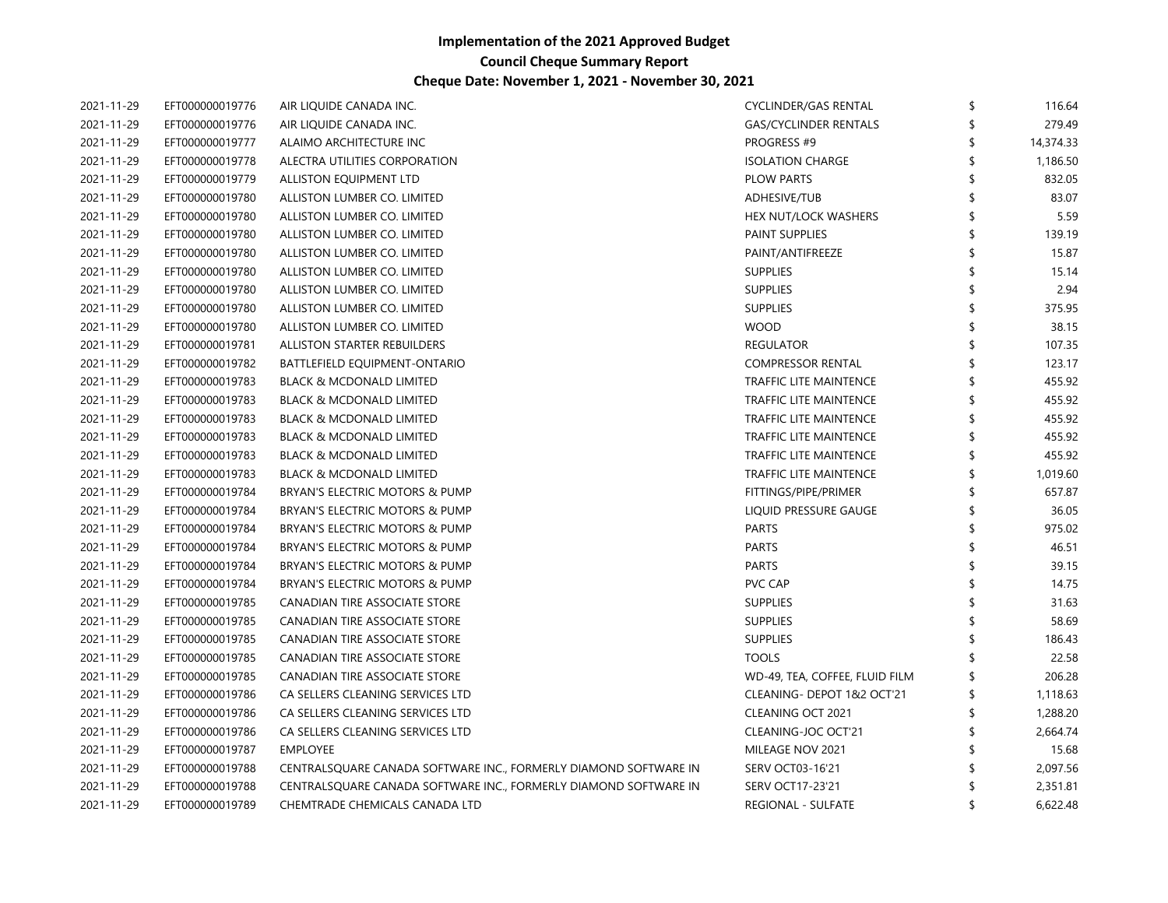| 2021-11-29 | EFT000000019776 | AIR LIQUIDE CANADA INC.                                          | <b>CYCLINDER/GAS RENTAL</b>    | \$ | 116.64    |
|------------|-----------------|------------------------------------------------------------------|--------------------------------|----|-----------|
| 2021-11-29 | EFT000000019776 | AIR LIQUIDE CANADA INC.                                          | <b>GAS/CYCLINDER RENTALS</b>   |    | 279.49    |
| 2021-11-29 | EFT000000019777 | ALAIMO ARCHITECTURE INC                                          | PROGRESS #9                    |    | 14,374.33 |
| 2021-11-29 | EFT000000019778 | ALECTRA UTILITIES CORPORATION                                    | <b>ISOLATION CHARGE</b>        |    | 1,186.50  |
| 2021-11-29 | EFT000000019779 | ALLISTON EQUIPMENT LTD                                           | <b>PLOW PARTS</b>              |    | 832.05    |
| 2021-11-29 | EFT000000019780 | ALLISTON LUMBER CO. LIMITED                                      | ADHESIVE/TUB                   |    | 83.07     |
| 2021-11-29 | EFT000000019780 | ALLISTON LUMBER CO. LIMITED                                      | HEX NUT/LOCK WASHERS           |    | 5.59      |
| 2021-11-29 | EFT000000019780 | ALLISTON LUMBER CO. LIMITED                                      | PAINT SUPPLIES                 |    | 139.19    |
| 2021-11-29 | EFT000000019780 | ALLISTON LUMBER CO. LIMITED                                      | PAINT/ANTIFREEZE               |    | 15.87     |
| 2021-11-29 | EFT000000019780 | ALLISTON LUMBER CO. LIMITED                                      | <b>SUPPLIES</b>                |    | 15.14     |
| 2021-11-29 | EFT000000019780 | ALLISTON LUMBER CO. LIMITED                                      | <b>SUPPLIES</b>                |    | 2.94      |
| 2021-11-29 | EFT000000019780 | ALLISTON LUMBER CO. LIMITED                                      | <b>SUPPLIES</b>                |    | 375.95    |
| 2021-11-29 | EFT000000019780 | ALLISTON LUMBER CO. LIMITED                                      | <b>WOOD</b>                    |    | 38.15     |
| 2021-11-29 | EFT000000019781 | <b>ALLISTON STARTER REBUILDERS</b>                               | <b>REGULATOR</b>               |    | 107.35    |
| 2021-11-29 | EFT000000019782 | BATTLEFIELD EQUIPMENT-ONTARIO                                    | <b>COMPRESSOR RENTAL</b>       |    | 123.17    |
| 2021-11-29 | EFT000000019783 | <b>BLACK &amp; MCDONALD LIMITED</b>                              | <b>TRAFFIC LITE MAINTENCE</b>  |    | 455.92    |
| 2021-11-29 | EFT000000019783 | <b>BLACK &amp; MCDONALD LIMITED</b>                              | <b>TRAFFIC LITE MAINTENCE</b>  |    | 455.92    |
| 2021-11-29 | EFT000000019783 | <b>BLACK &amp; MCDONALD LIMITED</b>                              | <b>TRAFFIC LITE MAINTENCE</b>  |    | 455.92    |
| 2021-11-29 | EFT000000019783 | <b>BLACK &amp; MCDONALD LIMITED</b>                              | <b>TRAFFIC LITE MAINTENCE</b>  |    | 455.92    |
| 2021-11-29 | EFT000000019783 | <b>BLACK &amp; MCDONALD LIMITED</b>                              | <b>TRAFFIC LITE MAINTENCE</b>  |    | 455.92    |
| 2021-11-29 | EFT000000019783 | <b>BLACK &amp; MCDONALD LIMITED</b>                              | <b>TRAFFIC LITE MAINTENCE</b>  |    | 1,019.60  |
| 2021-11-29 | EFT000000019784 | BRYAN'S ELECTRIC MOTORS & PUMP                                   | FITTINGS/PIPE/PRIMER           |    | 657.87    |
| 2021-11-29 | EFT000000019784 | BRYAN'S ELECTRIC MOTORS & PUMP                                   | LIQUID PRESSURE GAUGE          |    | 36.05     |
| 2021-11-29 | EFT000000019784 | BRYAN'S ELECTRIC MOTORS & PUMP                                   | <b>PARTS</b>                   |    | 975.02    |
| 2021-11-29 | EFT000000019784 | BRYAN'S ELECTRIC MOTORS & PUMP                                   | <b>PARTS</b>                   |    | 46.51     |
| 2021-11-29 | EFT000000019784 | BRYAN'S ELECTRIC MOTORS & PUMP                                   | <b>PARTS</b>                   |    | 39.15     |
| 2021-11-29 | EFT000000019784 | BRYAN'S ELECTRIC MOTORS & PUMP                                   | PVC CAP                        |    | 14.75     |
| 2021-11-29 | EFT000000019785 | CANADIAN TIRE ASSOCIATE STORE                                    | <b>SUPPLIES</b>                |    | 31.63     |
| 2021-11-29 | EFT000000019785 | CANADIAN TIRE ASSOCIATE STORE                                    | <b>SUPPLIES</b>                |    | 58.69     |
| 2021-11-29 | EFT000000019785 | CANADIAN TIRE ASSOCIATE STORE                                    | <b>SUPPLIES</b>                |    | 186.43    |
| 2021-11-29 | EFT000000019785 | CANADIAN TIRE ASSOCIATE STORE                                    | <b>TOOLS</b>                   |    | 22.58     |
| 2021-11-29 | EFT000000019785 | CANADIAN TIRE ASSOCIATE STORE                                    | WD-49, TEA, COFFEE, FLUID FILM |    | 206.28    |
| 2021-11-29 | EFT000000019786 | CA SELLERS CLEANING SERVICES LTD                                 | CLEANING- DEPOT 1&2 OCT'21     |    | 1,118.63  |
| 2021-11-29 | EFT000000019786 | CA SELLERS CLEANING SERVICES LTD                                 | CLEANING OCT 2021              |    | 1,288.20  |
| 2021-11-29 | EFT000000019786 | CA SELLERS CLEANING SERVICES LTD                                 | CLEANING-JOC OCT'21            |    | 2,664.74  |
| 2021-11-29 | EFT000000019787 | <b>EMPLOYEE</b>                                                  | MILEAGE NOV 2021               |    | 15.68     |
| 2021-11-29 | EFT000000019788 | CENTRALSQUARE CANADA SOFTWARE INC., FORMERLY DIAMOND SOFTWARE IN | SERV OCT03-16'21               |    | 2,097.56  |
| 2021-11-29 | EFT000000019788 | CENTRALSQUARE CANADA SOFTWARE INC., FORMERLY DIAMOND SOFTWARE IN | SERV OCT17-23'21               |    | 2,351.81  |
| 2021-11-29 | EFT000000019789 | CHEMTRADE CHEMICALS CANADA LTD                                   | REGIONAL - SULFATE             | ፍ  | 6,622.48  |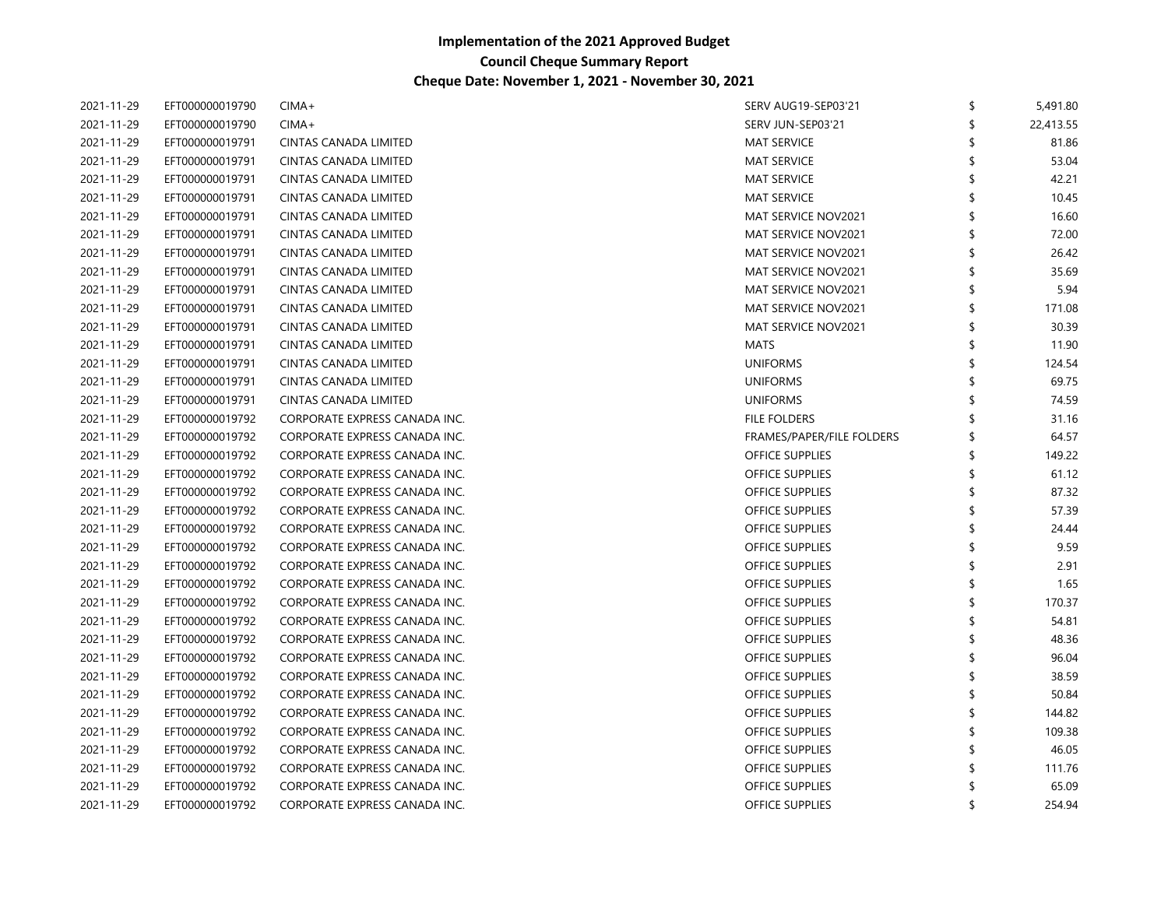| 2021-11-29 | EFT000000019790 | $CIMA+$                       | SERV AUG19-SEP03'21       | \$<br>5,491.80 |
|------------|-----------------|-------------------------------|---------------------------|----------------|
| 2021-11-29 | EFT000000019790 | $CIMA+$                       | SERV JUN-SEP03'21         | 22,413.55      |
| 2021-11-29 | EFT000000019791 | CINTAS CANADA LIMITED         | <b>MAT SERVICE</b>        | 81.86          |
| 2021-11-29 | EFT000000019791 | CINTAS CANADA LIMITED         | <b>MAT SERVICE</b>        | 53.04          |
| 2021-11-29 | EFT000000019791 | CINTAS CANADA LIMITED         | <b>MAT SERVICE</b>        | 42.21          |
| 2021-11-29 | EFT000000019791 | CINTAS CANADA LIMITED         | <b>MAT SERVICE</b>        | 10.45          |
| 2021-11-29 | EFT000000019791 | CINTAS CANADA LIMITED         | MAT SERVICE NOV2021       | 16.60          |
| 2021-11-29 | EFT000000019791 | <b>CINTAS CANADA LIMITED</b>  | MAT SERVICE NOV2021       | 72.00          |
| 2021-11-29 | EFT000000019791 | <b>CINTAS CANADA LIMITED</b>  | MAT SERVICE NOV2021       | 26.42          |
| 2021-11-29 | EFT000000019791 | CINTAS CANADA LIMITED         | MAT SERVICE NOV2021       | 35.69          |
| 2021-11-29 | EFT000000019791 | <b>CINTAS CANADA LIMITED</b>  | MAT SERVICE NOV2021       | 5.94           |
| 2021-11-29 | EFT000000019791 | CINTAS CANADA LIMITED         | MAT SERVICE NOV2021       | 171.08         |
| 2021-11-29 | EFT000000019791 | CINTAS CANADA LIMITED         | MAT SERVICE NOV2021       | 30.39          |
| 2021-11-29 | EFT000000019791 | CINTAS CANADA LIMITED         | <b>MATS</b>               | 11.90          |
| 2021-11-29 | EFT000000019791 | CINTAS CANADA LIMITED         | <b>UNIFORMS</b>           | 124.54         |
| 2021-11-29 | EFT000000019791 | CINTAS CANADA LIMITED         | <b>UNIFORMS</b>           | 69.75          |
| 2021-11-29 | EFT000000019791 | CINTAS CANADA LIMITED         | <b>UNIFORMS</b>           | 74.59          |
| 2021-11-29 | EFT000000019792 | CORPORATE EXPRESS CANADA INC. | <b>FILE FOLDERS</b>       | 31.16          |
| 2021-11-29 | EFT000000019792 | CORPORATE EXPRESS CANADA INC. | FRAMES/PAPER/FILE FOLDERS | 64.57          |
| 2021-11-29 | EFT000000019792 | CORPORATE EXPRESS CANADA INC. | OFFICE SUPPLIES           | 149.22         |
| 2021-11-29 | EFT000000019792 | CORPORATE EXPRESS CANADA INC. | <b>OFFICE SUPPLIES</b>    | 61.12          |
| 2021-11-29 | EFT000000019792 | CORPORATE EXPRESS CANADA INC. | OFFICE SUPPLIES           | 87.32          |
| 2021-11-29 | EFT000000019792 | CORPORATE EXPRESS CANADA INC. | OFFICE SUPPLIES           | 57.39          |
| 2021-11-29 | EFT000000019792 | CORPORATE EXPRESS CANADA INC. | OFFICE SUPPLIES           | 24.44          |
| 2021-11-29 | EFT000000019792 | CORPORATE EXPRESS CANADA INC. | OFFICE SUPPLIES           | 9.59           |
| 2021-11-29 | EFT000000019792 | CORPORATE EXPRESS CANADA INC. | OFFICE SUPPLIES           | 2.91           |
| 2021-11-29 | EFT000000019792 | CORPORATE EXPRESS CANADA INC. | OFFICE SUPPLIES           | 1.65           |
| 2021-11-29 | EFT000000019792 | CORPORATE EXPRESS CANADA INC. | OFFICE SUPPLIES           | 170.37         |
| 2021-11-29 | EFT000000019792 | CORPORATE EXPRESS CANADA INC. | <b>OFFICE SUPPLIES</b>    | 54.81          |
| 2021-11-29 | EFT000000019792 | CORPORATE EXPRESS CANADA INC. | OFFICE SUPPLIES           | 48.36          |
| 2021-11-29 | EFT000000019792 | CORPORATE EXPRESS CANADA INC. | OFFICE SUPPLIES           | 96.04          |
| 2021-11-29 | EFT000000019792 | CORPORATE EXPRESS CANADA INC. | OFFICE SUPPLIES           | 38.59          |
| 2021-11-29 | EFT000000019792 | CORPORATE EXPRESS CANADA INC. | OFFICE SUPPLIES           | 50.84          |
| 2021-11-29 | EFT000000019792 | CORPORATE EXPRESS CANADA INC. | <b>OFFICE SUPPLIES</b>    | 144.82         |
| 2021-11-29 | EFT000000019792 | CORPORATE EXPRESS CANADA INC. | OFFICE SUPPLIES           | 109.38         |
| 2021-11-29 | EFT000000019792 | CORPORATE EXPRESS CANADA INC. | <b>OFFICE SUPPLIES</b>    | 46.05          |
| 2021-11-29 | EFT000000019792 | CORPORATE EXPRESS CANADA INC. | <b>OFFICE SUPPLIES</b>    | 111.76         |
| 2021-11-29 | EFT000000019792 | CORPORATE EXPRESS CANADA INC. | OFFICE SUPPLIES           | 65.09          |
| 2021-11-29 | EFT000000019792 | CORPORATE EXPRESS CANADA INC. | <b>OFFICE SUPPLIES</b>    | \$<br>254.94   |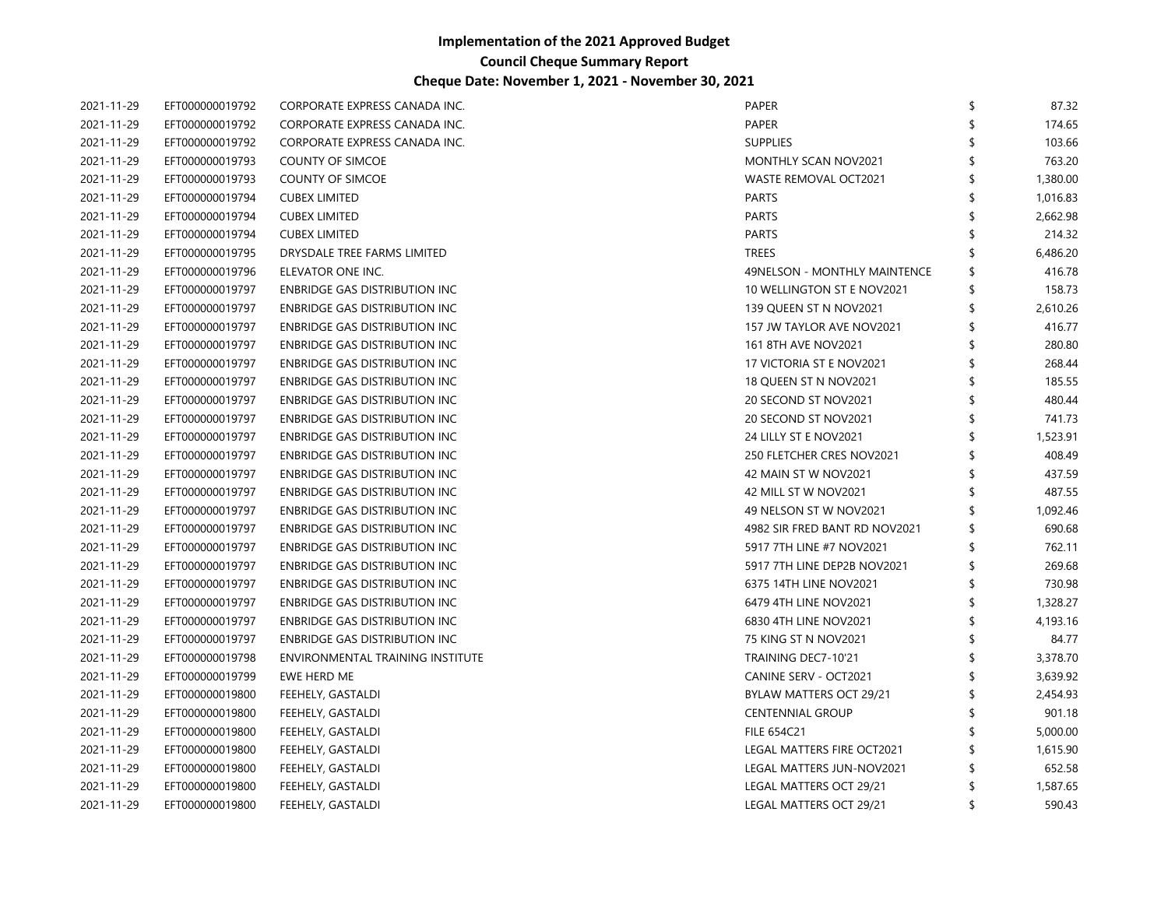| 2021-11-29 | EFT000000019792 | CORPORATE EXPRESS CANADA INC.        | PAPER                         | 87.32        |
|------------|-----------------|--------------------------------------|-------------------------------|--------------|
| 2021-11-29 | EFT000000019792 | CORPORATE EXPRESS CANADA INC.        | PAPER                         | 174.65       |
| 2021-11-29 | EFT000000019792 | CORPORATE EXPRESS CANADA INC.        | <b>SUPPLIES</b>               | 103.66       |
| 2021-11-29 | EFT000000019793 | <b>COUNTY OF SIMCOE</b>              | MONTHLY SCAN NOV2021          | 763.20       |
| 2021-11-29 | EFT000000019793 | <b>COUNTY OF SIMCOE</b>              | WASTE REMOVAL OCT2021         | 1,380.00     |
| 2021-11-29 | EFT000000019794 | <b>CUBEX LIMITED</b>                 | <b>PARTS</b>                  | 1,016.83     |
| 2021-11-29 | EFT000000019794 | <b>CUBEX LIMITED</b>                 | <b>PARTS</b>                  | 2,662.98     |
| 2021-11-29 | EFT000000019794 | <b>CUBEX LIMITED</b>                 | <b>PARTS</b>                  | 214.32       |
| 2021-11-29 | EFT000000019795 | DRYSDALE TREE FARMS LIMITED          | <b>TREES</b>                  | 6,486.20     |
| 2021-11-29 | EFT000000019796 | ELEVATOR ONE INC.                    | 49NELSON - MONTHLY MAINTENCE  | 416.78       |
| 2021-11-29 | EFT000000019797 | ENBRIDGE GAS DISTRIBUTION INC        | 10 WELLINGTON ST E NOV2021    | 158.73       |
| 2021-11-29 | EFT000000019797 | ENBRIDGE GAS DISTRIBUTION INC        | 139 QUEEN ST N NOV2021        | 2,610.26     |
| 2021-11-29 | EFT000000019797 | <b>ENBRIDGE GAS DISTRIBUTION INC</b> | 157 JW TAYLOR AVE NOV2021     | 416.77       |
| 2021-11-29 | EFT000000019797 | ENBRIDGE GAS DISTRIBUTION INC        | 161 8TH AVE NOV2021           | 280.80       |
| 2021-11-29 | EFT000000019797 | ENBRIDGE GAS DISTRIBUTION INC        | 17 VICTORIA ST E NOV2021      | 268.44       |
| 2021-11-29 | EFT000000019797 | ENBRIDGE GAS DISTRIBUTION INC        | 18 QUEEN ST N NOV2021         | 185.55       |
| 2021-11-29 | EFT000000019797 | ENBRIDGE GAS DISTRIBUTION INC        | 20 SECOND ST NOV2021          | 480.44       |
| 2021-11-29 | EFT000000019797 | ENBRIDGE GAS DISTRIBUTION INC        | 20 SECOND ST NOV2021          | 741.73       |
| 2021-11-29 | EFT000000019797 | ENBRIDGE GAS DISTRIBUTION INC        | 24 LILLY ST E NOV2021         | 1,523.91     |
| 2021-11-29 | EFT000000019797 | <b>ENBRIDGE GAS DISTRIBUTION INC</b> | 250 FLETCHER CRES NOV2021     | 408.49       |
| 2021-11-29 | EFT000000019797 | ENBRIDGE GAS DISTRIBUTION INC        | 42 MAIN ST W NOV2021          | 437.59       |
| 2021-11-29 | EFT000000019797 | <b>ENBRIDGE GAS DISTRIBUTION INC</b> | 42 MILL ST W NOV2021          | 487.55       |
| 2021-11-29 | EFT000000019797 | ENBRIDGE GAS DISTRIBUTION INC        | 49 NELSON ST W NOV2021        | 1,092.46     |
| 2021-11-29 | EFT000000019797 | ENBRIDGE GAS DISTRIBUTION INC        | 4982 SIR FRED BANT RD NOV2021 | 690.68       |
| 2021-11-29 | EFT000000019797 | <b>ENBRIDGE GAS DISTRIBUTION INC</b> | 5917 7TH LINE #7 NOV2021      | 762.11       |
| 2021-11-29 | EFT000000019797 | ENBRIDGE GAS DISTRIBUTION INC        | 5917 7TH LINE DEP2B NOV2021   | 269.68       |
| 2021-11-29 | EFT000000019797 | ENBRIDGE GAS DISTRIBUTION INC        | 6375 14TH LINE NOV2021        | 730.98       |
| 2021-11-29 | EFT000000019797 | ENBRIDGE GAS DISTRIBUTION INC        | 6479 4TH LINE NOV2021         | 1,328.27     |
| 2021-11-29 | EFT000000019797 | ENBRIDGE GAS DISTRIBUTION INC        | 6830 4TH LINE NOV2021         | 4,193.16     |
| 2021-11-29 | EFT000000019797 | <b>ENBRIDGE GAS DISTRIBUTION INC</b> | 75 KING ST N NOV2021          | 84.77        |
| 2021-11-29 | EFT000000019798 | ENVIRONMENTAL TRAINING INSTITUTE     | TRAINING DEC7-10'21           | 3,378.70     |
| 2021-11-29 | EFT000000019799 | EWE HERD ME                          | CANINE SERV - OCT2021         | 3,639.92     |
| 2021-11-29 | EFT000000019800 | FEEHELY, GASTALDI                    | BYLAW MATTERS OCT 29/21       | 2,454.93     |
| 2021-11-29 | EFT000000019800 | FEEHELY, GASTALDI                    | <b>CENTENNIAL GROUP</b>       | 901.18       |
| 2021-11-29 | EFT000000019800 | FEEHELY, GASTALDI                    | <b>FILE 654C21</b>            | 5,000.00     |
| 2021-11-29 | EFT000000019800 | FEEHELY, GASTALDI                    | LEGAL MATTERS FIRE OCT2021    | 1,615.90     |
| 2021-11-29 | EFT000000019800 | FEEHELY, GASTALDI                    | LEGAL MATTERS JUN-NOV2021     | 652.58       |
| 2021-11-29 | EFT000000019800 | FEEHELY, GASTALDI                    | LEGAL MATTERS OCT 29/21       | 1,587.65     |
| 2021-11-29 | EFT000000019800 | FEEHELY, GASTALDI                    | LEGAL MATTERS OCT 29/21       | \$<br>590.43 |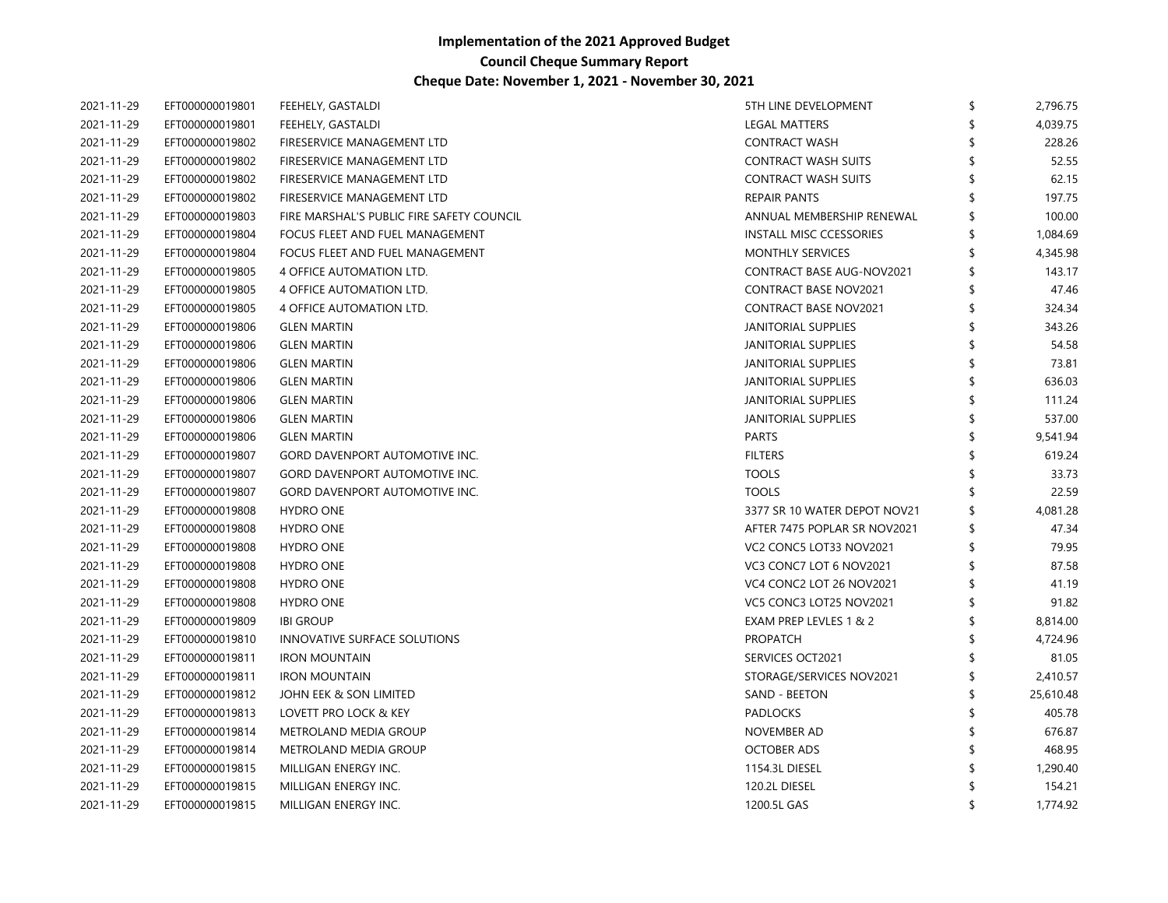| 2021-11-29 | EFT000000019801 | FEEHELY, GASTALDI                         | 5TH LINE DEVELOPMENT             | 2,796.75  |
|------------|-----------------|-------------------------------------------|----------------------------------|-----------|
| 2021-11-29 | EFT000000019801 | FEEHELY, GASTALDI                         | <b>LEGAL MATTERS</b>             | 4,039.75  |
| 2021-11-29 | EFT000000019802 | FIRESERVICE MANAGEMENT LTD                | <b>CONTRACT WASH</b>             | 228.26    |
| 2021-11-29 | EFT000000019802 | FIRESERVICE MANAGEMENT LTD                | <b>CONTRACT WASH SUITS</b>       | 52.55     |
| 2021-11-29 | EFT000000019802 | FIRESERVICE MANAGEMENT LTD                | <b>CONTRACT WASH SUITS</b>       | 62.15     |
| 2021-11-29 | EFT000000019802 | FIRESERVICE MANAGEMENT LTD                | <b>REPAIR PANTS</b>              | 197.75    |
| 2021-11-29 | EFT000000019803 | FIRE MARSHAL'S PUBLIC FIRE SAFETY COUNCIL | ANNUAL MEMBERSHIP RENEWAL        | 100.00    |
| 2021-11-29 | EFT000000019804 | FOCUS FLEET AND FUEL MANAGEMENT           | <b>INSTALL MISC CCESSORIES</b>   | 1,084.69  |
| 2021-11-29 | EFT000000019804 | FOCUS FLEET AND FUEL MANAGEMENT           | <b>MONTHLY SERVICES</b>          | 4,345.98  |
| 2021-11-29 | EFT000000019805 | 4 OFFICE AUTOMATION LTD.                  | <b>CONTRACT BASE AUG-NOV2021</b> | 143.17    |
| 2021-11-29 | EFT000000019805 | 4 OFFICE AUTOMATION LTD.                  | <b>CONTRACT BASE NOV2021</b>     | 47.46     |
| 2021-11-29 | EFT000000019805 | 4 OFFICE AUTOMATION LTD.                  | <b>CONTRACT BASE NOV2021</b>     | 324.34    |
| 2021-11-29 | EFT000000019806 | <b>GLEN MARTIN</b>                        | JANITORIAL SUPPLIES              | 343.26    |
| 2021-11-29 | EFT000000019806 | <b>GLEN MARTIN</b>                        | <b>JANITORIAL SUPPLIES</b>       | 54.58     |
| 2021-11-29 | EFT000000019806 | <b>GLEN MARTIN</b>                        | JANITORIAL SUPPLIES              | 73.81     |
| 2021-11-29 | EFT000000019806 | <b>GLEN MARTIN</b>                        | JANITORIAL SUPPLIES              | 636.03    |
| 2021-11-29 | EFT000000019806 | <b>GLEN MARTIN</b>                        | <b>JANITORIAL SUPPLIES</b>       | 111.24    |
| 2021-11-29 | EFT000000019806 | <b>GLEN MARTIN</b>                        | JANITORIAL SUPPLIES              | 537.00    |
| 2021-11-29 | EFT000000019806 | <b>GLEN MARTIN</b>                        | <b>PARTS</b>                     | 9,541.94  |
| 2021-11-29 | EFT000000019807 | <b>GORD DAVENPORT AUTOMOTIVE INC.</b>     | <b>FILTERS</b>                   | 619.24    |
| 2021-11-29 | EFT000000019807 | GORD DAVENPORT AUTOMOTIVE INC.            | <b>TOOLS</b>                     | 33.73     |
| 2021-11-29 | EFT000000019807 | GORD DAVENPORT AUTOMOTIVE INC.            | <b>TOOLS</b>                     | 22.59     |
| 2021-11-29 | EFT000000019808 | <b>HYDRO ONE</b>                          | 3377 SR 10 WATER DEPOT NOV21     | 4,081.28  |
| 2021-11-29 | EFT000000019808 | <b>HYDRO ONE</b>                          | AFTER 7475 POPLAR SR NOV2021     | 47.34     |
| 2021-11-29 | EFT000000019808 | <b>HYDRO ONE</b>                          | VC2 CONC5 LOT33 NOV2021          | 79.95     |
| 2021-11-29 | EFT000000019808 | <b>HYDRO ONE</b>                          | VC3 CONC7 LOT 6 NOV2021          | 87.58     |
| 2021-11-29 | EFT000000019808 | <b>HYDRO ONE</b>                          | VC4 CONC2 LOT 26 NOV2021         | 41.19     |
| 2021-11-29 | EFT000000019808 | <b>HYDRO ONE</b>                          | VC5 CONC3 LOT25 NOV2021          | 91.82     |
| 2021-11-29 | EFT000000019809 | <b>IBI GROUP</b>                          | EXAM PREP LEVLES 1 & 2           | 8,814.00  |
| 2021-11-29 | EFT000000019810 | <b>INNOVATIVE SURFACE SOLUTIONS</b>       | <b>PROPATCH</b>                  | 4,724.96  |
| 2021-11-29 | EFT000000019811 | <b>IRON MOUNTAIN</b>                      | SERVICES OCT2021                 | 81.05     |
| 2021-11-29 | EFT000000019811 | <b>IRON MOUNTAIN</b>                      | STORAGE/SERVICES NOV2021         | 2,410.57  |
| 2021-11-29 | EFT000000019812 | JOHN EEK & SON LIMITED                    | SAND - BEETON                    | 25,610.48 |
| 2021-11-29 | EFT000000019813 | LOVETT PRO LOCK & KEY                     | <b>PADLOCKS</b>                  | 405.78    |
| 2021-11-29 | EFT000000019814 | METROLAND MEDIA GROUP                     | <b>NOVEMBER AD</b>               | 676.87    |
| 2021-11-29 | EFT000000019814 | METROLAND MEDIA GROUP                     | <b>OCTOBER ADS</b>               | 468.95    |
| 2021-11-29 | EFT000000019815 | MILLIGAN ENERGY INC.                      | 1154.3L DIESEL                   | 1,290.40  |
| 2021-11-29 | EFT000000019815 | MILLIGAN ENERGY INC.                      | 120.2L DIESEL                    | 154.21    |
| 2021-11-29 | EFT000000019815 | MILLIGAN ENERGY INC.                      | 1200.5L GAS                      | 1,774.92  |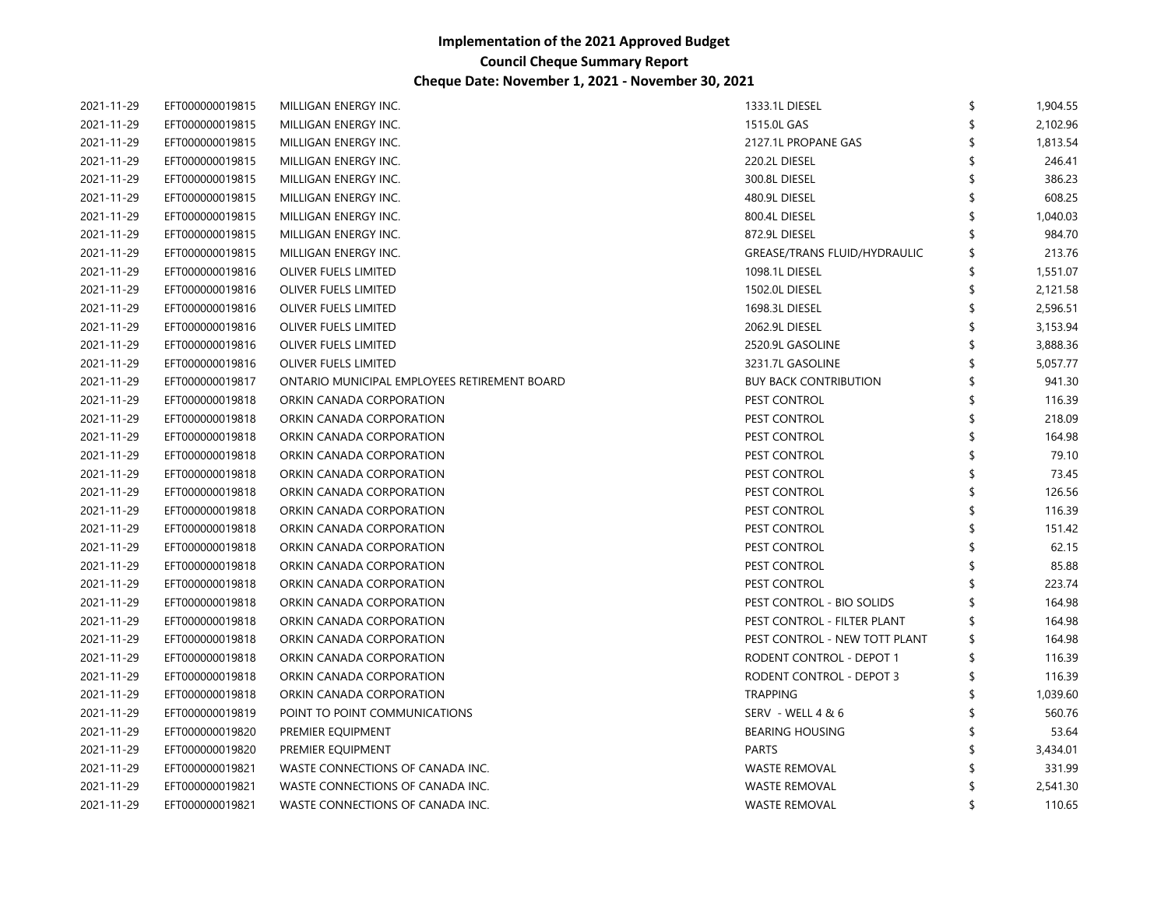| 2021-11-29 | EFT000000019815 | MILLIGAN ENERGY INC.                         | 1333.1L DIESEL                | 1,904.55       |
|------------|-----------------|----------------------------------------------|-------------------------------|----------------|
| 2021-11-29 | EFT000000019815 | MILLIGAN ENERGY INC.                         | 1515.0L GAS                   | 2,102.96       |
| 2021-11-29 | EFT000000019815 | MILLIGAN ENERGY INC.                         | 2127.1L PROPANE GAS           | 1,813.54       |
| 2021-11-29 | EFT000000019815 | MILLIGAN ENERGY INC.                         | 220.2L DIESEL                 | 246.41         |
| 2021-11-29 | EFT000000019815 | MILLIGAN ENERGY INC.                         | 300.8L DIESEL                 | 386.23         |
| 2021-11-29 | EFT000000019815 | MILLIGAN ENERGY INC.                         | 480.9L DIESEL                 | 608.25         |
| 2021-11-29 | EFT000000019815 | MILLIGAN ENERGY INC.                         | 800.4L DIESEL                 | 1,040.03       |
| 2021-11-29 | EFT000000019815 | MILLIGAN ENERGY INC.                         | 872.9L DIESEL                 | 984.70         |
| 2021-11-29 | EFT000000019815 | MILLIGAN ENERGY INC.                         | GREASE/TRANS FLUID/HYDRAULIC  | 213.76         |
| 2021-11-29 | EFT000000019816 | OLIVER FUELS LIMITED                         | 1098.1L DIESEL                | 1,551.07       |
| 2021-11-29 | EFT000000019816 | OLIVER FUELS LIMITED                         | 1502.0L DIESEL                | \$<br>2,121.58 |
| 2021-11-29 | EFT000000019816 | OLIVER FUELS LIMITED                         | 1698.3L DIESEL                | 2,596.51       |
| 2021-11-29 | EFT000000019816 | OLIVER FUELS LIMITED                         | 2062.9L DIESEL                | 3,153.94       |
| 2021-11-29 | EFT000000019816 | OLIVER FUELS LIMITED                         | 2520.9L GASOLINE              | 3,888.36       |
| 2021-11-29 | EFT000000019816 | OLIVER FUELS LIMITED                         | 3231.7L GASOLINE              | 5,057.77       |
| 2021-11-29 | EFT000000019817 | ONTARIO MUNICIPAL EMPLOYEES RETIREMENT BOARD | <b>BUY BACK CONTRIBUTION</b>  | 941.30         |
| 2021-11-29 | EFT000000019818 | ORKIN CANADA CORPORATION                     | PEST CONTROL                  | 116.39         |
| 2021-11-29 | EFT000000019818 | ORKIN CANADA CORPORATION                     | PEST CONTROL                  | 218.09         |
| 2021-11-29 | EFT000000019818 | ORKIN CANADA CORPORATION                     | PEST CONTROL                  | 164.98         |
| 2021-11-29 | EFT000000019818 | ORKIN CANADA CORPORATION                     | PEST CONTROL                  | 79.10          |
| 2021-11-29 | EFT000000019818 | ORKIN CANADA CORPORATION                     | PEST CONTROL                  | 73.45          |
| 2021-11-29 | EFT000000019818 | ORKIN CANADA CORPORATION                     | PEST CONTROL                  | 126.56         |
| 2021-11-29 | EFT000000019818 | ORKIN CANADA CORPORATION                     | PEST CONTROL                  | 116.39         |
| 2021-11-29 | EFT000000019818 | ORKIN CANADA CORPORATION                     | PEST CONTROL                  | 151.42         |
| 2021-11-29 | EFT000000019818 | ORKIN CANADA CORPORATION                     | PEST CONTROL                  | 62.15          |
| 2021-11-29 | EFT000000019818 | ORKIN CANADA CORPORATION                     | PEST CONTROL                  | 85.88          |
| 2021-11-29 | EFT000000019818 | ORKIN CANADA CORPORATION                     | PEST CONTROL                  | 223.74         |
| 2021-11-29 | EFT000000019818 | ORKIN CANADA CORPORATION                     | PEST CONTROL - BIO SOLIDS     | 164.98         |
| 2021-11-29 | EFT000000019818 | ORKIN CANADA CORPORATION                     | PEST CONTROL - FILTER PLANT   | 164.98         |
| 2021-11-29 | EFT000000019818 | ORKIN CANADA CORPORATION                     | PEST CONTROL - NEW TOTT PLANT | 164.98         |
| 2021-11-29 | EFT000000019818 | ORKIN CANADA CORPORATION                     | RODENT CONTROL - DEPOT 1      | 116.39         |
| 2021-11-29 | EFT000000019818 | ORKIN CANADA CORPORATION                     | RODENT CONTROL - DEPOT 3      | 116.39         |
| 2021-11-29 | EFT000000019818 | ORKIN CANADA CORPORATION                     | <b>TRAPPING</b>               | 1,039.60       |
| 2021-11-29 | EFT000000019819 | POINT TO POINT COMMUNICATIONS                | SERV - WELL 4 & 6             | 560.76         |
| 2021-11-29 | EFT000000019820 | PREMIER EQUIPMENT                            | <b>BEARING HOUSING</b>        | 53.64          |
| 2021-11-29 | EFT000000019820 | PREMIER EQUIPMENT                            | <b>PARTS</b>                  | 3,434.01       |
| 2021-11-29 | EFT000000019821 | WASTE CONNECTIONS OF CANADA INC.             | <b>WASTE REMOVAL</b>          | 331.99         |
| 2021-11-29 | EFT000000019821 | WASTE CONNECTIONS OF CANADA INC.             | <b>WASTE REMOVAL</b>          | 2,541.30       |
| 2021-11-29 | EFT000000019821 | WASTE CONNECTIONS OF CANADA INC.             | <b>WASTE REMOVAL</b>          | \$<br>110.65   |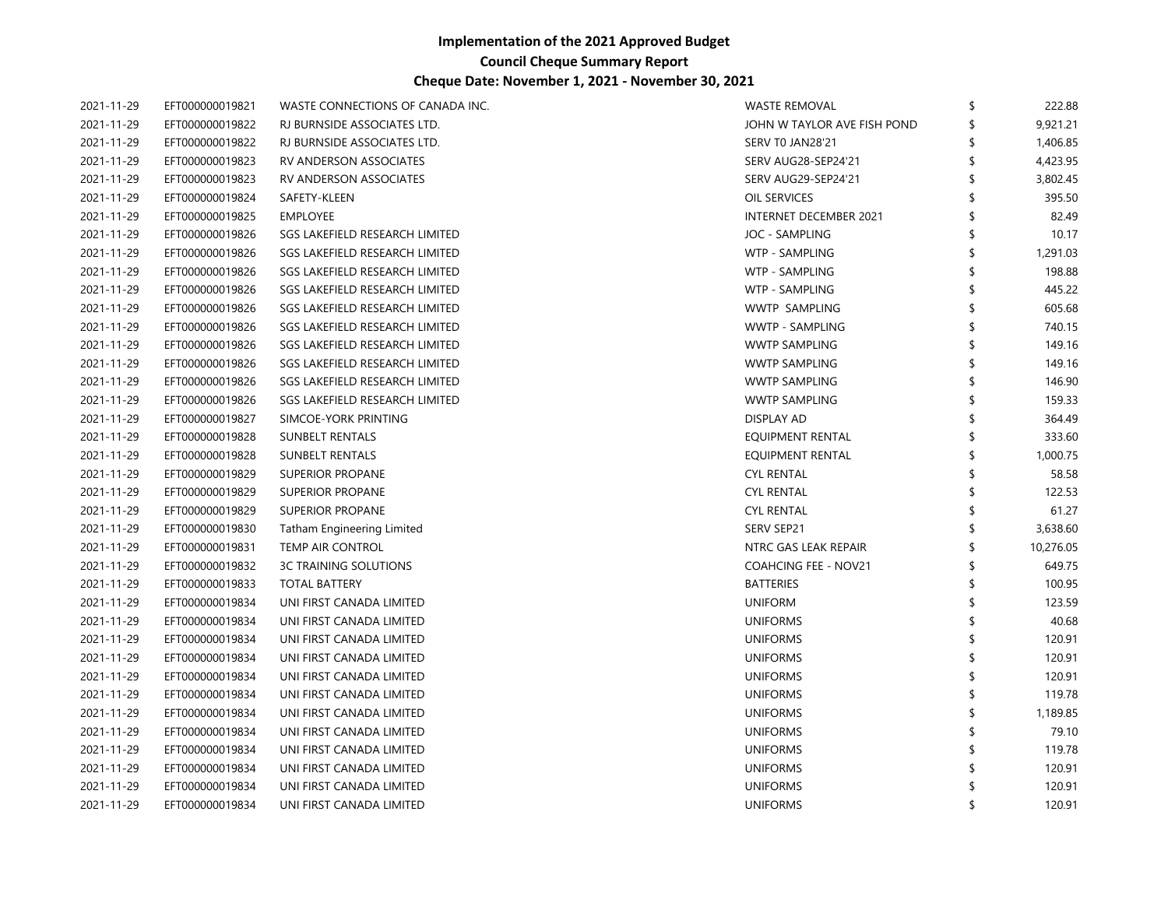| 2021-11-29 | EFT000000019821 | WASTE CONNECTIONS OF CANADA INC. | <b>WASTE REMOVAL</b>          | 222.88    |
|------------|-----------------|----------------------------------|-------------------------------|-----------|
| 2021-11-29 | EFT000000019822 | RJ BURNSIDE ASSOCIATES LTD.      | JOHN W TAYLOR AVE FISH POND   | 9,921.21  |
| 2021-11-29 | EFT000000019822 | RJ BURNSIDE ASSOCIATES LTD.      | SERV TO JAN28'21              | 1,406.85  |
| 2021-11-29 | EFT000000019823 | RV ANDERSON ASSOCIATES           | SERV AUG28-SEP24'21           | 4,423.95  |
| 2021-11-29 | EFT000000019823 | RV ANDERSON ASSOCIATES           | SERV AUG29-SEP24'21           | 3,802.45  |
| 2021-11-29 | EFT000000019824 | SAFETY-KLEEN                     | OIL SERVICES                  | 395.50    |
| 2021-11-29 | EFT000000019825 | <b>EMPLOYEE</b>                  | <b>INTERNET DECEMBER 2021</b> | 82.49     |
| 2021-11-29 | EFT000000019826 | SGS LAKEFIELD RESEARCH LIMITED   | JOC - SAMPLING                | 10.17     |
| 2021-11-29 | EFT000000019826 | SGS LAKEFIELD RESEARCH LIMITED   | WTP - SAMPLING                | 1,291.03  |
| 2021-11-29 | EFT000000019826 | SGS LAKEFIELD RESEARCH LIMITED   | WTP - SAMPLING                | 198.88    |
| 2021-11-29 | EFT000000019826 | SGS LAKEFIELD RESEARCH LIMITED   | WTP - SAMPLING                | 445.22    |
| 2021-11-29 | EFT000000019826 | SGS LAKEFIELD RESEARCH LIMITED   | <b>WWTP SAMPLING</b>          | 605.68    |
| 2021-11-29 | EFT000000019826 | SGS LAKEFIELD RESEARCH LIMITED   | WWTP - SAMPLING               | 740.15    |
| 2021-11-29 | EFT000000019826 | SGS LAKEFIELD RESEARCH LIMITED   | <b>WWTP SAMPLING</b>          | 149.16    |
| 2021-11-29 | EFT000000019826 | SGS LAKEFIELD RESEARCH LIMITED   | <b>WWTP SAMPLING</b>          | 149.16    |
| 2021-11-29 | EFT000000019826 | SGS LAKEFIELD RESEARCH LIMITED   | <b>WWTP SAMPLING</b>          | 146.90    |
| 2021-11-29 | EFT000000019826 | SGS LAKEFIELD RESEARCH LIMITED   | <b>WWTP SAMPLING</b>          | 159.33    |
| 2021-11-29 | EFT000000019827 | SIMCOE-YORK PRINTING             | DISPLAY AD                    | 364.49    |
| 2021-11-29 | EFT000000019828 | <b>SUNBELT RENTALS</b>           | <b>EQUIPMENT RENTAL</b>       | 333.60    |
| 2021-11-29 | EFT000000019828 | SUNBELT RENTALS                  | EQUIPMENT RENTAL              | 1,000.75  |
| 2021-11-29 | EFT000000019829 | <b>SUPERIOR PROPANE</b>          | <b>CYL RENTAL</b>             | 58.58     |
| 2021-11-29 | EFT000000019829 | <b>SUPERIOR PROPANE</b>          | <b>CYL RENTAL</b>             | 122.53    |
| 2021-11-29 | EFT000000019829 | SUPERIOR PROPANE                 | <b>CYL RENTAL</b>             | 61.27     |
| 2021-11-29 | EFT000000019830 | Tatham Engineering Limited       | SERV SEP21                    | 3,638.60  |
| 2021-11-29 | EFT000000019831 | TEMP AIR CONTROL                 | NTRC GAS LEAK REPAIR          | 10,276.05 |
| 2021-11-29 | EFT000000019832 | <b>3C TRAINING SOLUTIONS</b>     | <b>COAHCING FEE - NOV21</b>   | 649.75    |
| 2021-11-29 | EFT000000019833 | <b>TOTAL BATTERY</b>             | <b>BATTERIES</b>              | 100.95    |
| 2021-11-29 | EFT000000019834 | UNI FIRST CANADA LIMITED         | <b>UNIFORM</b>                | 123.59    |
| 2021-11-29 | EFT000000019834 | UNI FIRST CANADA LIMITED         | <b>UNIFORMS</b>               | 40.68     |
| 2021-11-29 | EFT000000019834 | UNI FIRST CANADA LIMITED         | <b>UNIFORMS</b>               | 120.91    |
| 2021-11-29 | EFT000000019834 | UNI FIRST CANADA LIMITED         | <b>UNIFORMS</b>               | 120.91    |
| 2021-11-29 | EFT000000019834 | UNI FIRST CANADA LIMITED         | <b>UNIFORMS</b>               | 120.91    |
| 2021-11-29 | EFT000000019834 | UNI FIRST CANADA LIMITED         | <b>UNIFORMS</b>               | 119.78    |
| 2021-11-29 | EFT000000019834 | UNI FIRST CANADA LIMITED         | <b>UNIFORMS</b>               | 1,189.85  |
| 2021-11-29 | EFT000000019834 | UNI FIRST CANADA LIMITED         | <b>UNIFORMS</b>               | 79.10     |
| 2021-11-29 | EFT000000019834 | UNI FIRST CANADA LIMITED         | <b>UNIFORMS</b>               | 119.78    |
| 2021-11-29 | EFT000000019834 | UNI FIRST CANADA LIMITED         | <b>UNIFORMS</b>               | 120.91    |
| 2021-11-29 | EFT000000019834 | UNI FIRST CANADA LIMITED         | <b>UNIFORMS</b>               | 120.91    |
| 2021-11-29 | EFT000000019834 | UNI FIRST CANADA LIMITED         | <b>UNIFORMS</b>               | 120.91    |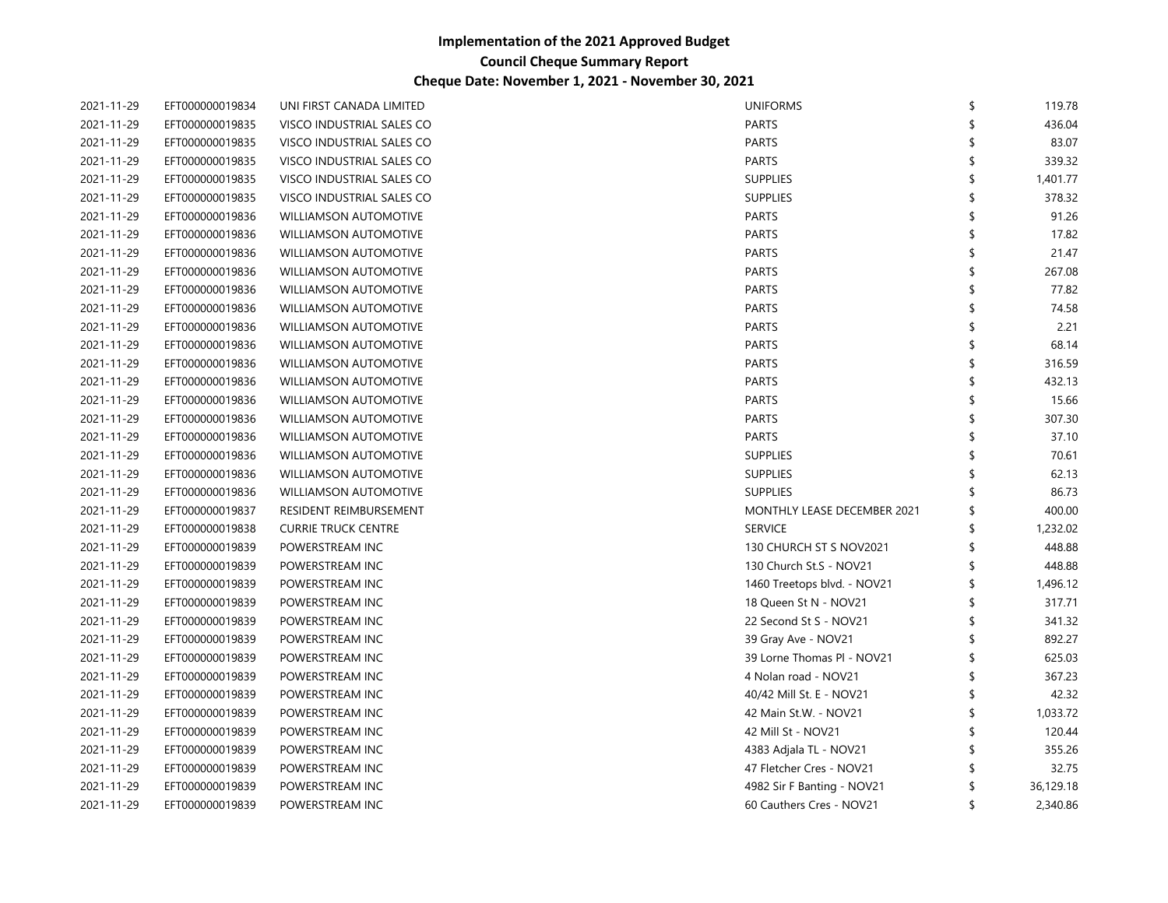| 2021-11-29 | EFT000000019834 | UNI FIRST CANADA LIMITED     | <b>UNIFORMS</b>             | \$ | 119.78    |
|------------|-----------------|------------------------------|-----------------------------|----|-----------|
| 2021-11-29 | EFT000000019835 | VISCO INDUSTRIAL SALES CO    | <b>PARTS</b>                | \$ | 436.04    |
| 2021-11-29 | EFT000000019835 | VISCO INDUSTRIAL SALES CO    | <b>PARTS</b>                | \$ | 83.07     |
| 2021-11-29 | EFT000000019835 | VISCO INDUSTRIAL SALES CO    | <b>PARTS</b>                | \$ | 339.32    |
| 2021-11-29 | EFT000000019835 | VISCO INDUSTRIAL SALES CO    | <b>SUPPLIES</b>             | \$ | 1,401.77  |
| 2021-11-29 | EFT000000019835 | VISCO INDUSTRIAL SALES CO    | <b>SUPPLIES</b>             | \$ | 378.32    |
| 2021-11-29 | EFT000000019836 | <b>WILLIAMSON AUTOMOTIVE</b> | <b>PARTS</b>                | \$ | 91.26     |
| 2021-11-29 | EFT000000019836 | <b>WILLIAMSON AUTOMOTIVE</b> | <b>PARTS</b>                | \$ | 17.82     |
| 2021-11-29 | EFT000000019836 | <b>WILLIAMSON AUTOMOTIVE</b> | <b>PARTS</b>                | \$ | 21.47     |
| 2021-11-29 | EFT000000019836 | <b>WILLIAMSON AUTOMOTIVE</b> | <b>PARTS</b>                | Ŝ  | 267.08    |
| 2021-11-29 | EFT000000019836 | <b>WILLIAMSON AUTOMOTIVE</b> | <b>PARTS</b>                | \$ | 77.82     |
| 2021-11-29 | EFT000000019836 | <b>WILLIAMSON AUTOMOTIVE</b> | <b>PARTS</b>                | \$ | 74.58     |
| 2021-11-29 | EFT000000019836 | <b>WILLIAMSON AUTOMOTIVE</b> | <b>PARTS</b>                | \$ | 2.21      |
| 2021-11-29 | EFT000000019836 | <b>WILLIAMSON AUTOMOTIVE</b> | <b>PARTS</b>                |    | 68.14     |
| 2021-11-29 | EFT000000019836 | <b>WILLIAMSON AUTOMOTIVE</b> | <b>PARTS</b>                |    | 316.59    |
| 2021-11-29 | EFT000000019836 | <b>WILLIAMSON AUTOMOTIVE</b> | <b>PARTS</b>                |    | 432.13    |
| 2021-11-29 | EFT000000019836 | <b>WILLIAMSON AUTOMOTIVE</b> | <b>PARTS</b>                |    | 15.66     |
| 2021-11-29 | EFT000000019836 | <b>WILLIAMSON AUTOMOTIVE</b> | <b>PARTS</b>                |    | 307.30    |
| 2021-11-29 | EFT000000019836 | <b>WILLIAMSON AUTOMOTIVE</b> | <b>PARTS</b>                |    | 37.10     |
| 2021-11-29 | EFT000000019836 | <b>WILLIAMSON AUTOMOTIVE</b> | <b>SUPPLIES</b>             |    | 70.61     |
| 2021-11-29 | EFT000000019836 | <b>WILLIAMSON AUTOMOTIVE</b> | <b>SUPPLIES</b>             |    | 62.13     |
| 2021-11-29 | EFT000000019836 | <b>WILLIAMSON AUTOMOTIVE</b> | <b>SUPPLIES</b>             |    | 86.73     |
| 2021-11-29 | EFT000000019837 | RESIDENT REIMBURSEMENT       | MONTHLY LEASE DECEMBER 2021 |    | 400.00    |
| 2021-11-29 | EFT000000019838 | <b>CURRIE TRUCK CENTRE</b>   | <b>SERVICE</b>              | Ŝ  | 1,232.02  |
| 2021-11-29 | EFT000000019839 | POWERSTREAM INC              | 130 CHURCH ST S NOV2021     | \$ | 448.88    |
| 2021-11-29 | EFT000000019839 | POWERSTREAM INC              | 130 Church St.S - NOV21     | \$ | 448.88    |
| 2021-11-29 | EFT000000019839 | POWERSTREAM INC              | 1460 Treetops blvd. - NOV21 | \$ | 1,496.12  |
| 2021-11-29 | EFT000000019839 | POWERSTREAM INC              | 18 Queen St N - NOV21       | \$ | 317.71    |
| 2021-11-29 | EFT000000019839 | POWERSTREAM INC              | 22 Second St S - NOV21      | \$ | 341.32    |
| 2021-11-29 | EFT000000019839 | POWERSTREAM INC              | 39 Gray Ave - NOV21         | \$ | 892.27    |
| 2021-11-29 | EFT000000019839 | POWERSTREAM INC              | 39 Lorne Thomas PI - NOV21  | \$ | 625.03    |
| 2021-11-29 | EFT000000019839 | POWERSTREAM INC              | 4 Nolan road - NOV21        | \$ | 367.23    |
| 2021-11-29 | EFT000000019839 | POWERSTREAM INC              | 40/42 Mill St. E - NOV21    | \$ | 42.32     |
| 2021-11-29 | EFT000000019839 | POWERSTREAM INC              | 42 Main St.W. - NOV21       | \$ | 1,033.72  |
| 2021-11-29 | EFT000000019839 | POWERSTREAM INC              | 42 Mill St - NOV21          | S  | 120.44    |
| 2021-11-29 | EFT000000019839 | POWERSTREAM INC              | 4383 Adjala TL - NOV21      |    | 355.26    |
| 2021-11-29 | EFT000000019839 | POWERSTREAM INC              | 47 Fletcher Cres - NOV21    |    | 32.75     |
| 2021-11-29 | EFT000000019839 | POWERSTREAM INC              | 4982 Sir F Banting - NOV21  | S  | 36,129.18 |
| 2021-11-29 | EFT000000019839 | POWERSTREAM INC              | 60 Cauthers Cres - NOV21    | \$ | 2,340.86  |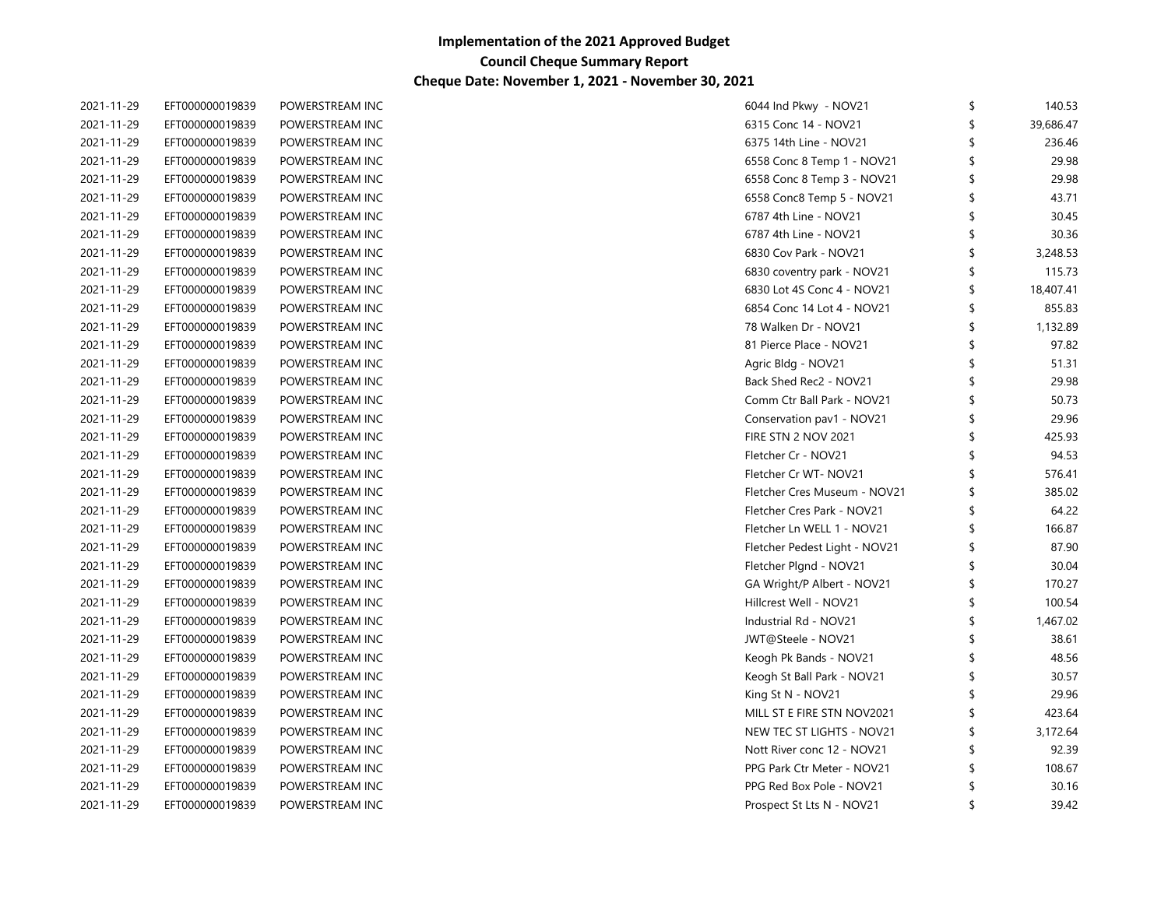| 2021-11-29 | EFT000000019839 | POWERSTREAM INC | 6044 Ind Pkwy - NOV21         | \$<br>140.53    |
|------------|-----------------|-----------------|-------------------------------|-----------------|
| 2021-11-29 | EFT000000019839 | POWERSTREAM INC | 6315 Conc 14 - NOV21          | 39,686.47       |
| 2021-11-29 | EFT000000019839 | POWERSTREAM INC | 6375 14th Line - NOV21        | 236.46          |
| 2021-11-29 | EFT000000019839 | POWERSTREAM INC | 6558 Conc 8 Temp 1 - NOV21    | 29.98           |
| 2021-11-29 | EFT000000019839 | POWERSTREAM INC | 6558 Conc 8 Temp 3 - NOV21    | 29.98           |
| 2021-11-29 | EFT000000019839 | POWERSTREAM INC | 6558 Conc8 Temp 5 - NOV21     | 43.71           |
| 2021-11-29 | EFT000000019839 | POWERSTREAM INC | 6787 4th Line - NOV21         | 30.45           |
| 2021-11-29 | EFT000000019839 | POWERSTREAM INC | 6787 4th Line - NOV21         | 30.36           |
| 2021-11-29 | EFT000000019839 | POWERSTREAM INC | 6830 Cov Park - NOV21         | 3,248.53        |
| 2021-11-29 | EFT000000019839 | POWERSTREAM INC | 6830 coventry park - NOV21    | 115.73          |
| 2021-11-29 | EFT000000019839 | POWERSTREAM INC | 6830 Lot 4S Conc 4 - NOV21    | \$<br>18,407.41 |
| 2021-11-29 | EFT000000019839 | POWERSTREAM INC | 6854 Conc 14 Lot 4 - NOV21    | \$<br>855.83    |
| 2021-11-29 | EFT000000019839 | POWERSTREAM INC | 78 Walken Dr - NOV21          | 1,132.89        |
| 2021-11-29 | EFT000000019839 | POWERSTREAM INC | 81 Pierce Place - NOV21       | 97.82           |
| 2021-11-29 | EFT000000019839 | POWERSTREAM INC | Agric Bldg - NOV21            | 51.31           |
| 2021-11-29 | EFT000000019839 | POWERSTREAM INC | Back Shed Rec2 - NOV21        | 29.98           |
| 2021-11-29 | EFT000000019839 | POWERSTREAM INC | Comm Ctr Ball Park - NOV21    | 50.73           |
| 2021-11-29 | EFT000000019839 | POWERSTREAM INC | Conservation pav1 - NOV21     | 29.96           |
| 2021-11-29 | EFT000000019839 | POWERSTREAM INC | FIRE STN 2 NOV 2021           | 425.93          |
| 2021-11-29 | EFT000000019839 | POWERSTREAM INC | Fletcher Cr - NOV21           | 94.53           |
| 2021-11-29 | EFT000000019839 | POWERSTREAM INC | Fletcher Cr WT- NOV21         | 576.41          |
| 2021-11-29 | EFT000000019839 | POWERSTREAM INC | Fletcher Cres Museum - NOV21  | 385.02          |
| 2021-11-29 | EFT000000019839 | POWERSTREAM INC | Fletcher Cres Park - NOV21    | 64.22           |
| 2021-11-29 | EFT000000019839 | POWERSTREAM INC | Fletcher Ln WELL 1 - NOV21    | 166.87          |
| 2021-11-29 | EFT000000019839 | POWERSTREAM INC | Fletcher Pedest Light - NOV21 | 87.90           |
| 2021-11-29 | EFT000000019839 | POWERSTREAM INC | Fletcher Plgnd - NOV21        | 30.04           |
| 2021-11-29 | EFT000000019839 | POWERSTREAM INC | GA Wright/P Albert - NOV21    | 170.27          |
| 2021-11-29 | EFT000000019839 | POWERSTREAM INC | Hillcrest Well - NOV21        | 100.54          |
| 2021-11-29 | EFT000000019839 | POWERSTREAM INC | Industrial Rd - NOV21         | 1,467.02        |
| 2021-11-29 | EFT000000019839 | POWERSTREAM INC | JWT@Steele - NOV21            | 38.61           |
| 2021-11-29 | EFT000000019839 | POWERSTREAM INC | Keogh Pk Bands - NOV21        | 48.56           |
| 2021-11-29 | EFT000000019839 | POWERSTREAM INC | Keogh St Ball Park - NOV21    | 30.57           |
| 2021-11-29 | EFT000000019839 | POWERSTREAM INC | King St N - NOV21             | 29.96           |
| 2021-11-29 | EFT000000019839 | POWERSTREAM INC | MILL ST E FIRE STN NOV2021    | 423.64          |
| 2021-11-29 | EFT000000019839 | POWERSTREAM INC | NEW TEC ST LIGHTS - NOV21     | 3,172.64        |
| 2021-11-29 | EFT000000019839 | POWERSTREAM INC | Nott River conc 12 - NOV21    | 92.39           |
| 2021-11-29 | EFT000000019839 | POWERSTREAM INC | PPG Park Ctr Meter - NOV21    | 108.67          |
| 2021-11-29 | EFT000000019839 | POWERSTREAM INC | PPG Red Box Pole - NOV21      | 30.16           |
| 2021-11-29 | EFT000000019839 | POWERSTREAM INC | Prospect St Lts N - NOV21     | \$<br>39.42     |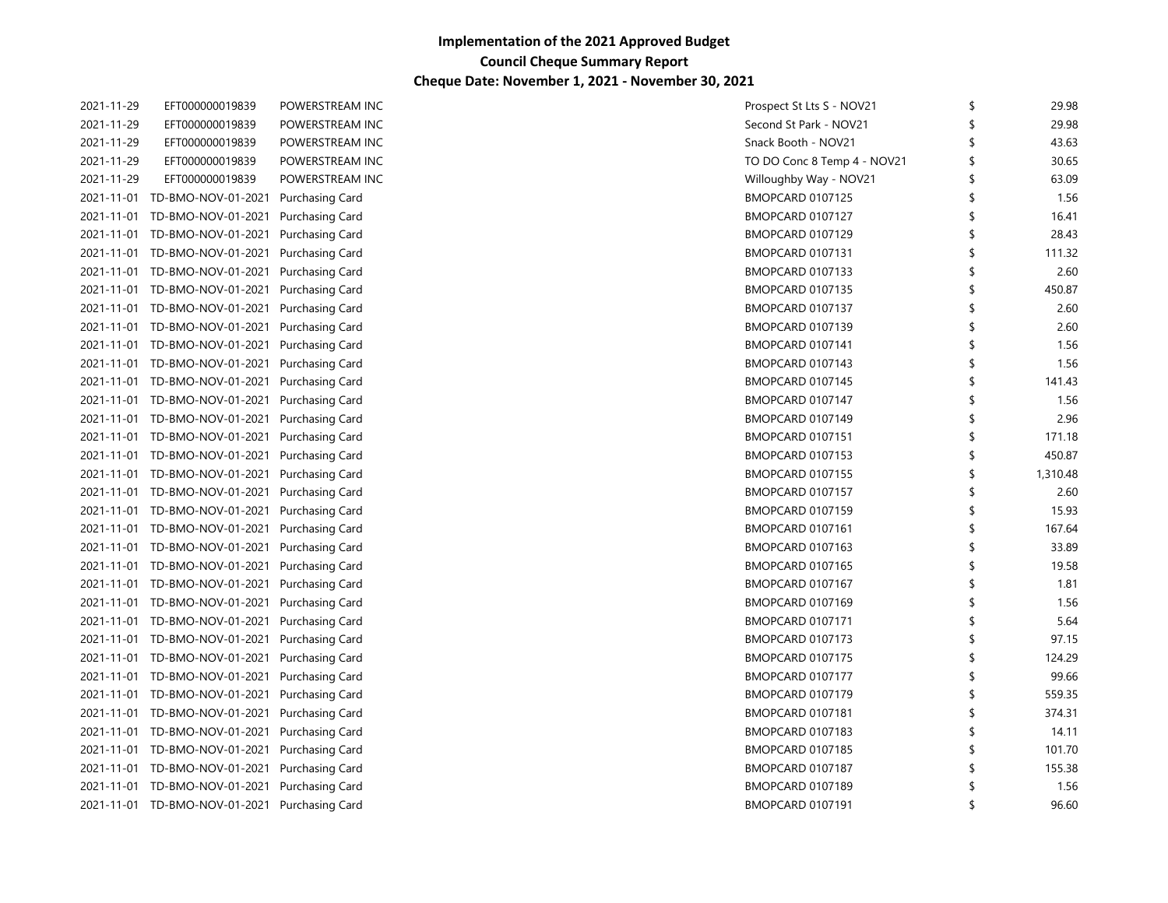| 2021-11-29 | EFT000000019839                               | POWERSTREAM INC        | Prospect St Lts S - NOV21   | \$<br>29.98    |
|------------|-----------------------------------------------|------------------------|-----------------------------|----------------|
| 2021-11-29 | EFT000000019839                               | POWERSTREAM INC        | Second St Park - NOV21      | 29.98          |
| 2021-11-29 | EFT000000019839                               | POWERSTREAM INC        | Snack Booth - NOV21         | 43.63          |
| 2021-11-29 | EFT000000019839                               | POWERSTREAM INC        | TO DO Conc 8 Temp 4 - NOV21 | \$<br>30.65    |
| 2021-11-29 | EFT000000019839                               | POWERSTREAM INC        | Willoughby Way - NOV21      | \$<br>63.09    |
|            | 2021-11-01 TD-BMO-NOV-01-2021 Purchasing Card |                        | BMOPCARD 0107125            | \$<br>1.56     |
|            | 2021-11-01 TD-BMO-NOV-01-2021                 | Purchasing Card        | BMOPCARD 0107127            | \$<br>16.41    |
|            | 2021-11-01 TD-BMO-NOV-01-2021                 | Purchasing Card        | <b>BMOPCARD 0107129</b>     | \$<br>28.43    |
|            | 2021-11-01 TD-BMO-NOV-01-2021                 | <b>Purchasing Card</b> | BMOPCARD 0107131            | \$<br>111.32   |
|            | 2021-11-01 TD-BMO-NOV-01-2021                 | Purchasing Card        | BMOPCARD 0107133            | \$<br>2.60     |
|            | 2021-11-01 TD-BMO-NOV-01-2021                 | <b>Purchasing Card</b> | BMOPCARD 0107135            | \$<br>450.87   |
|            | 2021-11-01 TD-BMO-NOV-01-2021                 | Purchasing Card        | BMOPCARD 0107137            | \$<br>2.60     |
|            | 2021-11-01 TD-BMO-NOV-01-2021 Purchasing Card |                        | BMOPCARD 0107139            | \$<br>2.60     |
|            | 2021-11-01 TD-BMO-NOV-01-2021 Purchasing Card |                        | BMOPCARD 0107141            | 1.56           |
|            | 2021-11-01 TD-BMO-NOV-01-2021                 | Purchasing Card        | <b>BMOPCARD 0107143</b>     | 1.56           |
|            | 2021-11-01 TD-BMO-NOV-01-2021 Purchasing Card |                        | BMOPCARD 0107145            | \$<br>141.43   |
|            | 2021-11-01 TD-BMO-NOV-01-2021 Purchasing Card |                        | BMOPCARD 0107147            | \$<br>1.56     |
|            | 2021-11-01 TD-BMO-NOV-01-2021                 | Purchasing Card        | <b>BMOPCARD 0107149</b>     | \$<br>2.96     |
|            | 2021-11-01 TD-BMO-NOV-01-2021                 | Purchasing Card        | BMOPCARD 0107151            | \$<br>171.18   |
|            | 2021-11-01 TD-BMO-NOV-01-2021 Purchasing Card |                        | BMOPCARD 0107153            | \$<br>450.87   |
|            | 2021-11-01 TD-BMO-NOV-01-2021 Purchasing Card |                        | BMOPCARD 0107155            | \$<br>1,310.48 |
|            | 2021-11-01 TD-BMO-NOV-01-2021 Purchasing Card |                        | BMOPCARD 0107157            | \$<br>2.60     |
|            | 2021-11-01 TD-BMO-NOV-01-2021 Purchasing Card |                        | BMOPCARD 0107159            | \$<br>15.93    |
|            | 2021-11-01 TD-BMO-NOV-01-2021                 | Purchasing Card        | BMOPCARD 0107161            | \$<br>167.64   |
|            | 2021-11-01 TD-BMO-NOV-01-2021                 | Purchasing Card        | <b>BMOPCARD 0107163</b>     | \$<br>33.89    |
|            | 2021-11-01 TD-BMO-NOV-01-2021                 | Purchasing Card        | <b>BMOPCARD 0107165</b>     | \$<br>19.58    |
|            | 2021-11-01 TD-BMO-NOV-01-2021 Purchasing Card |                        | BMOPCARD 0107167            | \$<br>1.81     |
|            | 2021-11-01 TD-BMO-NOV-01-2021 Purchasing Card |                        | BMOPCARD 0107169            | \$<br>1.56     |
|            | 2021-11-01 TD-BMO-NOV-01-2021 Purchasing Card |                        | <b>BMOPCARD 0107171</b>     | 5.64           |
|            | 2021-11-01 TD-BMO-NOV-01-2021                 | Purchasing Card        | BMOPCARD 0107173            | \$<br>97.15    |
|            | 2021-11-01 TD-BMO-NOV-01-2021                 | Purchasing Card        | <b>BMOPCARD 0107175</b>     | \$<br>124.29   |
|            | 2021-11-01 TD-BMO-NOV-01-2021                 | Purchasing Card        | <b>BMOPCARD 0107177</b>     | \$<br>99.66    |
|            | 2021-11-01 TD-BMO-NOV-01-2021                 | Purchasing Card        | BMOPCARD 0107179            | \$<br>559.35   |
|            | 2021-11-01 TD-BMO-NOV-01-2021 Purchasing Card |                        | BMOPCARD 0107181            | \$<br>374.31   |
|            | 2021-11-01 TD-BMO-NOV-01-2021 Purchasing Card |                        | BMOPCARD 0107183            | \$<br>14.11    |
|            | 2021-11-01 TD-BMO-NOV-01-2021 Purchasing Card |                        | BMOPCARD 0107185            | \$<br>101.70   |
|            | 2021-11-01 TD-BMO-NOV-01-2021 Purchasing Card |                        | BMOPCARD 0107187            | 155.38         |
|            | 2021-11-01 TD-BMO-NOV-01-2021                 | Purchasing Card        | BMOPCARD 0107189            | 1.56           |
|            | 2021-11-01 TD-BMO-NOV-01-2021 Purchasing Card |                        | BMOPCARD 0107191            | \$<br>96.60    |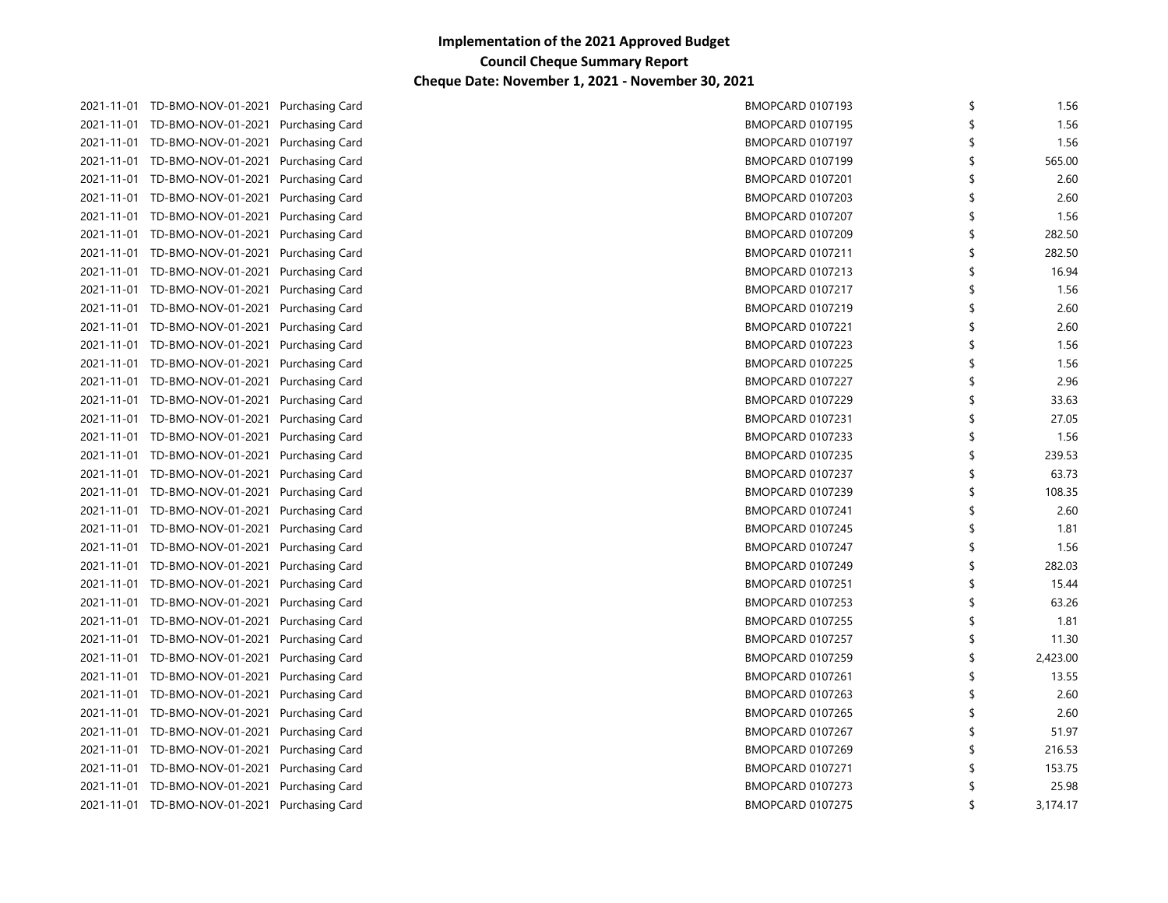| 2021-11-01 TD-BMO-NOV-01-2021 Purchasing Card | BMOPCARD 0107193        | 1.56           |
|-----------------------------------------------|-------------------------|----------------|
| 2021-11-01 TD-BMO-NOV-01-2021 Purchasing Card | <b>BMOPCARD 0107195</b> | 1.56           |
| 2021-11-01 TD-BMO-NOV-01-2021 Purchasing Card | BMOPCARD 0107197        | 1.56           |
| 2021-11-01 TD-BMO-NOV-01-2021 Purchasing Card | <b>BMOPCARD 0107199</b> | \$<br>565.00   |
| 2021-11-01 TD-BMO-NOV-01-2021 Purchasing Card | BMOPCARD 0107201        | 2.60           |
| 2021-11-01 TD-BMO-NOV-01-2021 Purchasing Card | <b>BMOPCARD 0107203</b> | 2.60           |
| 2021-11-01 TD-BMO-NOV-01-2021 Purchasing Card | BMOPCARD 0107207        | 1.56           |
| 2021-11-01 TD-BMO-NOV-01-2021 Purchasing Card | <b>BMOPCARD 0107209</b> | 282.50         |
| 2021-11-01 TD-BMO-NOV-01-2021 Purchasing Card | BMOPCARD 0107211        | 282.50         |
| 2021-11-01 TD-BMO-NOV-01-2021 Purchasing Card | <b>BMOPCARD 0107213</b> | 16.94          |
| 2021-11-01 TD-BMO-NOV-01-2021 Purchasing Card | BMOPCARD 0107217        | \$<br>1.56     |
| 2021-11-01 TD-BMO-NOV-01-2021 Purchasing Card | <b>BMOPCARD 0107219</b> | \$<br>2.60     |
| 2021-11-01 TD-BMO-NOV-01-2021 Purchasing Card | BMOPCARD 0107221        | \$<br>2.60     |
| 2021-11-01 TD-BMO-NOV-01-2021 Purchasing Card | <b>BMOPCARD 0107223</b> | 1.56           |
| 2021-11-01 TD-BMO-NOV-01-2021 Purchasing Card | <b>BMOPCARD 0107225</b> | 1.56           |
| 2021-11-01 TD-BMO-NOV-01-2021 Purchasing Card | <b>BMOPCARD 0107227</b> | 2.96           |
| 2021-11-01 TD-BMO-NOV-01-2021 Purchasing Card | <b>BMOPCARD 0107229</b> | 33.63          |
| 2021-11-01 TD-BMO-NOV-01-2021 Purchasing Card | BMOPCARD 0107231        | 27.05          |
| 2021-11-01 TD-BMO-NOV-01-2021 Purchasing Card | <b>BMOPCARD 0107233</b> | 1.56           |
| 2021-11-01 TD-BMO-NOV-01-2021 Purchasing Card | <b>BMOPCARD 0107235</b> | 239.53         |
| 2021-11-01 TD-BMO-NOV-01-2021 Purchasing Card | BMOPCARD 0107237        | 63.73          |
| 2021-11-01 TD-BMO-NOV-01-2021 Purchasing Card | BMOPCARD 0107239        | 108.35         |
| 2021-11-01 TD-BMO-NOV-01-2021 Purchasing Card | BMOPCARD 0107241        | \$<br>2.60     |
| 2021-11-01 TD-BMO-NOV-01-2021 Purchasing Card | BMOPCARD 0107245        | \$<br>1.81     |
| 2021-11-01 TD-BMO-NOV-01-2021 Purchasing Card | <b>BMOPCARD 0107247</b> | \$<br>1.56     |
| 2021-11-01 TD-BMO-NOV-01-2021 Purchasing Card | BMOPCARD 0107249        | \$<br>282.03   |
| 2021-11-01 TD-BMO-NOV-01-2021 Purchasing Card | BMOPCARD 0107251        | \$<br>15.44    |
| 2021-11-01 TD-BMO-NOV-01-2021 Purchasing Card | BMOPCARD 0107253        | 63.26          |
| 2021-11-01 TD-BMO-NOV-01-2021 Purchasing Card | BMOPCARD 0107255        | \$<br>1.81     |
| 2021-11-01 TD-BMO-NOV-01-2021 Purchasing Card | BMOPCARD 0107257        | 11.30          |
| 2021-11-01 TD-BMO-NOV-01-2021 Purchasing Card | BMOPCARD 0107259        | 2,423.00       |
| 2021-11-01 TD-BMO-NOV-01-2021 Purchasing Card | BMOPCARD 0107261        | 13.55          |
| 2021-11-01 TD-BMO-NOV-01-2021 Purchasing Card | <b>BMOPCARD 0107263</b> | 2.60           |
| 2021-11-01 TD-BMO-NOV-01-2021 Purchasing Card | BMOPCARD 0107265        | 2.60           |
| 2021-11-01 TD-BMO-NOV-01-2021 Purchasing Card | <b>BMOPCARD 0107267</b> | 51.97          |
| 2021-11-01 TD-BMO-NOV-01-2021 Purchasing Card | BMOPCARD 0107269        | 216.53         |
| 2021-11-01 TD-BMO-NOV-01-2021 Purchasing Card | BMOPCARD 0107271        | 153.75         |
| 2021-11-01 TD-BMO-NOV-01-2021 Purchasing Card | BMOPCARD 0107273        | 25.98          |
| 2021-11-01 TD-BMO-NOV-01-2021 Purchasing Card | <b>BMOPCARD 0107275</b> | \$<br>3,174.17 |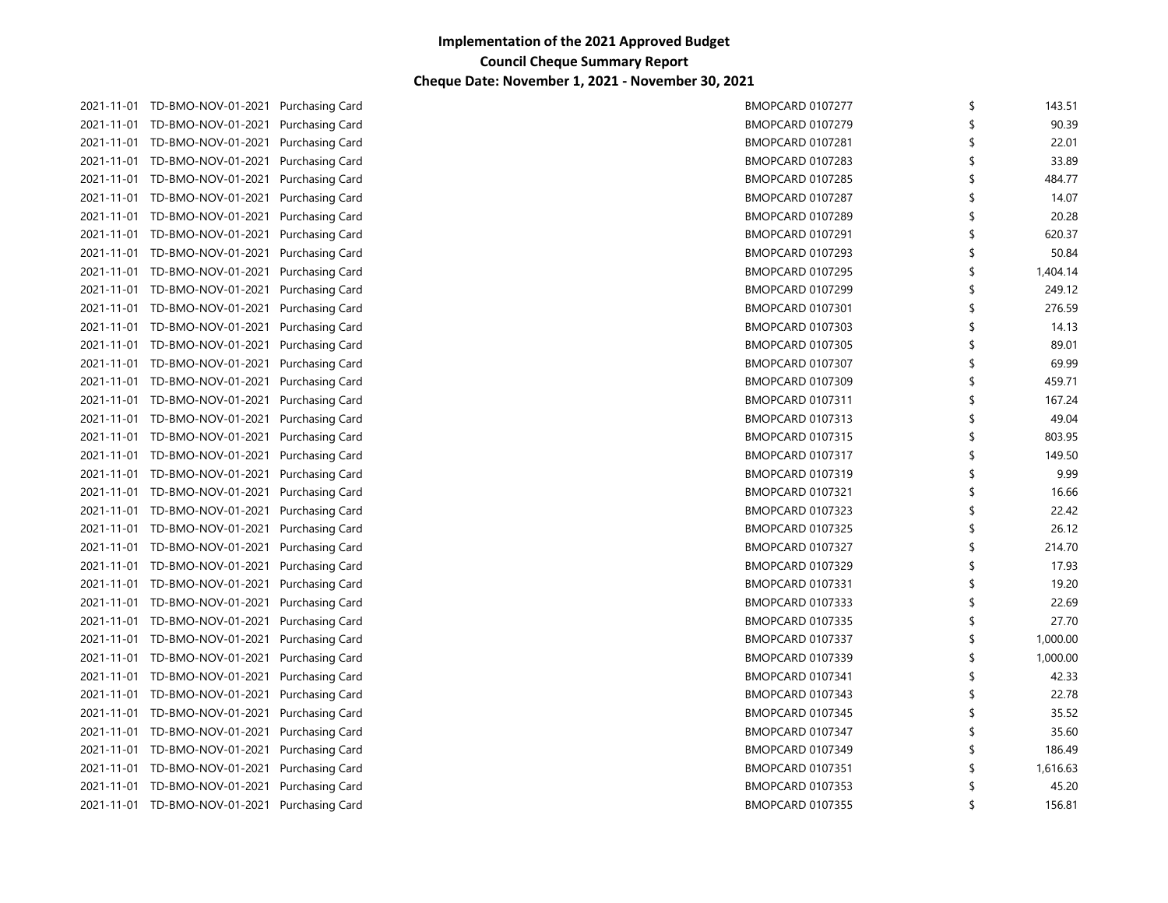| 2021-11-01 TD-BMO-NOV-01-2021 Purchasing Card | BMOPCARD 0107277        | 143.51         |
|-----------------------------------------------|-------------------------|----------------|
| 2021-11-01 TD-BMO-NOV-01-2021 Purchasing Card | <b>BMOPCARD 0107279</b> | 90.39          |
| 2021-11-01 TD-BMO-NOV-01-2021 Purchasing Card | BMOPCARD 0107281        | 22.01          |
| 2021-11-01 TD-BMO-NOV-01-2021 Purchasing Card | <b>BMOPCARD 0107283</b> | 33.89          |
| 2021-11-01 TD-BMO-NOV-01-2021 Purchasing Card | BMOPCARD 0107285        | 484.77         |
| 2021-11-01 TD-BMO-NOV-01-2021 Purchasing Card | <b>BMOPCARD 0107287</b> | 14.07          |
| 2021-11-01 TD-BMO-NOV-01-2021 Purchasing Card | BMOPCARD 0107289        | 20.28          |
| 2021-11-01 TD-BMO-NOV-01-2021 Purchasing Card | BMOPCARD 0107291        | 620.37         |
| 2021-11-01 TD-BMO-NOV-01-2021 Purchasing Card | BMOPCARD 0107293        | 50.84          |
| 2021-11-01 TD-BMO-NOV-01-2021 Purchasing Card | <b>BMOPCARD 0107295</b> | \$<br>1,404.14 |
| 2021-11-01 TD-BMO-NOV-01-2021 Purchasing Card | BMOPCARD 0107299        | \$<br>249.12   |
| 2021-11-01 TD-BMO-NOV-01-2021 Purchasing Card | BMOPCARD 0107301        | \$<br>276.59   |
| 2021-11-01 TD-BMO-NOV-01-2021 Purchasing Card | <b>BMOPCARD 0107303</b> | \$<br>14.13    |
| 2021-11-01 TD-BMO-NOV-01-2021 Purchasing Card | <b>BMOPCARD 0107305</b> | \$<br>89.01    |
| 2021-11-01 TD-BMO-NOV-01-2021 Purchasing Card | <b>BMOPCARD 0107307</b> | 69.99          |
| 2021-11-01 TD-BMO-NOV-01-2021 Purchasing Card | <b>BMOPCARD 0107309</b> | \$<br>459.71   |
| 2021-11-01 TD-BMO-NOV-01-2021 Purchasing Card | <b>BMOPCARD 0107311</b> | 167.24         |
| 2021-11-01 TD-BMO-NOV-01-2021 Purchasing Card | <b>BMOPCARD 0107313</b> | 49.04          |
| 2021-11-01 TD-BMO-NOV-01-2021 Purchasing Card | <b>BMOPCARD 0107315</b> | 803.95         |
| 2021-11-01 TD-BMO-NOV-01-2021 Purchasing Card | BMOPCARD 0107317        | 149.50         |
| 2021-11-01 TD-BMO-NOV-01-2021 Purchasing Card | <b>BMOPCARD 0107319</b> | 9.99           |
| 2021-11-01 TD-BMO-NOV-01-2021 Purchasing Card | BMOPCARD 0107321        | 16.66          |
| 2021-11-01 TD-BMO-NOV-01-2021 Purchasing Card | <b>BMOPCARD 0107323</b> | 22.42          |
| 2021-11-01 TD-BMO-NOV-01-2021 Purchasing Card | BMOPCARD 0107325        | \$<br>26.12    |
| 2021-11-01 TD-BMO-NOV-01-2021 Purchasing Card | <b>BMOPCARD 0107327</b> | \$<br>214.70   |
| 2021-11-01 TD-BMO-NOV-01-2021 Purchasing Card | BMOPCARD 0107329        | \$<br>17.93    |
| 2021-11-01 TD-BMO-NOV-01-2021 Purchasing Card | BMOPCARD 0107331        | \$<br>19.20    |
| 2021-11-01 TD-BMO-NOV-01-2021 Purchasing Card | BMOPCARD 0107333        | \$<br>22.69    |
| 2021-11-01 TD-BMO-NOV-01-2021 Purchasing Card | BMOPCARD 0107335        | \$<br>27.70    |
| 2021-11-01 TD-BMO-NOV-01-2021 Purchasing Card | BMOPCARD 0107337        | 1,000.00       |
| 2021-11-01 TD-BMO-NOV-01-2021 Purchasing Card | BMOPCARD 0107339        | 1,000.00       |
| 2021-11-01 TD-BMO-NOV-01-2021 Purchasing Card | BMOPCARD 0107341        | 42.33          |
| 2021-11-01 TD-BMO-NOV-01-2021 Purchasing Card | <b>BMOPCARD 0107343</b> | 22.78          |
| 2021-11-01 TD-BMO-NOV-01-2021 Purchasing Card | BMOPCARD 0107345        | 35.52          |
| 2021-11-01 TD-BMO-NOV-01-2021 Purchasing Card | BMOPCARD 0107347        | 35.60          |
| 2021-11-01 TD-BMO-NOV-01-2021 Purchasing Card | BMOPCARD 0107349        | 186.49         |
| 2021-11-01 TD-BMO-NOV-01-2021 Purchasing Card | BMOPCARD 0107351        | 1,616.63       |
| 2021-11-01 TD-BMO-NOV-01-2021 Purchasing Card | BMOPCARD 0107353        | 45.20          |
| 2021-11-01 TD-BMO-NOV-01-2021 Purchasing Card | BMOPCARD 0107355        | \$<br>156.81   |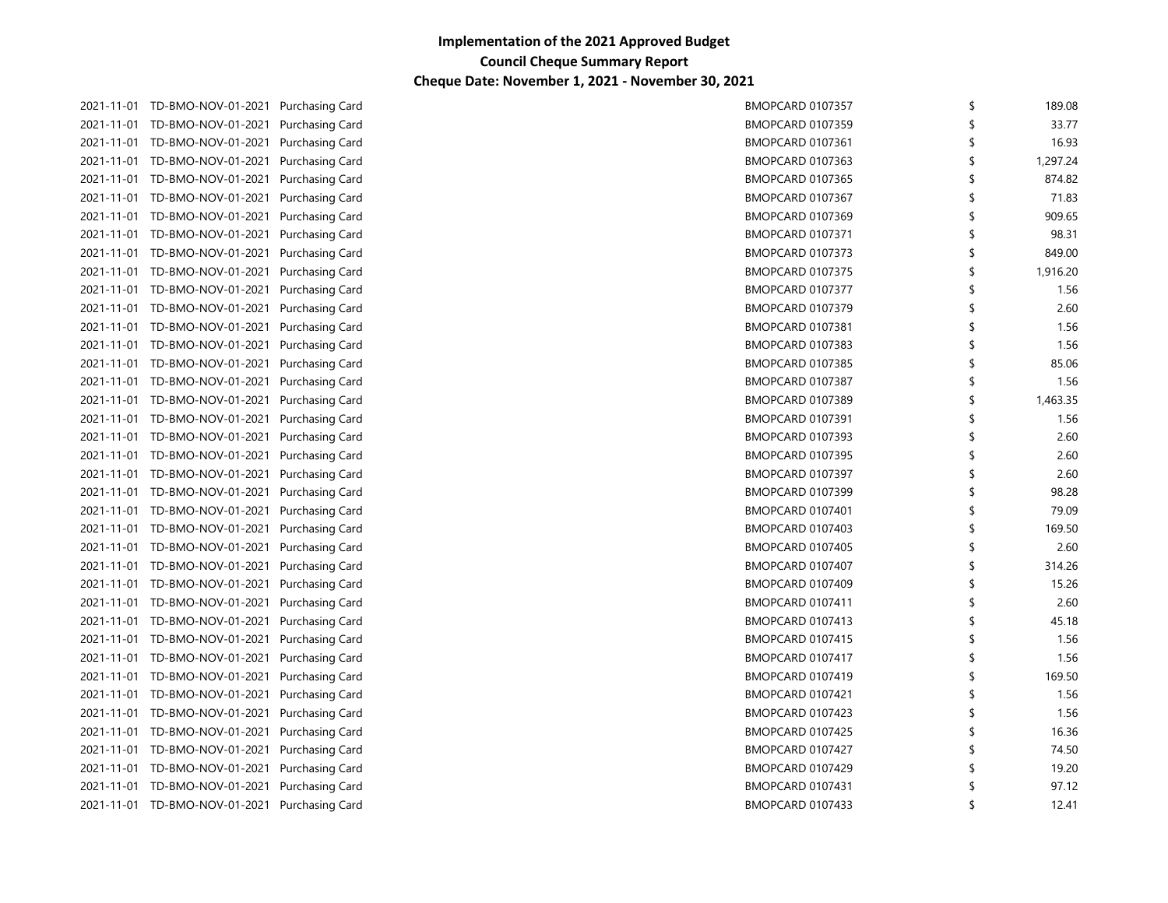| 2021-11-01 TD-BMO-NOV-01-2021 Purchasing Card | BMOPCARD 0107357        | 189.08         |
|-----------------------------------------------|-------------------------|----------------|
| 2021-11-01 TD-BMO-NOV-01-2021 Purchasing Card | BMOPCARD 0107359        | 33.77          |
| 2021-11-01 TD-BMO-NOV-01-2021 Purchasing Card | BMOPCARD 0107361        | \$<br>16.93    |
| 2021-11-01 TD-BMO-NOV-01-2021 Purchasing Card | <b>BMOPCARD 0107363</b> | \$<br>1,297.24 |
| 2021-11-01 TD-BMO-NOV-01-2021 Purchasing Card | BMOPCARD 0107365        | \$<br>874.82   |
| 2021-11-01 TD-BMO-NOV-01-2021 Purchasing Card | <b>BMOPCARD 0107367</b> | 71.83          |
| 2021-11-01 TD-BMO-NOV-01-2021 Purchasing Card | BMOPCARD 0107369        | 909.65         |
| 2021-11-01 TD-BMO-NOV-01-2021 Purchasing Card | BMOPCARD 0107371        | 98.31          |
| 2021-11-01 TD-BMO-NOV-01-2021 Purchasing Card | BMOPCARD 0107373        | 849.00         |
| 2021-11-01 TD-BMO-NOV-01-2021 Purchasing Card | <b>BMOPCARD 0107375</b> | \$<br>1,916.20 |
| 2021-11-01 TD-BMO-NOV-01-2021 Purchasing Card | BMOPCARD 0107377        | \$<br>1.56     |
| 2021-11-01 TD-BMO-NOV-01-2021 Purchasing Card | <b>BMOPCARD 0107379</b> | \$<br>2.60     |
| 2021-11-01 TD-BMO-NOV-01-2021 Purchasing Card | BMOPCARD 0107381        | \$<br>1.56     |
| 2021-11-01 TD-BMO-NOV-01-2021 Purchasing Card | <b>BMOPCARD 0107383</b> | \$<br>1.56     |
| 2021-11-01 TD-BMO-NOV-01-2021 Purchasing Card | <b>BMOPCARD 0107385</b> | 85.06          |
| 2021-11-01 TD-BMO-NOV-01-2021 Purchasing Card | <b>BMOPCARD 0107387</b> | \$<br>1.56     |
| 2021-11-01 TD-BMO-NOV-01-2021 Purchasing Card | <b>BMOPCARD 0107389</b> | \$<br>1,463.35 |
| 2021-11-01 TD-BMO-NOV-01-2021 Purchasing Card | BMOPCARD 0107391        | 1.56           |
| 2021-11-01 TD-BMO-NOV-01-2021 Purchasing Card | BMOPCARD 0107393        | 2.60           |
| 2021-11-01 TD-BMO-NOV-01-2021 Purchasing Card | BMOPCARD 0107395        | 2.60           |
| 2021-11-01 TD-BMO-NOV-01-2021 Purchasing Card | BMOPCARD 0107397        | 2.60           |
| 2021-11-01 TD-BMO-NOV-01-2021 Purchasing Card | BMOPCARD 0107399        | 98.28          |
| 2021-11-01 TD-BMO-NOV-01-2021 Purchasing Card | BMOPCARD 0107401        | \$<br>79.09    |
| 2021-11-01 TD-BMO-NOV-01-2021 Purchasing Card | BMOPCARD 0107403        | \$<br>169.50   |
| 2021-11-01 TD-BMO-NOV-01-2021 Purchasing Card | <b>BMOPCARD 0107405</b> | \$<br>2.60     |
| 2021-11-01 TD-BMO-NOV-01-2021 Purchasing Card | BMOPCARD 0107407        | \$<br>314.26   |
| 2021-11-01 TD-BMO-NOV-01-2021 Purchasing Card | <b>BMOPCARD 0107409</b> | \$<br>15.26    |
| 2021-11-01 TD-BMO-NOV-01-2021 Purchasing Card | BMOPCARD 0107411        | 2.60           |
| 2021-11-01 TD-BMO-NOV-01-2021 Purchasing Card | BMOPCARD 0107413        | 45.18          |
| 2021-11-01 TD-BMO-NOV-01-2021 Purchasing Card | BMOPCARD 0107415        | 1.56           |
| 2021-11-01 TD-BMO-NOV-01-2021 Purchasing Card | BMOPCARD 0107417        | 1.56           |
| 2021-11-01 TD-BMO-NOV-01-2021 Purchasing Card | BMOPCARD 0107419        | 169.50         |
| 2021-11-01 TD-BMO-NOV-01-2021 Purchasing Card | BMOPCARD 0107421        | 1.56           |
| 2021-11-01 TD-BMO-NOV-01-2021 Purchasing Card | BMOPCARD 0107423        | 1.56           |
| 2021-11-01 TD-BMO-NOV-01-2021 Purchasing Card | <b>BMOPCARD 0107425</b> | 16.36          |
| 2021-11-01 TD-BMO-NOV-01-2021 Purchasing Card | BMOPCARD 0107427        | 74.50          |
| 2021-11-01 TD-BMO-NOV-01-2021 Purchasing Card | BMOPCARD 0107429        | 19.20          |
| 2021-11-01 TD-BMO-NOV-01-2021 Purchasing Card | BMOPCARD 0107431        | 97.12          |
| 2021-11-01 TD-BMO-NOV-01-2021 Purchasing Card | BMOPCARD 0107433        | \$<br>12.41    |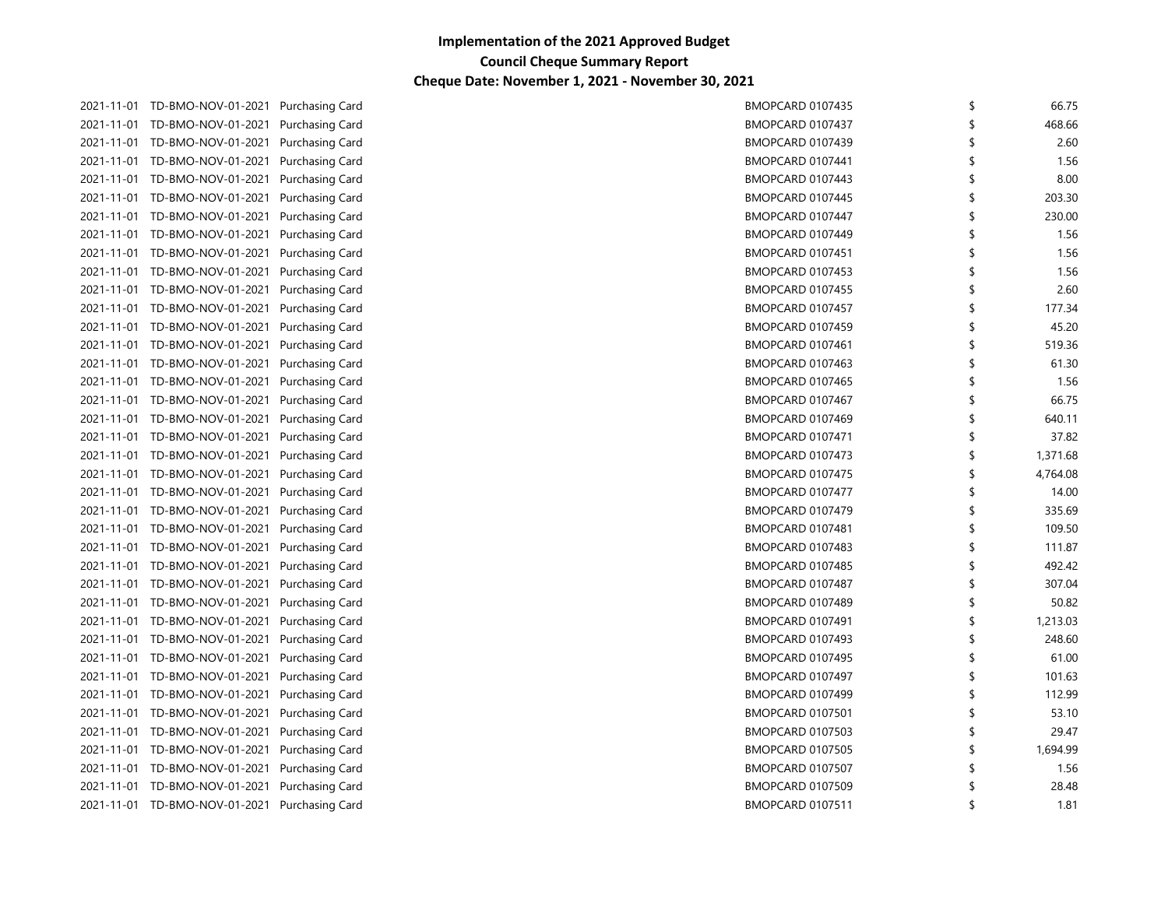| 2021-11-01 TD-BMO-NOV-01-2021 Purchasing Card |                        | BMOPCARD 0107435        | 66.75          |
|-----------------------------------------------|------------------------|-------------------------|----------------|
| 2021-11-01 TD-BMO-NOV-01-2021                 | Purchasing Card        | BMOPCARD 0107437        | 468.66         |
| 2021-11-01 TD-BMO-NOV-01-2021                 | Purchasing Card        | <b>BMOPCARD 0107439</b> | 2.60           |
| 2021-11-01 TD-BMO-NOV-01-2021                 | Purchasing Card        | BMOPCARD 0107441        | 1.56           |
| 2021-11-01 TD-BMO-NOV-01-2021                 | Purchasing Card        | BMOPCARD 0107443        | 8.00           |
| 2021-11-01 TD-BMO-NOV-01-2021                 | Purchasing Card        | BMOPCARD 0107445        | 203.30         |
| 2021-11-01 TD-BMO-NOV-01-2021                 | Purchasing Card        | BMOPCARD 0107447        | 230.00         |
| 2021-11-01 TD-BMO-NOV-01-2021                 | Purchasing Card        | BMOPCARD 0107449        | 1.56           |
| 2021-11-01 TD-BMO-NOV-01-2021                 | Purchasing Card        | BMOPCARD 0107451        | \$<br>1.56     |
| 2021-11-01 TD-BMO-NOV-01-2021                 | Purchasing Card        | BMOPCARD 0107453        | \$<br>1.56     |
| 2021-11-01 TD-BMO-NOV-01-2021                 | Purchasing Card        | BMOPCARD 0107455        | \$<br>2.60     |
| 2021-11-01 TD-BMO-NOV-01-2021                 | Purchasing Card        | <b>BMOPCARD 0107457</b> | \$<br>177.34   |
| 2021-11-01 TD-BMO-NOV-01-2021 Purchasing Card |                        | BMOPCARD 0107459        | 45.20          |
| 2021-11-01 TD-BMO-NOV-01-2021 Purchasing Card |                        | BMOPCARD 0107461        | 519.36         |
| 2021-11-01 TD-BMO-NOV-01-2021                 | Purchasing Card        | <b>BMOPCARD 0107463</b> | 61.30          |
| 2021-11-01 TD-BMO-NOV-01-2021                 | <b>Purchasing Card</b> | BMOPCARD 0107465        | 1.56           |
| 2021-11-01 TD-BMO-NOV-01-2021                 | Purchasing Card        | BMOPCARD 0107467        | 66.75          |
| 2021-11-01 TD-BMO-NOV-01-2021                 | Purchasing Card        | <b>BMOPCARD 0107469</b> | 640.11         |
| 2021-11-01 TD-BMO-NOV-01-2021                 | Purchasing Card        | BMOPCARD 0107471        | 37.82          |
| 2021-11-01 TD-BMO-NOV-01-2021                 | Purchasing Card        | BMOPCARD 0107473        | 1,371.68       |
| 2021-11-01 TD-BMO-NOV-01-2021                 | <b>Purchasing Card</b> | BMOPCARD 0107475        | \$<br>4,764.08 |
| 2021-11-01 TD-BMO-NOV-01-2021                 | Purchasing Card        | BMOPCARD 0107477        | \$<br>14.00    |
| 2021-11-01 TD-BMO-NOV-01-2021                 | Purchasing Card        | BMOPCARD 0107479        | \$<br>335.69   |
| 2021-11-01 TD-BMO-NOV-01-2021                 | Purchasing Card        | BMOPCARD 0107481        | \$<br>109.50   |
| 2021-11-01 TD-BMO-NOV-01-2021                 | Purchasing Card        | BMOPCARD 0107483        | \$<br>111.87   |
| 2021-11-01 TD-BMO-NOV-01-2021                 | Purchasing Card        | <b>BMOPCARD 0107485</b> | \$<br>492.42   |
| 2021-11-01 TD-BMO-NOV-01-2021                 | Purchasing Card        | BMOPCARD 0107487        | \$<br>307.04   |
| 2021-11-01 TD-BMO-NOV-01-2021 Purchasing Card |                        | BMOPCARD 0107489        | \$<br>50.82    |
| 2021-11-01 TD-BMO-NOV-01-2021                 | <b>Purchasing Card</b> | BMOPCARD 0107491        | \$<br>1,213.03 |
| 2021-11-01 TD-BMO-NOV-01-2021                 | Purchasing Card        | BMOPCARD 0107493        | 248.60         |
| 2021-11-01 TD-BMO-NOV-01-2021                 | Purchasing Card        | <b>BMOPCARD 0107495</b> | 61.00          |
| 2021-11-01 TD-BMO-NOV-01-2021                 | Purchasing Card        | <b>BMOPCARD 0107497</b> | 101.63         |
| 2021-11-01 TD-BMO-NOV-01-2021                 | Purchasing Card        | BMOPCARD 0107499        | 112.99         |
| 2021-11-01 TD-BMO-NOV-01-2021                 | Purchasing Card        | <b>BMOPCARD 0107501</b> | 53.10          |
| 2021-11-01 TD-BMO-NOV-01-2021                 | Purchasing Card        | BMOPCARD 0107503        | 29.47          |
| 2021-11-01 TD-BMO-NOV-01-2021                 | Purchasing Card        | <b>BMOPCARD 0107505</b> | 1,694.99       |
| 2021-11-01 TD-BMO-NOV-01-2021                 | Purchasing Card        | BMOPCARD 0107507        | 1.56           |
| 2021-11-01 TD-BMO-NOV-01-2021                 | Purchasing Card        | BMOPCARD 0107509        | 28.48          |
| 2021-11-01 TD-BMO-NOV-01-2021                 | Purchasing Card        | BMOPCARD 0107511        | \$<br>1.81     |